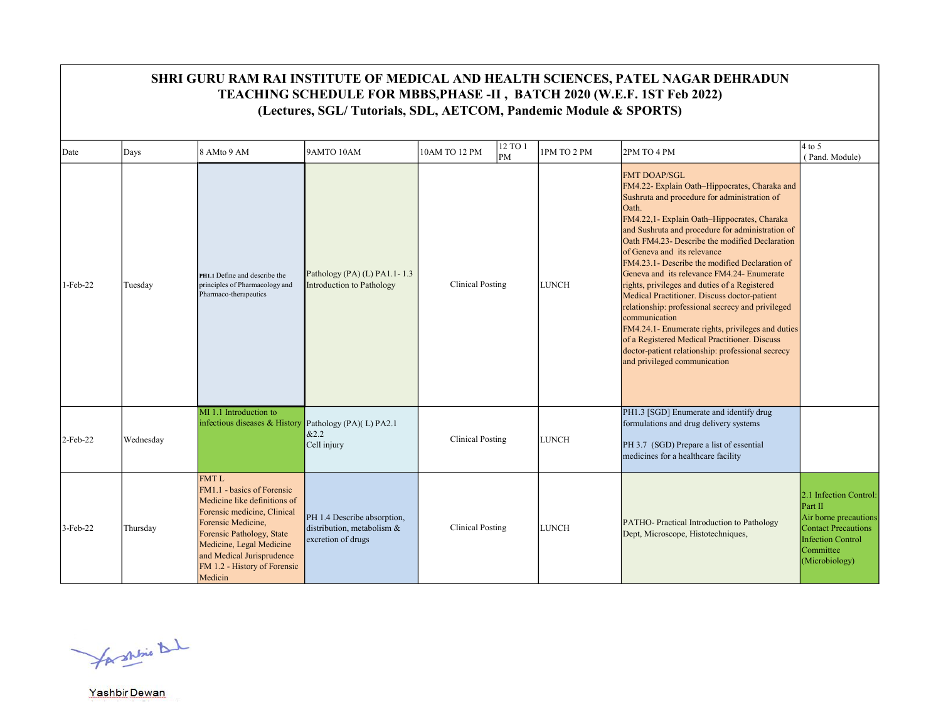|             |           |                                                                                                                                                                                                                                                                 | (Lectures, SGL/Tutorials, SDL, AETCOM, Pandemic Module & SPORTS)                   |                         |                   |              | SHRI GURU RAM RAI INSTITUTE OF MEDICAL AND HEALTH SCIENCES, PATEL NAGAR DEHRADUN<br>TEACHING SCHEDULE FOR MBBS, PHASE -II, BATCH 2020 (W.E.F. 1ST Feb 2022)                                                                                                                                                                                                                                                                                                                                                                                                                                                                                                                                                                                                                         |                                                                                                                                                     |
|-------------|-----------|-----------------------------------------------------------------------------------------------------------------------------------------------------------------------------------------------------------------------------------------------------------------|------------------------------------------------------------------------------------|-------------------------|-------------------|--------------|-------------------------------------------------------------------------------------------------------------------------------------------------------------------------------------------------------------------------------------------------------------------------------------------------------------------------------------------------------------------------------------------------------------------------------------------------------------------------------------------------------------------------------------------------------------------------------------------------------------------------------------------------------------------------------------------------------------------------------------------------------------------------------------|-----------------------------------------------------------------------------------------------------------------------------------------------------|
| Date        | Days      | 8 AMto 9 AM                                                                                                                                                                                                                                                     | 9AMTO 10AM                                                                         | 10AM TO 12 PM           | $12$ TO $1$<br>PM | 1PM TO 2 PM  | 2PM TO 4 PM                                                                                                                                                                                                                                                                                                                                                                                                                                                                                                                                                                                                                                                                                                                                                                         | $4$ to 5<br>(Pand. Module)                                                                                                                          |
| 1-Feb-22    | Tuesday   | PH1.1 Define and describe the<br>principles of Pharmacology and<br>Pharmaco-therapeutics                                                                                                                                                                        | Pathology (PA) (L) PA1.1-1.3<br>Introduction to Pathology                          | <b>Clinical Posting</b> |                   | <b>LUNCH</b> | <b>FMT DOAP/SGL</b><br>FM4.22- Explain Oath-Hippocrates, Charaka and<br>Sushruta and procedure for administration of<br>Oath.<br>FM4.22,1- Explain Oath-Hippocrates, Charaka<br>and Sushruta and procedure for administration of<br>Oath FM4.23- Describe the modified Declaration<br>of Geneva and its relevance<br>FM4.23.1- Describe the modified Declaration of<br>Geneva and its relevance FM4.24- Enumerate<br>rights, privileges and duties of a Registered<br>Medical Practitioner. Discuss doctor-patient<br>relationship: professional secrecy and privileged<br>communication<br>FM4.24.1- Enumerate rights, privileges and duties<br>of a Registered Medical Practitioner. Discuss<br>doctor-patient relationship: professional secrecy<br>and privileged communication |                                                                                                                                                     |
| $2$ -Feb-22 | Wednesday | MI 1.1 Introduction to<br>infectious diseases & History                                                                                                                                                                                                         | Pathology (PA)(L) PA2.1<br>&2.2<br>Cell injury                                     | <b>Clinical Posting</b> |                   | <b>LUNCH</b> | PH1.3 [SGD] Enumerate and identify drug<br>formulations and drug delivery systems<br>PH 3.7 (SGD) Prepare a list of essential<br>medicines for a healthcare facility                                                                                                                                                                                                                                                                                                                                                                                                                                                                                                                                                                                                                |                                                                                                                                                     |
| $3$ -Feb-22 | Thursday  | <b>FMTL</b><br>FM1.1 - basics of Forensic<br>Medicine like definitions of<br>Forensic medicine, Clinical<br>Forensic Medicine,<br>Forensic Pathology, State<br>Medicine, Legal Medicine<br>and Medical Jurisprudence<br>FM 1.2 - History of Forensic<br>Medicin | PH 1.4 Describe absorption,<br>distribution, metabolism $\&$<br>excretion of drugs | <b>Clinical Posting</b> |                   | <b>LUNCH</b> | PATHO-Practical Introduction to Pathology<br>Dept, Microscope, Histotechniques,                                                                                                                                                                                                                                                                                                                                                                                                                                                                                                                                                                                                                                                                                                     | 2.1 Infection Control:<br>Part II<br>Air borne precautions<br><b>Contact Precautions</b><br><b>Infection Control</b><br>Committee<br>(Microbiology) |

for shine that

Yashbir Dewan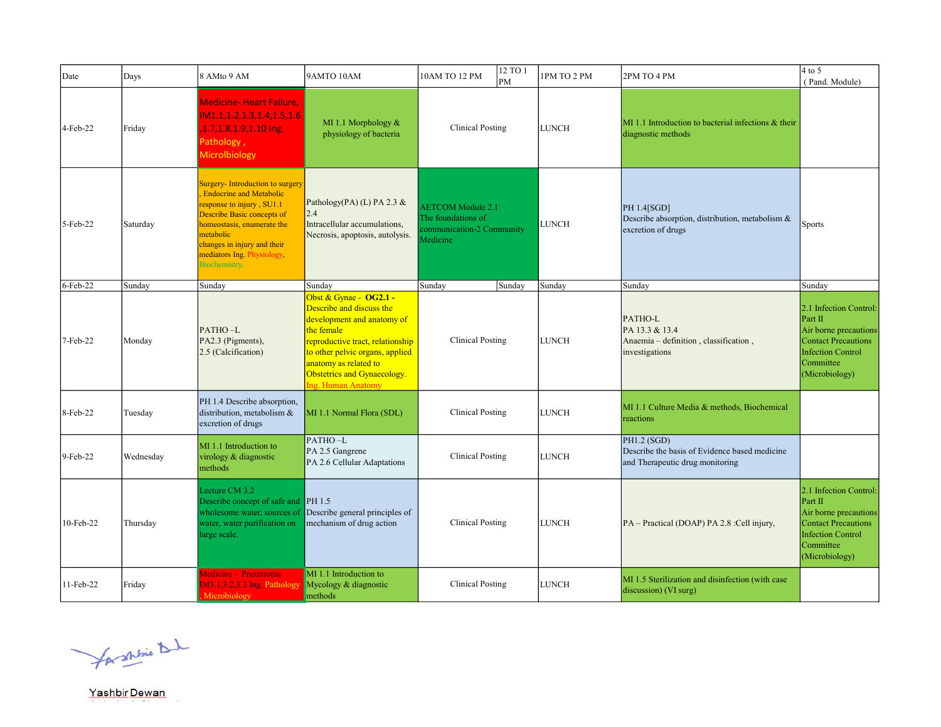| Date      | Days      | 8 AMto 9 AM                                                                                                                                                                                                                                                  | 9AMTO 10AM                                                                                                                                                                                                                                          | 10AM TO 12 PM                                                                           | 12 TO 1<br>PM | 1PM TO 2 PM  | 2PM TO 4 PM                                                                                       | $4$ to 5<br>(Pand. Module)                                                                                                                   |
|-----------|-----------|--------------------------------------------------------------------------------------------------------------------------------------------------------------------------------------------------------------------------------------------------------------|-----------------------------------------------------------------------------------------------------------------------------------------------------------------------------------------------------------------------------------------------------|-----------------------------------------------------------------------------------------|---------------|--------------|---------------------------------------------------------------------------------------------------|----------------------------------------------------------------------------------------------------------------------------------------------|
| 4-Feb-22  | Friday    | <b>Medicine- Heart Failure,</b><br>IM1.1,1.2,1.3,1.4,1.5,1.6<br>1.7, 1.8, 1.9, 1.10 Ing.<br>Pathology,<br><b>Microlbiology</b>                                                                                                                               | MI 1.1 Morphology &<br>physiology of bacteria                                                                                                                                                                                                       | Clinical Posting                                                                        |               | <b>LUNCH</b> | MI 1.1 Introduction to bacterial infections & their<br>diagnostic methods                         |                                                                                                                                              |
| 5-Feb-22  | Saturday  | Surgery-Introduction to surgery<br><b>Endocrine and Metabolic</b><br>response to injury, SU1.1<br>Describe Basic concepts of<br>homeostasis, enumerate the<br>metabolic<br>changes in injury and their<br>mediators Ing. Physiology,<br><b>Biochemistry.</b> | Pathology(PA) (L) PA 2.3 $&$<br>2.4<br>Intracellular accumulations,<br>Necrosis, apoptosis, autolysis.                                                                                                                                              | <b>AETCOM</b> Module 2.1<br>The foundations of<br>communication-2 Community<br>Medicine |               | LUNCH        | PH 1.4[SGD]<br>Describe absorption, distribution, metabolism &<br>excretion of drugs              | Sports                                                                                                                                       |
| 6-Feb-22  | Sunday    | Sunday                                                                                                                                                                                                                                                       | Sunday                                                                                                                                                                                                                                              | Sunday                                                                                  | Sunday        | Sunday       | Sunday                                                                                            | Sunday                                                                                                                                       |
| 7-Feb-22  | Monday    | PATHO-L<br>PA2.3 (Pigments),<br>2.5 (Calcification)                                                                                                                                                                                                          | Obst & Gynae - OG2.1 -<br>Describe and discuss the<br>development and anatomy of<br>the female<br>reproductive tract, relationship<br>to other pelvic organs, applied<br>anatomy as related to<br>Obstetrics and Gynaecology.<br>Ing. Human Anatomy | <b>Clinical Posting</b>                                                                 |               | <b>LUNCH</b> | PATHO-L<br>PA 13.3 & 13.4<br>Anaemia - definition, classification,<br>investigations              | 2.1 Infection Control:<br>Part II<br>Air borne precautions<br><b>Contact Precautions</b><br>Infection Control<br>Committee<br>(Microbiology) |
| 8-Feb-22  | Tuesday   | PH 1.4 Describe absorption,<br>distribution, metabolism &<br>excretion of drugs                                                                                                                                                                              | MI 1.1 Normal Flora (SDL)                                                                                                                                                                                                                           | <b>Clinical Posting</b>                                                                 |               | <b>LUNCH</b> | MI 1.1 Culture Media & methods, Biochemical<br>reactions                                          |                                                                                                                                              |
| 9-Feb-22  | Wednesday | MI 1.1 Introduction to<br>virology & diagnostic<br>methods                                                                                                                                                                                                   | PATHO-L<br>PA 2.5 Gangrene<br>PA 2.6 Cellular Adaptations                                                                                                                                                                                           | <b>Clinical Posting</b>                                                                 |               | <b>LUNCH</b> | $PH1.2$ (SGD)<br>Describe the basis of Evidence based medicine<br>and Therapeutic drug monitoring |                                                                                                                                              |
| 10-Feb-22 | Thursday  | Lecture CM 3.2<br>Describe concept of safe and PH 1.5<br>wholesome water, sources of<br>water, water purification on<br>arge scale.                                                                                                                          | Describe general principles of<br>mechanism of drug action                                                                                                                                                                                          | <b>Clinical Posting</b>                                                                 |               | <b>LUNCH</b> | PA - Practical (DOAP) PA 2.8 : Cell injury,                                                       | 2.1 Infection Control:<br>Part II<br>Air borne precautions<br>Contact Precautions<br>Infection Control<br>Committee<br>(Microbiology)        |
| 11-Feb-22 | Friday    | Medicine - Pneumonia<br>IM3.1,3.2,3.3 Ing. Pathology<br>Microbiology                                                                                                                                                                                         | MI 1.1 Introduction to<br>Mycology & diagnostic<br>methods                                                                                                                                                                                          | <b>Clinical Posting</b>                                                                 |               | <b>LUNCH</b> | MI 1.5 Sterilization and disinfection (with case<br>discussion) (VI surg)                         |                                                                                                                                              |

for shine that

Yashbir Dewan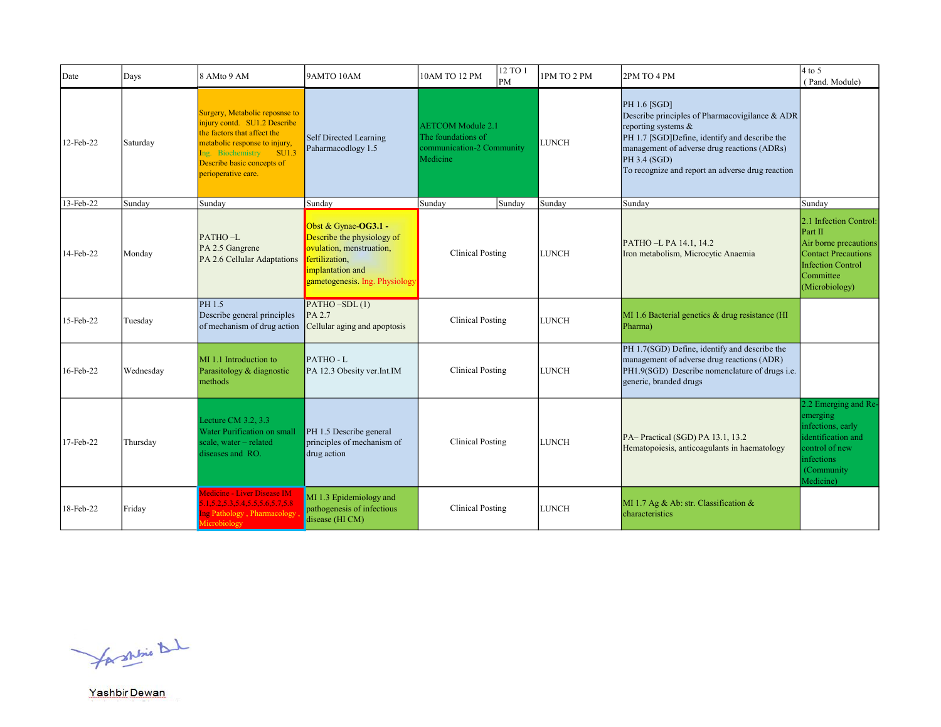| Date      | Days      | 8 AMto 9 AM                                                                                                                                                                                                    | 9AMTO 10AM                                                                                                                                             | 10AM TO 12 PM                                                                           | 12 TO 1<br>PM | 1PM TO 2 PM  | 2PM TO 4 PM                                                                                                                                                                                                                                               | $4$ to 5<br>(Pand. Module)                                                                                                                   |
|-----------|-----------|----------------------------------------------------------------------------------------------------------------------------------------------------------------------------------------------------------------|--------------------------------------------------------------------------------------------------------------------------------------------------------|-----------------------------------------------------------------------------------------|---------------|--------------|-----------------------------------------------------------------------------------------------------------------------------------------------------------------------------------------------------------------------------------------------------------|----------------------------------------------------------------------------------------------------------------------------------------------|
| 12-Feb-22 | Saturday  | Surgery, Metabolic reposnse to<br>injury contd. SU1.2 Describe<br>the factors that affect the<br>metabolic response to injury,<br>Ing. Biochemistry SU1.3<br>Describe basic concepts of<br>perioperative care. | <b>Self Directed Learning</b><br>Paharmacodlogy 1.5                                                                                                    | <b>AETCOM</b> Module 2.1<br>The foundations of<br>communication-2 Community<br>Medicine |               | <b>LUNCH</b> | PH 1.6 [SGD]<br>Describe principles of Pharmacovigilance & ADR<br>reporting systems &<br>PH 1.7 [SGD]Define, identify and describe the<br>management of adverse drug reactions (ADRs)<br>PH 3.4 (SGD)<br>To recognize and report an adverse drug reaction |                                                                                                                                              |
| 13-Feb-22 | Sunday    | Sunday                                                                                                                                                                                                         | Sunday                                                                                                                                                 | Sunday                                                                                  | Sunday        | Sunday       | Sunday                                                                                                                                                                                                                                                    | Sunday                                                                                                                                       |
| 14-Feb-22 | Monday    | PATHO-L<br>PA 2.5 Gangrene<br>PA 2.6 Cellular Adaptations                                                                                                                                                      | Obst & Gynae-OG3.1 -<br>Describe the physiology of<br>ovulation, menstruation,<br>fertilization,<br>implantation and<br>gametogenesis. Ing. Physiology | <b>Clinical Posting</b>                                                                 |               | <b>LUNCH</b> | PATHO-L PA 14.1, 14.2<br>Iron metabolism, Microcytic Anaemia                                                                                                                                                                                              | 2.1 Infection Control:<br>Part II<br>Air borne precautions<br><b>Contact Precautions</b><br>Infection Control<br>Committee<br>(Microbiology) |
| 15-Feb-22 | Tuesday   | PH 1.5<br>Describe general principles<br>of mechanism of drug action                                                                                                                                           | $\overline{\text{PATHO}-\text{SDL}(1)}$<br>$PA$ 2.7<br>Cellular aging and apoptosis                                                                    | <b>Clinical Posting</b>                                                                 |               | <b>LUNCH</b> | MI 1.6 Bacterial genetics & drug resistance (HI<br>Pharma)                                                                                                                                                                                                |                                                                                                                                              |
| 16-Feb-22 | Wednesday | MI 1.1 Introduction to<br>Parasitology & diagnostic<br>methods                                                                                                                                                 | PATHO-L<br>PA 12.3 Obesity ver.Int.IM                                                                                                                  | <b>Clinical Posting</b>                                                                 |               | <b>LUNCH</b> | PH 1.7(SGD) Define, identify and describe the<br>management of adverse drug reactions (ADR)<br>PH1.9(SGD) Describe nomenclature of drugs i.e.<br>generic, branded drugs                                                                                   |                                                                                                                                              |
| 17-Feb-22 | Thursday  | Lecture CM $3.2, 3.3$<br>Water Purification on small<br>scale, water - related<br>diseases and RO.                                                                                                             | PH 1.5 Describe general<br>principles of mechanism of<br>drug action                                                                                   | <b>Clinical Posting</b>                                                                 |               | <b>LUNCH</b> | PA-Practical (SGD) PA 13.1, 13.2<br>Hematopoiesis, anticoagulants in haematology                                                                                                                                                                          | 2.2 Emerging and Re-<br>emerging<br>infections, early<br>identification and<br>control of new<br>infections<br>(Community)<br>Medicine)      |
| 18-Feb-22 | Friday    | Medicine - Liver Disease IM<br>1.5.2.5.3,5.4,5.5,5.6,5.7,5.8<br>ig Pathology, Pharmacology<br>crobiology                                                                                                       | MI 1.3 Epidemiology and<br>pathogenesis of infectious<br>disease (HI CM)                                                                               | <b>Clinical Posting</b>                                                                 |               | <b>LUNCH</b> | MI 1.7 Ag & Ab: str. Classification $\&$<br>characteristics                                                                                                                                                                                               |                                                                                                                                              |

for shrine that

Yashbir Dewan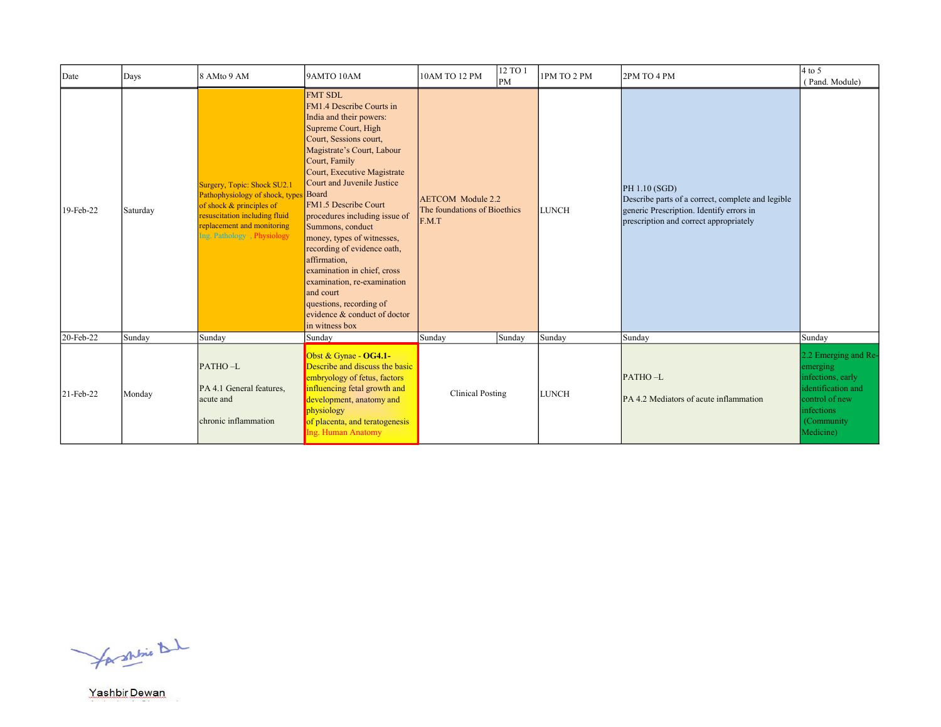| Date      | Days     | 8 AMto 9 AM                                                                                                                                                                               | 9AMTO 10AM                                                                                                                                                                                                                                                                                                                                                                                                                                                                                                                                                    | 10AM TO 12 PM                                                     | 12 TO 1<br>PM | 1PM TO 2 PM  | 2PM TO 4 PM                                                                                                                                              | $4$ to 5<br>(Pand. Module)                                                                                                              |
|-----------|----------|-------------------------------------------------------------------------------------------------------------------------------------------------------------------------------------------|---------------------------------------------------------------------------------------------------------------------------------------------------------------------------------------------------------------------------------------------------------------------------------------------------------------------------------------------------------------------------------------------------------------------------------------------------------------------------------------------------------------------------------------------------------------|-------------------------------------------------------------------|---------------|--------------|----------------------------------------------------------------------------------------------------------------------------------------------------------|-----------------------------------------------------------------------------------------------------------------------------------------|
| 19-Feb-22 | Saturday | Surgery, Topic: Shock SU2.1<br>Pathophysiology of shock, types<br>of shock $&$ principles of<br>resuscitation including fluid<br>replacement and monitoring<br>Ing. Pathology, Physiology | <b>FMT SDL</b><br>FM1.4 Describe Courts in<br>India and their powers:<br>Supreme Court, High<br>Court, Sessions court,<br>Magistrate's Court, Labour<br>Court, Family<br>Court, Executive Magistrate<br>Court and Juvenile Justice<br>Board<br>FM1.5 Describe Court<br>procedures including issue of<br>Summons, conduct<br>money, types of witnesses,<br>recording of evidence oath,<br>affirmation.<br>examination in chief, cross<br>examination, re-examination<br>and court<br>questions, recording of<br>evidence & conduct of doctor<br>in witness box | <b>AETCOM</b> Module 2.2<br>The foundations of Bioethics<br>F.M.T |               | <b>LUNCH</b> | PH 1.10 (SGD)<br>Describe parts of a correct, complete and legible<br>generic Prescription. Identify errors in<br>prescription and correct appropriately |                                                                                                                                         |
| 20-Feb-22 | Sunday   | Sunday                                                                                                                                                                                    | Sunday                                                                                                                                                                                                                                                                                                                                                                                                                                                                                                                                                        | Sunday                                                            | Sunday        | Sunday       | Sunday                                                                                                                                                   | Sunday                                                                                                                                  |
| 21-Feb-22 | Monday   | PATHO-L<br>PA 4.1 General features,<br>acute and<br>chronic inflammation                                                                                                                  | Obst & Gynae - $OG4.1$ -<br>Describe and discuss the basic<br>embryology of fetus, factors<br>influencing fetal growth and<br>development, anatomy and<br>physiology<br>of placenta, and teratogenesis<br>Ing. Human Anatomy                                                                                                                                                                                                                                                                                                                                  | Clinical Posting                                                  |               | <b>LUNCH</b> | PATHO-L<br>PA 4.2 Mediators of acute inflammation                                                                                                        | 2.2 Emerging and Re-<br>emerging<br>infections, early<br>identification and<br>control of new<br>infections<br>(Community)<br>Medicine) |

for shrine that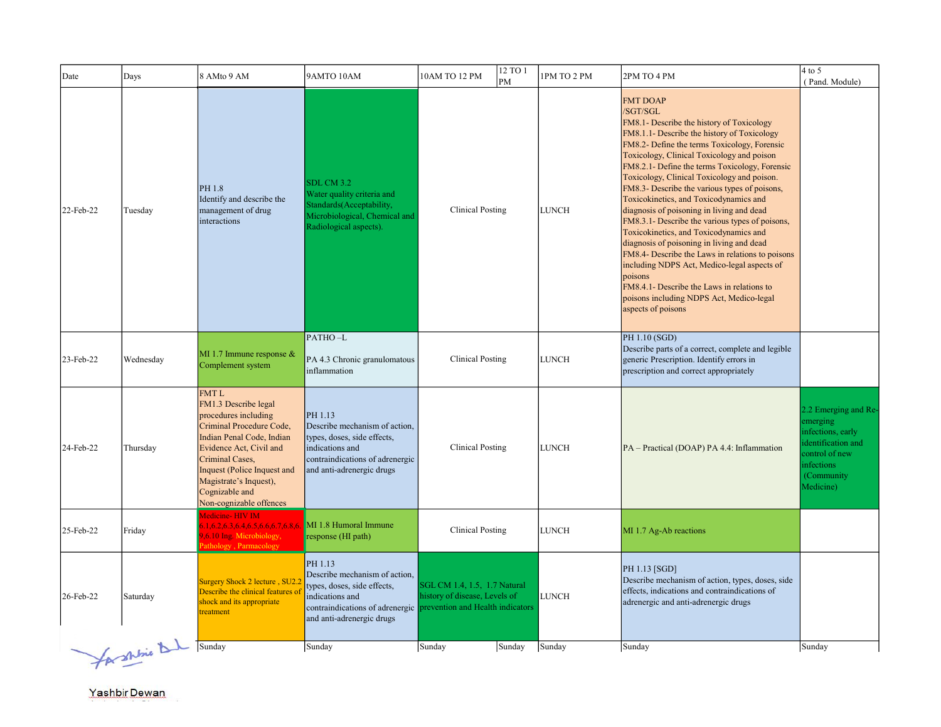| Date      | Days                            | 8 AMto 9 AM                                                                                                                                                                                                                                                              | 9AMTO 10AM                                                                                                                                                 | 12 TO 1<br>10AM TO 12 PM<br>PM                                                                                                    | 1PM TO 2 PM  | 2PM TO 4 PM                                                                                                                                                                                                                                                                                                                                                                                                                                                                                                                                                                                                                                                                                                                                                                                                                            | $4$ to 5<br>(Pand. Module)                                                                                                                    |
|-----------|---------------------------------|--------------------------------------------------------------------------------------------------------------------------------------------------------------------------------------------------------------------------------------------------------------------------|------------------------------------------------------------------------------------------------------------------------------------------------------------|-----------------------------------------------------------------------------------------------------------------------------------|--------------|----------------------------------------------------------------------------------------------------------------------------------------------------------------------------------------------------------------------------------------------------------------------------------------------------------------------------------------------------------------------------------------------------------------------------------------------------------------------------------------------------------------------------------------------------------------------------------------------------------------------------------------------------------------------------------------------------------------------------------------------------------------------------------------------------------------------------------------|-----------------------------------------------------------------------------------------------------------------------------------------------|
| 22-Feb-22 | Tuesday                         | PH 1.8<br>Identify and describe the<br>management of drug<br>interactions                                                                                                                                                                                                | <b>SDL CM 3.2</b><br>Water quality criteria and<br>Standards (Acceptability,<br>Microbiological, Chemical and<br>Radiological aspects).                    | <b>Clinical Posting</b>                                                                                                           | <b>LUNCH</b> | <b>FMT DOAP</b><br>/SGT/SGL<br>FM8.1- Describe the history of Toxicology<br>FM8.1.1- Describe the history of Toxicology<br>FM8.2- Define the terms Toxicology, Forensic<br>Toxicology, Clinical Toxicology and poison<br>FM8.2.1- Define the terms Toxicology, Forensic<br>Toxicology, Clinical Toxicology and poison.<br>FM8.3- Describe the various types of poisons,<br>Toxicokinetics, and Toxicodynamics and<br>diagnosis of poisoning in living and dead<br>FM8.3.1- Describe the various types of poisons,<br>Toxicokinetics, and Toxicodynamics and<br>diagnosis of poisoning in living and dead<br>FM8.4- Describe the Laws in relations to poisons<br>including NDPS Act, Medico-legal aspects of<br>poisons<br>FM8.4.1- Describe the Laws in relations to<br>poisons including NDPS Act, Medico-legal<br>aspects of poisons |                                                                                                                                               |
| 23-Feb-22 | Wednesday                       | MI 1.7 Immune response $&$<br>Complement system                                                                                                                                                                                                                          | PATHO-L<br>PA 4.3 Chronic granulomatous<br>inflammation                                                                                                    | <b>Clinical Posting</b>                                                                                                           | <b>LUNCH</b> | PH 1.10 (SGD)<br>Describe parts of a correct, complete and legible<br>generic Prescription. Identify errors in<br>prescription and correct appropriately                                                                                                                                                                                                                                                                                                                                                                                                                                                                                                                                                                                                                                                                               |                                                                                                                                               |
| 24-Feb-22 | Thursday                        | <b>FMTL</b><br>FM1.3 Describe legal<br>procedures including<br>Criminal Procedure Code,<br>Indian Penal Code, Indian<br>Evidence Act, Civil and<br>Criminal Cases,<br>Inquest (Police Inquest and<br>Magistrate's Inquest),<br>Cognizable and<br>Non-cognizable offences | PH 1.13<br>Describe mechanism of action.<br>types, doses, side effects,<br>indications and<br>contraindications of adrenergic<br>and anti-adrenergic drugs | <b>Clinical Posting</b>                                                                                                           | <b>LUNCH</b> | PA - Practical (DOAP) PA 4.4: Inflammation                                                                                                                                                                                                                                                                                                                                                                                                                                                                                                                                                                                                                                                                                                                                                                                             | 2.2 Emerging and Re-<br>emerging<br>infections, early<br>identification and<br>control of new<br><i>infections</i><br>(Community<br>Medicine) |
| 25-Feb-22 | Friday                          | Medicine-HIV IM<br>.1,6.2,6.3,6.4,6.5,6.6,6.7,6.8,6.<br>6.10 Ing. Microbiology,<br>athology, Parmacology                                                                                                                                                                 | MI 1.8 Humoral Immune<br>response (HI path)                                                                                                                | <b>Clinical Posting</b>                                                                                                           | <b>LUNCH</b> | MI 1.7 Ag-Ab reactions                                                                                                                                                                                                                                                                                                                                                                                                                                                                                                                                                                                                                                                                                                                                                                                                                 |                                                                                                                                               |
| 26-Feb-22 | Saturday                        | Surgery Shock 2 lecture, SU2.2<br>Describe the clinical features of<br>shock and its appropriate<br>treatment                                                                                                                                                            | PH 1.13<br>Describe mechanism of action,<br>types, doses, side effects,<br>indications and<br>and anti-adrenergic drugs                                    | SGL CM 1.4, 1.5, 1.7 Natural<br>history of disease, Levels of<br>contraindications of adrenergic prevention and Health indicators | <b>LUNCH</b> | PH 1.13 [SGD]<br>Describe mechanism of action, types, doses, side<br>effects, indications and contraindications of<br>adrenergic and anti-adrenergic drugs                                                                                                                                                                                                                                                                                                                                                                                                                                                                                                                                                                                                                                                                             |                                                                                                                                               |
|           | $\sim$ / $\sim$ $\Delta\lambda$ | Sunday                                                                                                                                                                                                                                                                   | Sunday                                                                                                                                                     | Sunday<br>Sunday                                                                                                                  | Sunday       | Sunday                                                                                                                                                                                                                                                                                                                                                                                                                                                                                                                                                                                                                                                                                                                                                                                                                                 | Sunday                                                                                                                                        |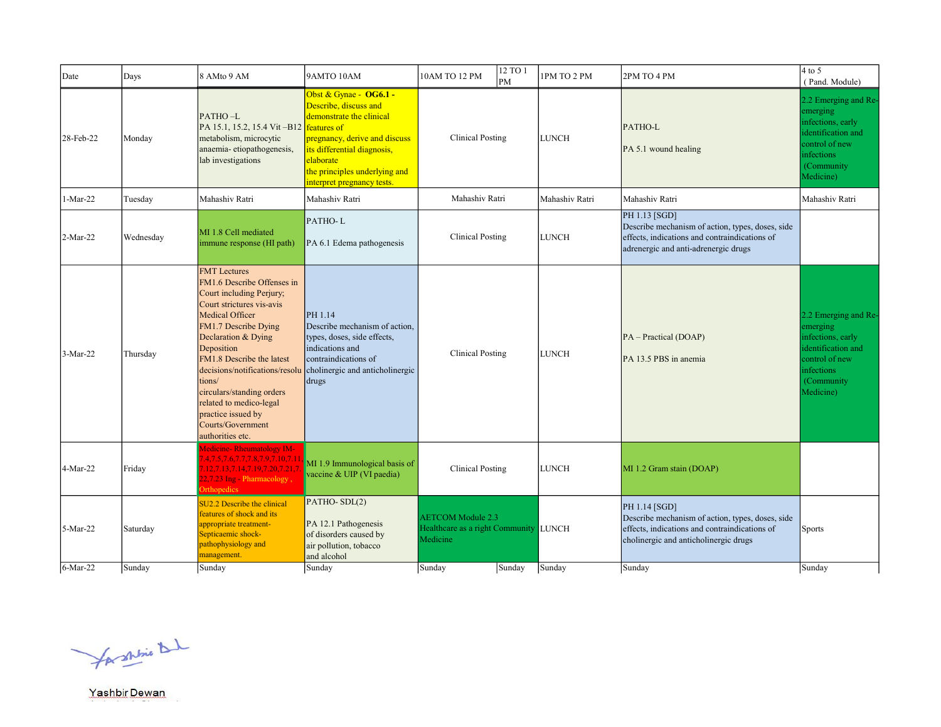| Date       | Days      | 8 AMto 9 AM                                                                                                                                                                                                                                                                                                                                                                                | 9AMTO 10AM                                                                                                                                                                                                                             | 12 TO 1<br>10AM TO 12 PM<br><b>PM</b>                                         | 1PM TO 2 PM    | 2PM TO 4 PM                                                                                                                                                 | $4$ to 5<br>(Pand. Module)                                                                                                                     |
|------------|-----------|--------------------------------------------------------------------------------------------------------------------------------------------------------------------------------------------------------------------------------------------------------------------------------------------------------------------------------------------------------------------------------------------|----------------------------------------------------------------------------------------------------------------------------------------------------------------------------------------------------------------------------------------|-------------------------------------------------------------------------------|----------------|-------------------------------------------------------------------------------------------------------------------------------------------------------------|------------------------------------------------------------------------------------------------------------------------------------------------|
| 28-Feb-22  | Monday    | PATHO-L<br>PA 15.1, 15.2, 15.4 Vit-B12<br>metabolism, microcytic<br>anaemia-etiopathogenesis,<br>lab investigations                                                                                                                                                                                                                                                                        | Obst & Gynae - OG6.1 -<br>Describe, discuss and<br>demonstrate the clinical<br>features of<br>pregnancy, derive and discuss<br>its differential diagnosis,<br>elaborate<br>the principles underlying and<br>interpret pregnancy tests. | <b>Clinical Posting</b>                                                       | <b>LUNCH</b>   | PATHO-L<br>PA 5.1 wound healing                                                                                                                             | 2.2 Emerging and Re-<br>emerging<br>infections, early<br>identification and<br>control of new<br>infections<br>(Community<br>Medicine)         |
| 1-Mar-22   | Tuesday   | Mahashiv Ratri                                                                                                                                                                                                                                                                                                                                                                             | Mahashiv Ratri                                                                                                                                                                                                                         | Mahashiv Ratri                                                                | Mahashiv Ratri | Mahashiv Ratri                                                                                                                                              | Mahashiv Ratri                                                                                                                                 |
| 2-Mar-22   | Wednesday | MI 1.8 Cell mediated<br>immune response (HI path)                                                                                                                                                                                                                                                                                                                                          | PATHO-L<br>PA 6.1 Edema pathogenesis                                                                                                                                                                                                   | Clinical Posting                                                              | <b>LUNCH</b>   | PH 1.13 [SGD]<br>Describe mechanism of action, types, doses, side<br>effects, indications and contraindications of<br>adrenergic and anti-adrenergic drugs  |                                                                                                                                                |
| $3-Mar-22$ | Thursday  | <b>FMT</b> Lectures<br>FM1.6 Describe Offenses in<br>Court including Perjury;<br>Court strictures vis-avis<br>Medical Officer<br>FM1.7 Describe Dying<br>Declaration & Dying<br>Deposition<br>FM1.8 Describe the latest<br>decisions/notifications/resolu<br>tions/<br>circulars/standing orders<br>related to medico-legal<br>practice issued by<br>Courts/Government<br>authorities etc. | PH 1.14<br>Describe mechanism of action.<br>types, doses, side effects,<br>indications and<br>contraindications of<br>cholinergic and anticholinergic<br>drugs                                                                         | <b>Clinical Posting</b>                                                       | <b>LUNCH</b>   | PA - Practical (DOAP)<br>PA 13.5 PBS in anemia                                                                                                              | 2.2 Emerging and Re-<br>emerging<br>infections, early<br>identification and<br>control of new<br><i>infections</i><br>(Community)<br>Medicine) |
| 4-Mar-22   | Friday    | <b>Medicine-Rheumatology IM-</b><br>4, 7.5, 7.6, 7.7, 7.8, 7.9, 7.10, 7.11<br>12,7.13,7.14,7.19,7.20,7.21,7<br>2,7.23 Ing - Pharmacology,<br>Orthopedics                                                                                                                                                                                                                                   | MI 1.9 Immunological basis of<br>vaccine & UIP (VI paedia)                                                                                                                                                                             | <b>Clinical Posting</b>                                                       | <b>LUNCH</b>   | MI 1.2 Gram stain (DOAP)                                                                                                                                    |                                                                                                                                                |
| 5-Mar-22   | Saturday  | SU2.2 Describe the clinical<br>features of shock and its<br>appropriate treatment-<br>Septicaemic shock-<br>pathophysiology and<br>management.                                                                                                                                                                                                                                             | PATHO-SDL(2)<br>PA 12.1 Pathogenesis<br>of disorders caused by<br>air pollution, tobacco<br>and alcohol                                                                                                                                | <b>AETCOM</b> Module 2.3<br>Healthcare as a right Community LUNCH<br>Medicine |                | PH 1.14 [SGD]<br>Describe mechanism of action, types, doses, side<br>effects, indications and contraindications of<br>cholinergic and anticholinergic drugs | Sports                                                                                                                                         |
| $6-Mar-22$ | Sunday    | Sunday                                                                                                                                                                                                                                                                                                                                                                                     | Sunday                                                                                                                                                                                                                                 | Sunday<br>Sunday                                                              | Sunday         | Sunday                                                                                                                                                      | Sunday                                                                                                                                         |

for shrine that

Yashbir Dewan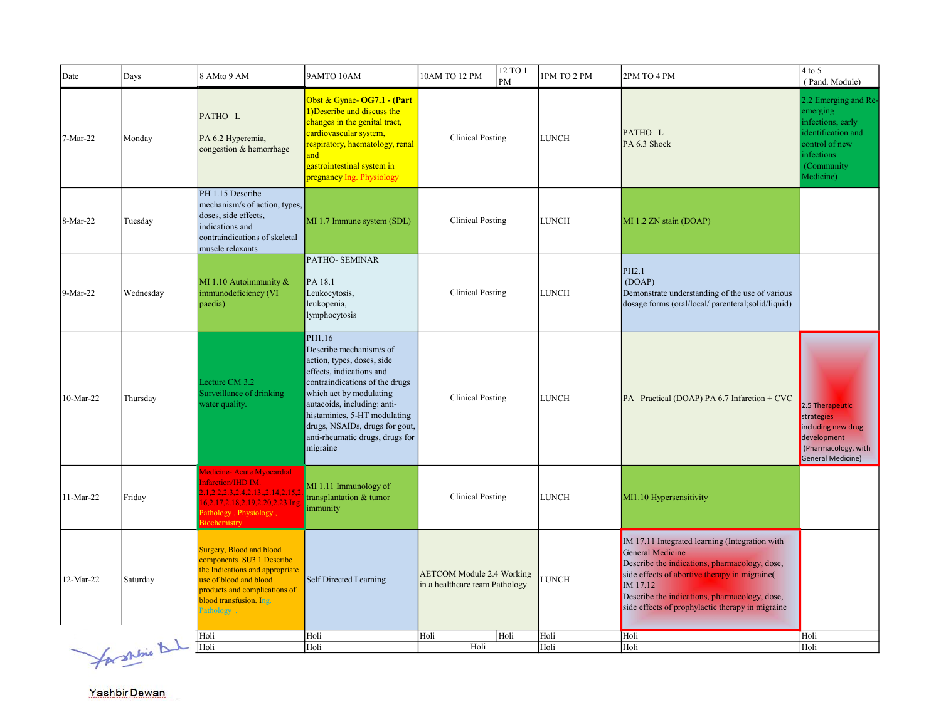| Date      | Days           | 8 AMto 9 AM                                                                                                                                                                                  | 9AMTO 10AM                                                                                                                                                                                                                                                                                               | 10AM TO 12 PM                                                      | 12 TO 1<br>PM | 1PM TO 2 PM  | 2PM TO 4 PM                                                                                                                                                                                                                                                                                  | $4$ to 5<br>(Pand. Module)                                                                                                                    |
|-----------|----------------|----------------------------------------------------------------------------------------------------------------------------------------------------------------------------------------------|----------------------------------------------------------------------------------------------------------------------------------------------------------------------------------------------------------------------------------------------------------------------------------------------------------|--------------------------------------------------------------------|---------------|--------------|----------------------------------------------------------------------------------------------------------------------------------------------------------------------------------------------------------------------------------------------------------------------------------------------|-----------------------------------------------------------------------------------------------------------------------------------------------|
| 7-Mar-22  | Monday         | PATHO-L<br>PA 6.2 Hyperemia,<br>congestion & hemorrhage                                                                                                                                      | Obst & Gynae- OG7.1 - (Part<br>1) Describe and discuss the<br>changes in the genital tract,<br>cardiovascular system,<br>respiratory, haematology, renal<br>and<br>gastrointestinal system in<br>pregnancy Ing. Physiology                                                                               | <b>Clinical Posting</b>                                            |               | <b>LUNCH</b> | PATHO-L<br>PA 6.3 Shock                                                                                                                                                                                                                                                                      | 2.2 Emerging and Re-<br>emerging<br>infections, early<br>identification and<br>ontrol of new<br><i>infections</i><br>(Community)<br>Medicine) |
| 8-Mar-22  | Tuesday        | PH 1.15 Describe<br>mechanism/s of action, types,<br>doses, side effects,<br>indications and<br>contraindications of skeletal<br>muscle relaxants                                            | MI 1.7 Immune system (SDL)                                                                                                                                                                                                                                                                               | <b>Clinical Posting</b>                                            |               | <b>LUNCH</b> | MI 1.2 ZN stain (DOAP)                                                                                                                                                                                                                                                                       |                                                                                                                                               |
| 9-Mar-22  | Wednesday      | MI 1.10 Autoimmunity &<br>immunodeficiency (VI<br>paedia)                                                                                                                                    | PATHO-SEMINAR<br>PA 18.1<br>Leukocytosis,<br>leukopenia,<br>lymphocytosis                                                                                                                                                                                                                                | <b>Clinical Posting</b>                                            |               | <b>LUNCH</b> | PH2.1<br>(DOAP)<br>Demonstrate understanding of the use of various<br>dosage forms (oral/local/ parenteral;solid/liquid)                                                                                                                                                                     |                                                                                                                                               |
| 10-Mar-22 | Thursday       | Lecture CM 3.2<br>Surveillance of drinking<br>water quality.                                                                                                                                 | PH1.16<br>Describe mechanism/s of<br>action, types, doses, side<br>effects, indications and<br>contraindications of the drugs<br>which act by modulating<br>autacoids, including: anti-<br>histaminics, 5-HT modulating<br>drugs, NSAIDs, drugs for gout,<br>anti-rheumatic drugs, drugs for<br>migraine | <b>Clinical Posting</b>                                            |               | <b>LUNCH</b> | PA-Practical (DOAP) PA 6.7 Infarction + CVC                                                                                                                                                                                                                                                  | 2.5 Therapeutic<br>strategies<br>including new drug<br>development<br>(Pharmacology, with<br>General Medicine)                                |
| 11-Mar-22 | Friday         | Medicine- Acute Myocardial<br>nfarction/IHD IM.<br>1,2.2,2.3,2.4,2.13.,2.14,2.15,2<br>6,2.17,2.18,2.19,2.20,2.23 Ing<br>athology, Physiology,<br>iochemistry                                 | MI 1.11 Immunology of<br>transplantation & tumor<br>immunity                                                                                                                                                                                                                                             | <b>Clinical Posting</b>                                            |               | <b>LUNCH</b> | MI1.10 Hypersensitivity                                                                                                                                                                                                                                                                      |                                                                                                                                               |
| 12-Mar-22 | Saturday       | Surgery, Blood and blood<br>components SU3.1 Describe<br>the Indications and appropriate<br>use of blood and blood<br>products and complications of<br>blood transfusion. Ing.<br>Pathology, | Self Directed Learning                                                                                                                                                                                                                                                                                   | <b>AETCOM Module 2.4 Working</b><br>in a healthcare team Pathology |               | LUNCH        | IM 17.11 Integrated learning (Integration with<br><b>General Medicine</b><br>Describe the indications, pharmacology, dose,<br>side effects of abortive therapy in migraine(<br>IM 17.12<br>Describe the indications, pharmacology, dose,<br>side effects of prophylactic therapy in migraine |                                                                                                                                               |
|           |                | Holi                                                                                                                                                                                         | Holi                                                                                                                                                                                                                                                                                                     | Holi                                                               | Holi          | Holi         | Holi                                                                                                                                                                                                                                                                                         | Holi                                                                                                                                          |
|           |                | Holi                                                                                                                                                                                         | Holi                                                                                                                                                                                                                                                                                                     | Holi                                                               |               | Holi         | Holi                                                                                                                                                                                                                                                                                         | Holi                                                                                                                                          |
|           | for shine that |                                                                                                                                                                                              |                                                                                                                                                                                                                                                                                                          |                                                                    |               |              |                                                                                                                                                                                                                                                                                              |                                                                                                                                               |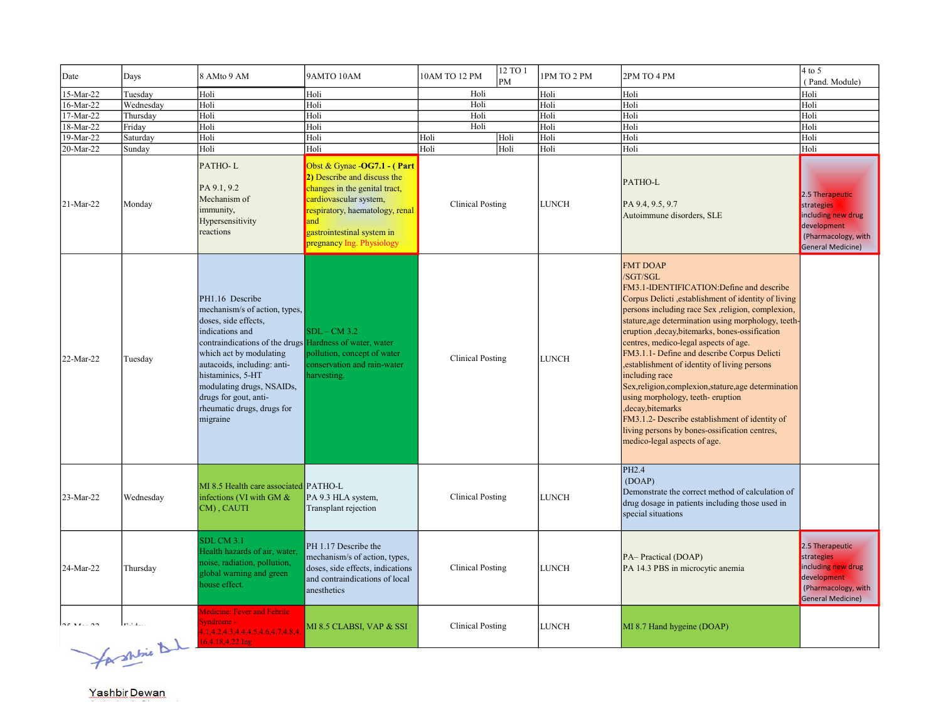| Date      | Days      | 8 AMto 9 AM                                                                                                                                                                                                                                                                                                                           | 9AMTO 10AM                                                                                                                                                                                                                 | 10AM TO 12 PM           | 12 TO 1<br>PM | 1PM TO 2 PM  | 2PM TO 4 PM                                                                                                                                                                                                                                                                                                                                                                                                                                                                                                                                                                                                                                                                                                     | $4$ to 5<br>(Pand. Module)                                                                                     |
|-----------|-----------|---------------------------------------------------------------------------------------------------------------------------------------------------------------------------------------------------------------------------------------------------------------------------------------------------------------------------------------|----------------------------------------------------------------------------------------------------------------------------------------------------------------------------------------------------------------------------|-------------------------|---------------|--------------|-----------------------------------------------------------------------------------------------------------------------------------------------------------------------------------------------------------------------------------------------------------------------------------------------------------------------------------------------------------------------------------------------------------------------------------------------------------------------------------------------------------------------------------------------------------------------------------------------------------------------------------------------------------------------------------------------------------------|----------------------------------------------------------------------------------------------------------------|
| 15-Mar-22 | Tuesday   | Holi                                                                                                                                                                                                                                                                                                                                  | Holi                                                                                                                                                                                                                       | Holi                    |               | Holi         | Holi                                                                                                                                                                                                                                                                                                                                                                                                                                                                                                                                                                                                                                                                                                            | Holi                                                                                                           |
| 16-Mar-22 | Wednesday | Holi                                                                                                                                                                                                                                                                                                                                  | Holi                                                                                                                                                                                                                       | Holi                    |               | Holi         | Holi                                                                                                                                                                                                                                                                                                                                                                                                                                                                                                                                                                                                                                                                                                            | Holi                                                                                                           |
| 17-Mar-22 | Thursdav  | Holi                                                                                                                                                                                                                                                                                                                                  | Holi                                                                                                                                                                                                                       | Holi                    |               | Holi         | Holi                                                                                                                                                                                                                                                                                                                                                                                                                                                                                                                                                                                                                                                                                                            | Holi                                                                                                           |
| 18-Mar-22 | Friday    | Holi                                                                                                                                                                                                                                                                                                                                  | Holi                                                                                                                                                                                                                       | Holi                    |               | Holi         | Holi                                                                                                                                                                                                                                                                                                                                                                                                                                                                                                                                                                                                                                                                                                            | Holi                                                                                                           |
| 19-Mar-22 | Saturday  | Holi                                                                                                                                                                                                                                                                                                                                  | Holi                                                                                                                                                                                                                       | Holi                    | Holi          | Holi         | Holi                                                                                                                                                                                                                                                                                                                                                                                                                                                                                                                                                                                                                                                                                                            | Holi                                                                                                           |
| 20-Mar-22 | Sunday    | Holi                                                                                                                                                                                                                                                                                                                                  | Holi                                                                                                                                                                                                                       | Holi                    | Holi          | Holi         | Holi                                                                                                                                                                                                                                                                                                                                                                                                                                                                                                                                                                                                                                                                                                            | Holi                                                                                                           |
| 21-Mar-22 | Monday    | PATHO-L<br>PA 9.1, 9.2<br>Mechanism of<br>immunity,<br>Hypersensitivity<br>reactions                                                                                                                                                                                                                                                  | Obst & Gynae -OG7.1 - (Part<br>2) Describe and discuss the<br>changes in the genital tract,<br>cardiovascular system,<br>respiratory, haematology, renal<br>and<br>gastrointestinal system in<br>pregnancy Ing. Physiology | <b>Clinical Posting</b> |               | LUNCH        | PATHO-L<br>PA 9.4, 9.5, 9.7<br>Autoimmune disorders, SLE                                                                                                                                                                                                                                                                                                                                                                                                                                                                                                                                                                                                                                                        | 2.5 Therapeutic<br>strategies<br>including new drug<br>development<br>(Pharmacology, with<br>General Medicine) |
| 22-Mar-22 | Tuesday   | PH1.16 Describe<br>mechanism/s of action, types,<br>doses, side effects,<br>indications and<br>contraindications of the drugs Hardness of water, water<br>which act by modulating<br>autacoids, including: anti-<br>histaminics, 5-HT<br>modulating drugs, NSAIDs,<br>drugs for gout, anti-<br>rheumatic drugs, drugs for<br>migraine | $SDL - CM$ 3.2<br>pollution, concept of water<br>conservation and rain-water<br>harvesting.                                                                                                                                | <b>Clinical Posting</b> |               | <b>LUNCH</b> | <b>FMT DOAP</b><br>/SGT/SGL<br>FM3.1-IDENTIFICATION:Define and describe<br>Corpus Delicti , establishment of identity of living<br>persons including race Sex ,religion, complexion,<br>stature, age determination using morphology, teeth-<br>eruption , decay, bitemarks, bones-ossification<br>centres, medico-legal aspects of age.<br>FM3.1.1- Define and describe Corpus Delicti<br>, establishment of identity of living persons<br>including race<br>Sex, religion, complexion, stature, age determination<br>using morphology, teeth-eruption<br>, decay, bitemarks<br>FM3.1.2- Describe establishment of identity of<br>living persons by bones-ossification centres,<br>medico-legal aspects of age. |                                                                                                                |
| 23-Mar-22 | Wednesday | MI 8.5 Health care associated PATHO-L<br>infections (VI with GM &<br>CM), CAUTI                                                                                                                                                                                                                                                       | PA 9.3 HLA system,<br>Transplant rejection                                                                                                                                                                                 | Clinical Posting        |               | <b>LUNCH</b> | PH2.4<br>(DOAP)<br>Demonstrate the correct method of calculation of<br>drug dosage in patients including those used in<br>special situations                                                                                                                                                                                                                                                                                                                                                                                                                                                                                                                                                                    |                                                                                                                |
| 24-Mar-22 | Thursday  | SDL CM 3.1<br>Health hazards of air, water,<br>noise, radiation, pollution,<br>global warning and green<br>house effect.                                                                                                                                                                                                              | PH 1.17 Describe the<br>mechanism/s of action, types,<br>doses, side effects, indications<br>and contraindications of local<br>anesthetics                                                                                 | <b>Clinical Posting</b> |               | <b>LUNCH</b> | PA-Practical (DOAP)<br>PA 14.3 PBS in microcytic anemia                                                                                                                                                                                                                                                                                                                                                                                                                                                                                                                                                                                                                                                         | 2.5 Therapeutic<br>strategies<br>including new drug<br>development<br>(Pharmacology, with<br>General Medicine) |
|           | $\lambda$ | Medicine: Fever and Febrile<br>Syndrome -<br>4.1, 4.2, 4.3, 4.4, 4.5, 4.6, 4.7, 4.8, 4.<br>16,4.18,4.22 Ing                                                                                                                                                                                                                           | MI 8.5 CLABSI, VAP & SSI                                                                                                                                                                                                   | <b>Clinical Posting</b> |               | <b>LUNCH</b> | MI 8.7 Hand hygeine (DOAP)                                                                                                                                                                                                                                                                                                                                                                                                                                                                                                                                                                                                                                                                                      |                                                                                                                |

for shipse 1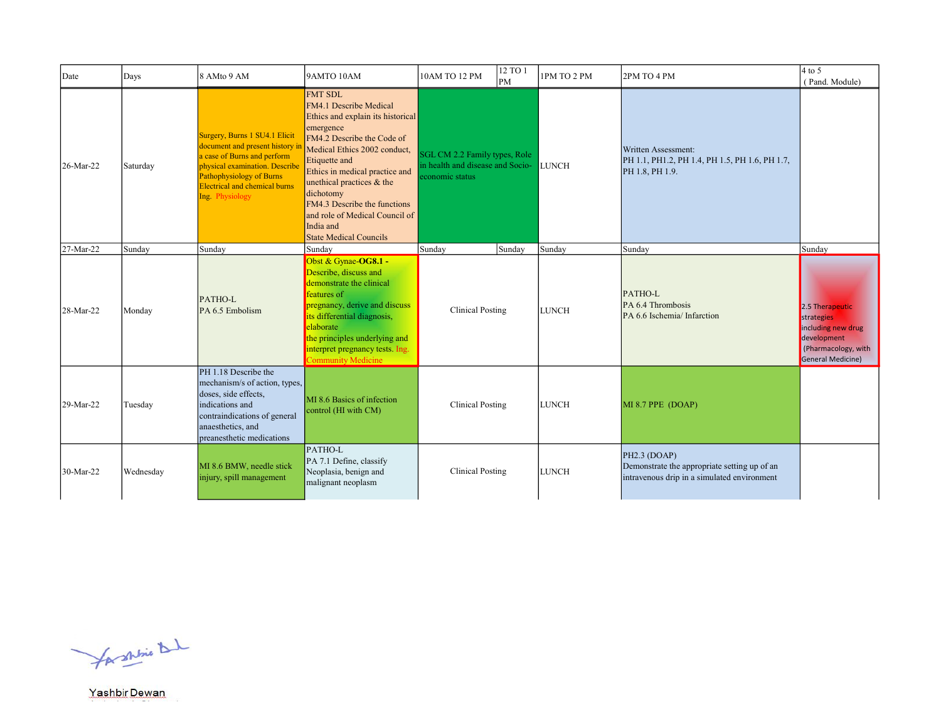| Date      | Days      | 8 AMto 9 AM                                                                                                                                                                                                              | 9AMTO 10AM                                                                                                                                                                                                                                                                                                                                                            | 10AM TO 12 PM                                                                        | 12 TO 1<br><b>PM</b> | 1PM TO 2 PM  | 2PM TO 4 PM                                                                                                 | $4$ to 5<br>(Pand. Module)                                                                                     |
|-----------|-----------|--------------------------------------------------------------------------------------------------------------------------------------------------------------------------------------------------------------------------|-----------------------------------------------------------------------------------------------------------------------------------------------------------------------------------------------------------------------------------------------------------------------------------------------------------------------------------------------------------------------|--------------------------------------------------------------------------------------|----------------------|--------------|-------------------------------------------------------------------------------------------------------------|----------------------------------------------------------------------------------------------------------------|
| 26-Mar-22 | Saturday  | Surgery, Burns 1 SU4.1 Elicit<br>document and present history in<br>a case of Burns and perform<br>physical examination. Describe<br>Pathophysiology of Burns<br><b>Electrical and chemical burns</b><br>Ing. Physiology | <b>FMT SDL</b><br>FM4.1 Describe Medical<br>Ethics and explain its historical<br>emergence<br>FM4.2 Describe the Code of<br>Medical Ethics 2002 conduct,<br>Etiquette and<br>Ethics in medical practice and<br>unethical practices & the<br>dichotomy<br>FM4.3 Describe the functions<br>and role of Medical Council of<br>India and<br><b>State Medical Councils</b> | SGL CM 2.2 Family types, Role<br>in health and disease and Socio-<br>economic status |                      | <b>LUNCH</b> | Written Assessment:<br>PH 1.1, PH1.2, PH 1.4, PH 1.5, PH 1.6, PH 1.7,<br>PH 1.8, PH 1.9.                    |                                                                                                                |
| 27-Mar-22 | Sundav    | Sunday                                                                                                                                                                                                                   | Sunday                                                                                                                                                                                                                                                                                                                                                                | Sunday                                                                               | Sunday               | Sunday       | Sunday                                                                                                      | Sunday                                                                                                         |
| 28-Mar-22 | Monday    | PATHO-L<br>PA 6.5 Embolism                                                                                                                                                                                               | Obst & Gynae-OG8.1 -<br>Describe, discuss and<br>demonstrate the clinical<br>features of<br>pregnancy, derive and discuss<br>its differential diagnosis,<br>elaborate<br>the principles underlying and<br>interpret pregnancy tests. Ing.<br><b>Community Medicine</b>                                                                                                | <b>Clinical Posting</b>                                                              |                      | <b>LUNCH</b> | PATHO-L<br>PA 6.4 Thrombosis<br>PA 6.6 Ischemia/ Infarction                                                 | 2.5 Therapeutic<br>strategies<br>including new drug<br>development<br>(Pharmacology, with<br>General Medicine) |
| 29-Mar-22 | Tuesday   | PH 1.18 Describe the<br>mechanism/s of action, types,<br>doses, side effects,<br>indications and<br>contraindications of general<br>anaesthetics, and<br>preanesthetic medications                                       | MI 8.6 Basics of infection<br>control (HI with CM)                                                                                                                                                                                                                                                                                                                    | <b>Clinical Posting</b>                                                              |                      | <b>LUNCH</b> | MI 8.7 PPE (DOAP)                                                                                           |                                                                                                                |
| 30-Mar-22 | Wednesday | MI 8.6 BMW, needle stick<br>injury, spill management                                                                                                                                                                     | PATHO-L<br>PA 7.1 Define, classify<br>Neoplasia, benign and<br>malignant neoplasm                                                                                                                                                                                                                                                                                     | Clinical Posting                                                                     |                      | <b>LUNCH</b> | PH2.3 (DOAP)<br>Demonstrate the appropriate setting up of an<br>intravenous drip in a simulated environment |                                                                                                                |

for shrine that

Yashbir Dewan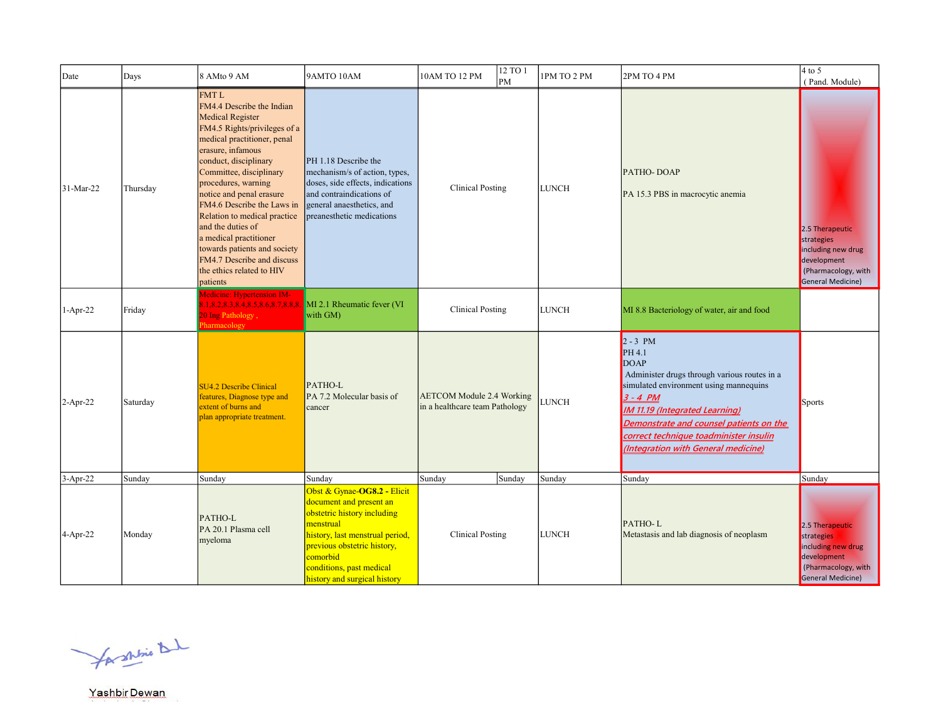| Date       | Days     | 8 AMto 9 AM                                                                                                                                                                                                                                                                                                                                                                                                                                                                        | 9AMTO 10AM                                                                                                                                                                                                                                   | 10AM TO 12 PM                                                      | 12 TO 1<br>PM | 1PM TO 2 PM  | 2PM TO 4 PM                                                                                                                                                                                                                                                                                               | $4$ to 5<br>(Pand. Module)                                                                                     |
|------------|----------|------------------------------------------------------------------------------------------------------------------------------------------------------------------------------------------------------------------------------------------------------------------------------------------------------------------------------------------------------------------------------------------------------------------------------------------------------------------------------------|----------------------------------------------------------------------------------------------------------------------------------------------------------------------------------------------------------------------------------------------|--------------------------------------------------------------------|---------------|--------------|-----------------------------------------------------------------------------------------------------------------------------------------------------------------------------------------------------------------------------------------------------------------------------------------------------------|----------------------------------------------------------------------------------------------------------------|
| 31-Mar-22  | Thursday | <b>FMTL</b><br>FM4.4 Describe the Indian<br><b>Medical Register</b><br>FM4.5 Rights/privileges of a<br>medical practitioner, penal<br>erasure, infamous<br>conduct, disciplinary<br>Committee, disciplinary<br>procedures, warning<br>notice and penal erasure<br>FM4.6 Describe the Laws in<br>Relation to medical practice<br>and the duties of<br>a medical practitioner<br>towards patients and society<br>FM4.7 Describe and discuss<br>the ethics related to HIV<br>patients | PH 1.18 Describe the<br>mechanism/s of action, types,<br>doses, side effects, indications<br>and contraindications of<br>general anaesthetics, and<br>preanesthetic medications                                                              | <b>Clinical Posting</b>                                            |               | <b>LUNCH</b> | PATHO-DOAP<br>PA 15.3 PBS in macrocytic anemia                                                                                                                                                                                                                                                            | 2.5 Therapeutic<br>strategies<br>including new drug<br>development<br>(Pharmacology, with<br>General Medicine) |
| 1-Apr-22   | Friday   | Aedicine: Hypertension IM-<br>1,8.2,8.3,8.4,8.5,8.6,8.7,8.8,8.<br>20 Ing Pathology,<br>harmacology                                                                                                                                                                                                                                                                                                                                                                                 | MI 2.1 Rheumatic fever (VI<br>with GM)                                                                                                                                                                                                       | <b>Clinical Posting</b>                                            |               | <b>LUNCH</b> | MI 8.8 Bacteriology of water, air and food                                                                                                                                                                                                                                                                |                                                                                                                |
| $2-Apr-22$ | Saturday | <b>SU4.2 Describe Clinical</b><br>features, Diagnose type and<br>extent of burns and<br>plan appropriate treatment.                                                                                                                                                                                                                                                                                                                                                                | PATHO-L<br>PA 7.2 Molecular basis of<br>cancer                                                                                                                                                                                               | <b>AETCOM Module 2.4 Working</b><br>in a healthcare team Pathology |               | LUNCH        | $2 - 3 PM$<br>PH 4.1<br>DOAP<br>Administer drugs through various routes in a<br>simulated environment using mannequins<br>$3 - 4 PM$<br><b>IM 11.19 (Integrated Learning)</b><br>Demonstrate and counsel patients on the<br>correct technique toadminister insulin<br>(Integration with General medicine) | <b>Sports</b>                                                                                                  |
| $3-Apr-22$ | Sunday   | Sunday                                                                                                                                                                                                                                                                                                                                                                                                                                                                             | Sunday                                                                                                                                                                                                                                       | Sunday                                                             | Sunday        | Sunday       | Sunday                                                                                                                                                                                                                                                                                                    | Sunday                                                                                                         |
| $4-Apr-22$ | Monday   | PATHO-L<br>PA 20.1 Plasma cell<br>myeloma                                                                                                                                                                                                                                                                                                                                                                                                                                          | Obst & Gynae-OG8.2 - Elicit<br>document and present an<br>obstetric history including<br>menstrual<br>history, last menstrual period,<br>previous obstetric history,<br>comorbid<br>conditions, past medical<br>history and surgical history | <b>Clinical Posting</b>                                            |               | <b>LUNCH</b> | PATHO-L<br>Metastasis and lab diagnosis of neoplasm                                                                                                                                                                                                                                                       | 2.5 Therapeutic<br>strategies<br>including new drug<br>development<br>(Pharmacology, with<br>General Medicine) |

for shrine that

Yashbir Dewan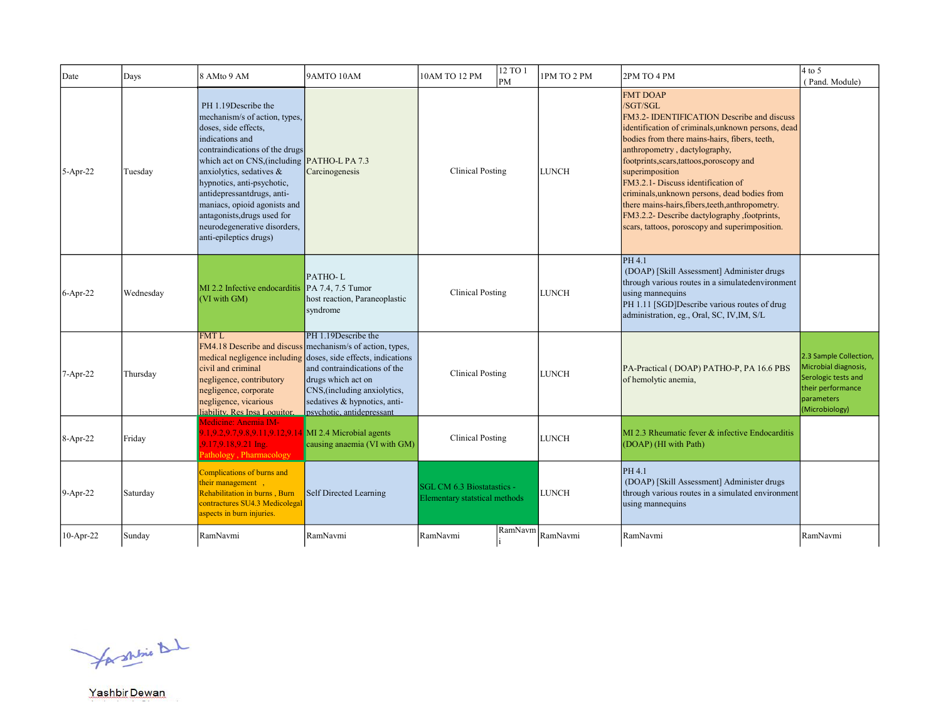| Date       | Days      | 8 AMto 9 AM                                                                                                                                                                                                                                                                                                                                                                                       | 9AMTO 10AM                                                                                                                                                                                                                                  | 10AM TO 12 PM                                               | 12 TO 1<br>lрм | 1PM TO 2 PM                            | 2PM TO 4 PM                                                                                                                                                                                                                                                                                                                                                                                                                                                                                                                    | $4$ to 5<br>(Pand. Module)                                                                                                 |
|------------|-----------|---------------------------------------------------------------------------------------------------------------------------------------------------------------------------------------------------------------------------------------------------------------------------------------------------------------------------------------------------------------------------------------------------|---------------------------------------------------------------------------------------------------------------------------------------------------------------------------------------------------------------------------------------------|-------------------------------------------------------------|----------------|----------------------------------------|--------------------------------------------------------------------------------------------------------------------------------------------------------------------------------------------------------------------------------------------------------------------------------------------------------------------------------------------------------------------------------------------------------------------------------------------------------------------------------------------------------------------------------|----------------------------------------------------------------------------------------------------------------------------|
| $5-Apr-22$ | Tuesday   | PH 1.19Describe the<br>mechanism/s of action, types,<br>doses, side effects,<br>indications and<br>contraindications of the drugs<br>which act on CNS, (including PATHO-L PA 7.3<br>anxiolytics, sedatives &<br>hypnotics, anti-psychotic,<br>antidepressantdrugs, anti-<br>maniacs, opioid agonists and<br>antagonists, drugs used for<br>neurodegenerative disorders,<br>anti-epileptics drugs) | Carcinogenesis                                                                                                                                                                                                                              | <b>Clinical Posting</b>                                     |                | <b>LUNCH</b>                           | <b>FMT DOAP</b><br>/SGT/SGL<br>FM3.2- IDENTIFICATION Describe and discuss<br>identification of criminals, unknown persons, dead<br>bodies from there mains-hairs, fibers, teeth,<br>anthropometry, dactylography,<br>footprints, scars, tattoos, poroscopy and<br>superimposition<br>FM3.2.1- Discuss identification of<br>criminals, unknown persons, dead bodies from<br>there mains-hairs, fibers, teeth, anthropometry.<br>FM3.2.2- Describe dactylography , footprints,<br>scars, tattoos, poroscopy and superimposition. |                                                                                                                            |
| $6-Apr-22$ | Wednesday | MI 2.2 Infective endocarditis<br>(VI with GM)                                                                                                                                                                                                                                                                                                                                                     | PATHO-L<br>PA 7.4, 7.5 Tumor<br>host reaction, Paraneoplastic<br>syndrome                                                                                                                                                                   | <b>Clinical Posting</b>                                     |                | <b>LUNCH</b>                           | PH 4.1<br>(DOAP) [Skill Assessment] Administer drugs<br>through various routes in a simulatedenvironment<br>using mannequins<br>PH 1.11 [SGD]Describe various routes of drug<br>administration, eg., Oral, SC, IV,IM, S/L                                                                                                                                                                                                                                                                                                      |                                                                                                                            |
| 7-Apr-22   | Thursday  | <b>FMT L</b><br>FM4.18 Describe and discuss<br>medical negligence including<br>civil and criminal<br>negligence, contributory<br>negligence, corporate<br>negligence, vicarious<br>liability. Res Insa Loquitor.                                                                                                                                                                                  | PH 1.19Describe the<br>mechanism/s of action, types,<br>doses, side effects, indications<br>and contraindications of the<br>drugs which act on<br>CNS, (including anxiolytics,<br>sedatives & hypnotics, anti-<br>psychotic, antidepressant | <b>Clinical Posting</b>                                     |                | ILUNCH                                 | PA-Practical (DOAP) PATHO-P, PA 16.6 PBS<br>of hemolytic anemia,                                                                                                                                                                                                                                                                                                                                                                                                                                                               | 2.3 Sample Collection,<br>Microbial diagnosis,<br>Serologic tests and<br>their performance<br>parameters<br>(Microbiology) |
| 8-Apr-22   | Friday    | Medicine: Anemia IM-<br>1,9.2,9.7,9.8,9.11,9.12,9.14 MI 2.4 Microbial agents<br>9.17,9.18,9.21 Ing.<br>athology, Pharmacology                                                                                                                                                                                                                                                                     | causing anaemia (VI with GM)                                                                                                                                                                                                                | <b>Clinical Posting</b>                                     |                | <b>LUNCH</b>                           | MI 2.3 Rheumatic fever & infective Endocarditis<br>(DOAP) (HI with Path)                                                                                                                                                                                                                                                                                                                                                                                                                                                       |                                                                                                                            |
| $9-Apr-22$ | Saturday  | Complications of burns and<br>their management,<br>Rehabilitation in burns, Burn<br>contractures SU4.3 Medicolegal<br>aspects in burn injuries.                                                                                                                                                                                                                                                   | Self Directed Learning                                                                                                                                                                                                                      | SGL CM 6.3 Biostatastics -<br>Elementary statstical methods |                | <b>LUNCH</b>                           | PH 4.1<br>(DOAP) [Skill Assessment] Administer drugs<br>through various routes in a simulated environment<br>using mannequins                                                                                                                                                                                                                                                                                                                                                                                                  |                                                                                                                            |
| 10-Apr-22  | Sunday    | RamNavmi                                                                                                                                                                                                                                                                                                                                                                                          | RamNavmi                                                                                                                                                                                                                                    | RamNavmi                                                    |                | $\fbox{RamNavm} \Big  \hbox{RamNavmi}$ | RamNavmi                                                                                                                                                                                                                                                                                                                                                                                                                                                                                                                       | RamNavmi                                                                                                                   |

for shine that

Yashbir Dewan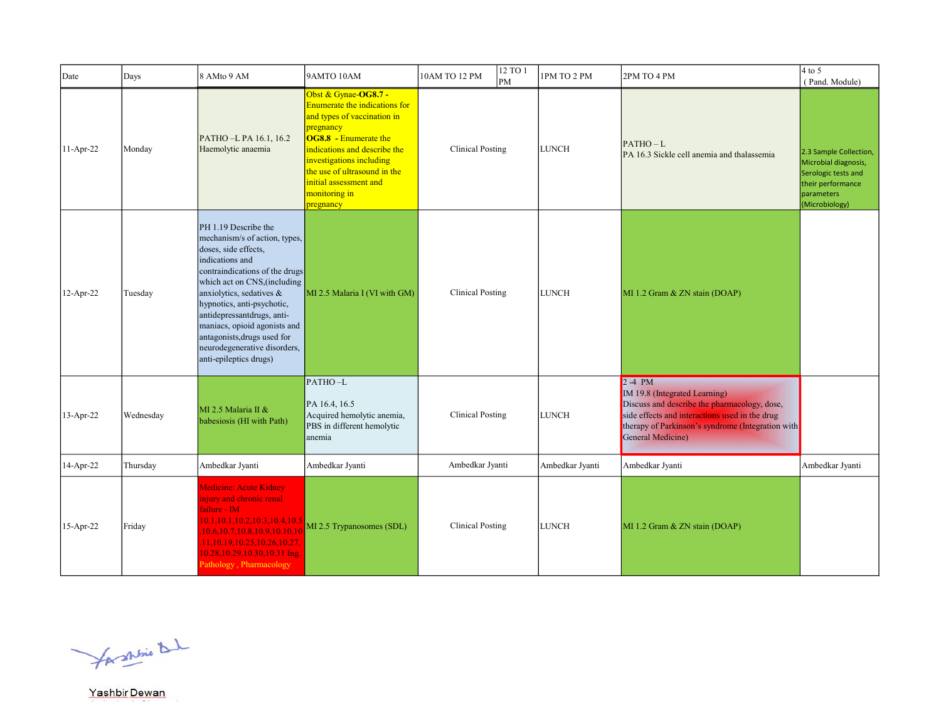| Date      | Days      | 8 AMto 9 AM                                                                                                                                                                                                                                                                                                                                                                         | 9AMTO 10AM                                                                                                                                                                                                                                                                                           | 10AM TO 12 PM           | 12 TO 1<br>PM | 1PM TO 2 PM     | 2PM TO 4 PM                                                                                                                                                                                                           | $4$ to 5<br>(Pand. Module)                                                                                                 |
|-----------|-----------|-------------------------------------------------------------------------------------------------------------------------------------------------------------------------------------------------------------------------------------------------------------------------------------------------------------------------------------------------------------------------------------|------------------------------------------------------------------------------------------------------------------------------------------------------------------------------------------------------------------------------------------------------------------------------------------------------|-------------------------|---------------|-----------------|-----------------------------------------------------------------------------------------------------------------------------------------------------------------------------------------------------------------------|----------------------------------------------------------------------------------------------------------------------------|
| 11-Apr-22 | Monday    | PATHO-L PA 16.1, 16.2<br>Haemolytic anaemia                                                                                                                                                                                                                                                                                                                                         | Obst & Gynae-OG8.7 -<br>Enumerate the indications for<br>and types of vaccination in<br>pregnancy<br>$\overline{\textbf{OG8.8}}$ - Enumerate the<br>indications and describe the<br>investigations including<br>the use of ultrasound in the<br>initial assessment and<br>monitoring in<br>pregnancy | <b>Clinical Posting</b> |               | <b>LUNCH</b>    | $PATHO-L$<br>PA 16.3 Sickle cell anemia and thalassemia                                                                                                                                                               | 2.3 Sample Collection,<br>Microbial diagnosis,<br>Serologic tests and<br>their performance<br>parameters<br>(Microbiology) |
| 12-Apr-22 | Tuesday   | PH 1.19 Describe the<br>mechanism/s of action, types,<br>doses, side effects,<br>indications and<br>contraindications of the drugs<br>which act on CNS, (including<br>anxiolytics, sedatives &<br>hypnotics, anti-psychotic,<br>antidepressantdrugs, anti-<br>maniacs, opioid agonists and<br>antagonists, drugs used for<br>neurodegenerative disorders,<br>anti-epileptics drugs) | MI 2.5 Malaria I (VI with GM)                                                                                                                                                                                                                                                                        | <b>Clinical Posting</b> |               | <b>LUNCH</b>    | MI 1.2 Gram & ZN stain (DOAP)                                                                                                                                                                                         |                                                                                                                            |
| 13-Apr-22 | Wednesday | MI 2.5 Malaria II &<br>babesiosis (HI with Path)                                                                                                                                                                                                                                                                                                                                    | PATHO-L<br>PA 16.4, 16.5<br>Acquired hemolytic anemia,<br>PBS in different hemolytic<br>anemia                                                                                                                                                                                                       | <b>Clinical Posting</b> |               | <b>LUNCH</b>    | $2-4$ PM<br>IM 19.8 (Integrated Learning)<br>Discuss and describe the pharmacology, dose,<br>side effects and interactions used in the drug<br>therapy of Parkinson's syndrome (Integration with<br>General Medicine) |                                                                                                                            |
| 14-Apr-22 | Thursday  | Ambedkar Jyanti                                                                                                                                                                                                                                                                                                                                                                     | Ambedkar Jyanti                                                                                                                                                                                                                                                                                      | Ambedkar Jyanti         |               | Ambedkar Jyanti | Ambedkar Jyanti                                                                                                                                                                                                       | Ambedkar Jyanti                                                                                                            |
| 15-Apr-22 | Friday    | Medicine: Acute Kidney<br>injury and chronic renal<br>ailure - IM<br>10.1, 10.1, 10.2, 10.3, 10.4, 10.5<br>10.6, 10.7, 10.8, 10.9, 10.10, 10<br>11,10.19,10.25,10.26,10.27,<br>10.28, 10.29, 10.30, 10.31 Ing.<br>Pathology, Pharmacology                                                                                                                                           | MI 2.5 Trypanosomes (SDL)                                                                                                                                                                                                                                                                            | <b>Clinical Posting</b> |               | <b>LUNCH</b>    | MI 1.2 Gram & ZN stain (DOAP)                                                                                                                                                                                         |                                                                                                                            |

for shrine that

Yashbir Dewan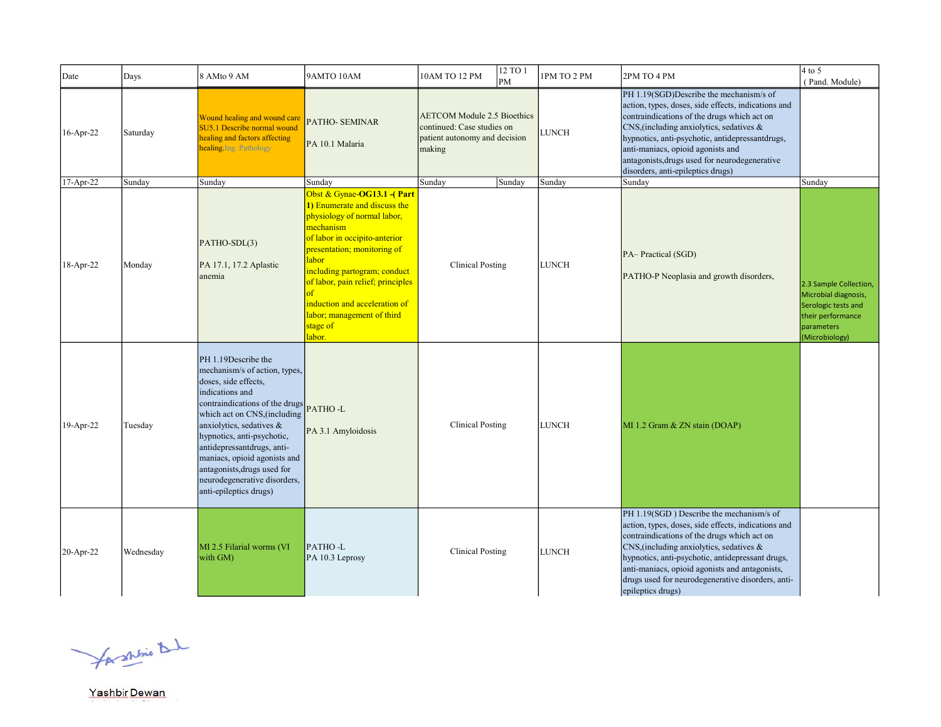| Date         | Days      | 8 AMto 9 AM                                                                                                                                                                                                                                                                                                                                                                                | 9AMTO 10AM                                                                                                                                                                                                                                                                                                                                      | 10AM TO 12 PM                                                                                               | 12 TO 1<br>PM | 1PM TO 2 PM  | 2PM TO 4 PM                                                                                                                                                                                                                                                                                                                                                                    | $4$ to 5<br>(Pand. Module)                                                                                                 |
|--------------|-----------|--------------------------------------------------------------------------------------------------------------------------------------------------------------------------------------------------------------------------------------------------------------------------------------------------------------------------------------------------------------------------------------------|-------------------------------------------------------------------------------------------------------------------------------------------------------------------------------------------------------------------------------------------------------------------------------------------------------------------------------------------------|-------------------------------------------------------------------------------------------------------------|---------------|--------------|--------------------------------------------------------------------------------------------------------------------------------------------------------------------------------------------------------------------------------------------------------------------------------------------------------------------------------------------------------------------------------|----------------------------------------------------------------------------------------------------------------------------|
| $16$ -Apr-22 | Saturday  | Wound healing and wound care<br>SU5.1 Describe normal wound<br>healing and factors affecting<br>healing. Ing. Pathology                                                                                                                                                                                                                                                                    | <b>PATHO- SEMINAR</b><br>PA 10.1 Malaria                                                                                                                                                                                                                                                                                                        | <b>AETCOM Module 2.5 Bioethics</b><br>continued: Case studies on<br>patient autonomy and decision<br>making |               | LUNCH        | PH 1.19(SGD)Describe the mechanism/s of<br>action, types, doses, side effects, indications and<br>contraindications of the drugs which act on<br>$\cos$ , (including anxiolytics, sedatives &<br>hypnotics, anti-psychotic, antidepressantdrugs,<br>anti-maniacs, opioid agonists and<br>antagonists, drugs used for neurodegenerative<br>disorders, anti-epileptics drugs)    |                                                                                                                            |
| 17-Apr-22    | Sunday    | Sunday                                                                                                                                                                                                                                                                                                                                                                                     | Sundav                                                                                                                                                                                                                                                                                                                                          | Sunday                                                                                                      | Sunday        | Sunday       | Sunday                                                                                                                                                                                                                                                                                                                                                                         | Sunday                                                                                                                     |
| 18-Apr-22    | Monday    | PATHO-SDL(3)<br>PA 17.1, 17.2 Aplastic<br>anemia                                                                                                                                                                                                                                                                                                                                           | Obst & Gynae-OG13.1 -(Part<br>1) Enumerate and discuss the<br>physiology of normal labor,<br>mechanism<br>of labor in occipito-anterior<br>presentation; monitoring of<br>labor<br>including partogram; conduct<br>of labor, pain relief; principles<br>оf<br>induction and acceleration of<br>labor; management of third<br>stage of<br>labor. | <b>Clinical Posting</b>                                                                                     |               | <b>LUNCH</b> | PA-Practical (SGD)<br>PATHO-P Neoplasia and growth disorders,                                                                                                                                                                                                                                                                                                                  | 2.3 Sample Collection,<br>Microbial diagnosis,<br>Serologic tests and<br>their performance<br>parameters<br>(Microbiology) |
| 19-Apr-22    | Tuesday   | PH 1.19Describe the<br>mechanism/s of action, types,<br>doses, side effects,<br>indications and<br>contraindications of the drugs PATHO-L<br>which act on CNS, (including<br>anxiolytics, sedatives &<br>hypnotics, anti-psychotic,<br>antidepressantdrugs, anti-<br>maniacs, opioid agonists and<br>antagonists, drugs used for<br>neurodegenerative disorders,<br>anti-epileptics drugs) | PA 3.1 Amyloidosis                                                                                                                                                                                                                                                                                                                              | <b>Clinical Posting</b>                                                                                     |               | <b>LUNCH</b> | MI 1.2 Gram & ZN stain (DOAP)                                                                                                                                                                                                                                                                                                                                                  |                                                                                                                            |
| 20-Apr-22    | Wednesday | MI 2.5 Filarial worms (VI<br>with GM)                                                                                                                                                                                                                                                                                                                                                      | PATHO-L<br>PA 10.3 Leprosy                                                                                                                                                                                                                                                                                                                      | <b>Clinical Posting</b>                                                                                     |               | <b>LUNCH</b> | PH 1.19(SGD) Describe the mechanism/s of<br>action, types, doses, side effects, indications and<br>contraindications of the drugs which act on<br>$\cos$ , (including anxiolytics, sedatives &<br>hypnotics, anti-psychotic, antidepressant drugs,<br>anti-maniacs, opioid agonists and antagonists,<br>drugs used for neurodegenerative disorders, anti-<br>epileptics drugs) |                                                                                                                            |

for shrine that

Yashbir Dewan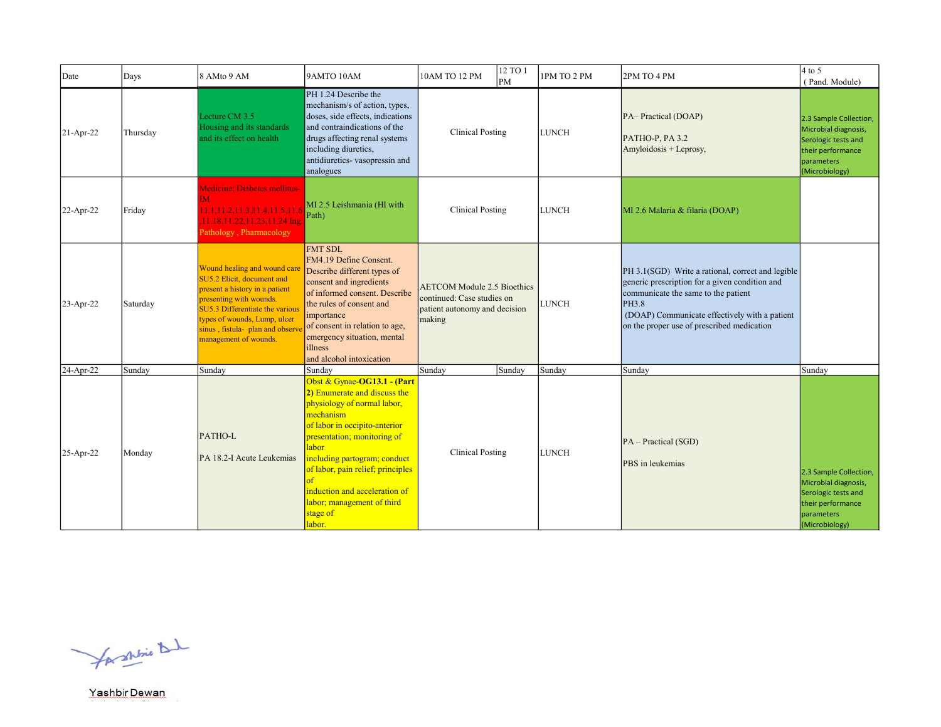| Date                   | Days             | 8 AMto 9 AM                                                                                                                                                                                                                                            | 9AMTO 10AM                                                                                                                                                                                                                                                                                                                                           | 10AM TO 12 PM                                                                                               | 12 TO 1<br>PM | 1PM TO 2 PM            | 2PM TO 4 PM                                                                                                                                                                                                                                        | $4$ to 5<br>(Pand. Module)                                                                                                           |
|------------------------|------------------|--------------------------------------------------------------------------------------------------------------------------------------------------------------------------------------------------------------------------------------------------------|------------------------------------------------------------------------------------------------------------------------------------------------------------------------------------------------------------------------------------------------------------------------------------------------------------------------------------------------------|-------------------------------------------------------------------------------------------------------------|---------------|------------------------|----------------------------------------------------------------------------------------------------------------------------------------------------------------------------------------------------------------------------------------------------|--------------------------------------------------------------------------------------------------------------------------------------|
| $21-Apr-22$            | Thursday         | Lecture CM 3.5<br>Housing and its standards<br>and its effect on health                                                                                                                                                                                | PH 1.24 Describe the<br>mechanism/s of action, types,<br>doses, side effects, indications<br>and contraindications of the<br>drugs affecting renal systems<br>including diuretics,<br>antidiuretics-vasopressin and<br>analogues                                                                                                                     | <b>Clinical Posting</b>                                                                                     |               | <b>LUNCH</b>           | PA-Practical (DOAP)<br>PATHO-P, PA 3.2<br>$Amyloidosis + Leprosy,$                                                                                                                                                                                 | 2.3 Sample Collection,<br>Microbial diagnosis,<br>Serologic tests and<br>their performance<br>parameters<br>(Microbiology)           |
| 22-Apr-22              | Friday           | Medicine: Diabetes mellitus-<br>M<br>11.1, 11.2, 11.3, 11.4, 11.5, 11.6<br>11.18,11.22,11.23,11.24 Ing.<br>Pathology, Pharmacology                                                                                                                     | MI 2.5 Leishmania (HI with<br>Path)                                                                                                                                                                                                                                                                                                                  | <b>Clinical Posting</b>                                                                                     |               | <b>LUNCH</b>           | MI 2.6 Malaria & filaria (DOAP)                                                                                                                                                                                                                    |                                                                                                                                      |
| 23-Apr-22              | Saturday         | Wound healing and wound care<br>SU5.2 Elicit, document and<br>present a history in a patient<br>presenting with wounds.<br>SU5.3 Differentiate the various<br>types of wounds, Lump, ulcer<br>sinus, fistula- plan and observ<br>management of wounds. | <b>FMT SDL</b><br>FM4.19 Define Consent.<br>Describe different types of<br>consent and ingredients<br>of informed consent. Describe<br>the rules of consent and<br>importance<br>of consent in relation to age,<br>emergency situation, mental<br>illness<br>and alcohol intoxication                                                                | <b>AETCOM Module 2.5 Bioethics</b><br>continued: Case studies on<br>patient autonomy and decision<br>making |               | <b>LUNCH</b>           | PH 3.1(SGD) Write a rational, correct and legible<br>generic prescription for a given condition and<br>communicate the same to the patient<br>PH3.8<br>(DOAP) Communicate effectively with a patient<br>on the proper use of prescribed medication |                                                                                                                                      |
| 24-Apr-22<br>25-Apr-22 | Sunday<br>Monday | Sunday<br>PATHO-L<br>PA 18.2-I Acute Leukemias                                                                                                                                                                                                         | Sundav<br>Obst & Gynae-OG13.1 - (Part<br>2) Enumerate and discuss the<br>physiology of normal labor,<br>mechanism<br>of labor in occipito-anterior<br>presentation; monitoring of<br>labor<br>including partogram; conduct<br>of labor, pain relief; principles<br>induction and acceleration of<br>labor; management of third<br>stage of<br>labor. | Sunday<br><b>Clinical Posting</b>                                                                           | Sunday        | Sunday<br><b>LUNCH</b> | Sunday<br>PA - Practical (SGD)<br>PBS in leukemias                                                                                                                                                                                                 | Sunday<br>2.3 Sample Collection,<br>Microbial diagnosis,<br>Serologic tests and<br>their performance<br>parameters<br>(Microbiology) |

for shrine that

Yashbir Dewan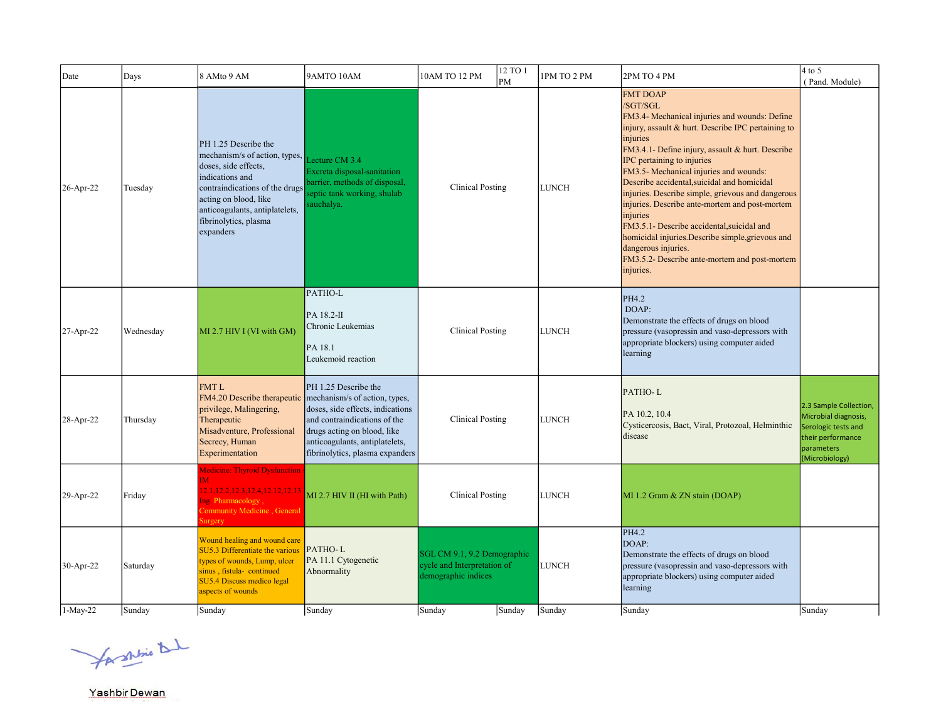| Date      | Days      | 8 AMto 9 AM                                                                                                                                                                                                                         | 9AMTO 10AM                                                                                                                                                                                                                    | 10AM TO 12 PM                                                                     | 12 TO 1<br>PM | 1PM TO 2 PM  | 2PM TO 4 PM                                                                                                                                                                                                                                                                                                                                                                                                                                                                                                                                                                                                                          | $4$ to 5<br>(Pand. Module)                                                                                                 |
|-----------|-----------|-------------------------------------------------------------------------------------------------------------------------------------------------------------------------------------------------------------------------------------|-------------------------------------------------------------------------------------------------------------------------------------------------------------------------------------------------------------------------------|-----------------------------------------------------------------------------------|---------------|--------------|--------------------------------------------------------------------------------------------------------------------------------------------------------------------------------------------------------------------------------------------------------------------------------------------------------------------------------------------------------------------------------------------------------------------------------------------------------------------------------------------------------------------------------------------------------------------------------------------------------------------------------------|----------------------------------------------------------------------------------------------------------------------------|
| 26-Apr-22 | Tuesday   | PH 1.25 Describe the<br>mechanism/s of action, types,<br>doses, side effects,<br>indications and<br>contraindications of the drugs<br>acting on blood, like<br>anticoagulants, antiplatelets,<br>fibrinolytics, plasma<br>expanders | Lecture CM 3.4<br>Excreta disposal-sanitation<br>barrier, methods of disposal,<br>eptic tank working, shulab<br>auchalya.                                                                                                     | <b>Clinical Posting</b>                                                           |               | <b>LUNCH</b> | <b>FMT DOAP</b><br>/SGT/SGL<br>FM3.4- Mechanical injuries and wounds: Define<br>injury, assault & hurt. Describe IPC pertaining to<br>injuries<br>FM3.4.1- Define injury, assault & hurt. Describe<br>IPC pertaining to injuries<br>FM3.5- Mechanical injuries and wounds:<br>Describe accidental, suicidal and homicidal<br>injuries. Describe simple, grievous and dangerous<br>injuries. Describe ante-mortem and post-mortem<br>injuries<br>FM3.5.1- Describe accidental, suicidal and<br>homicidal injuries. Describe simple, grievous and<br>dangerous injuries.<br>FM3.5.2- Describe ante-mortem and post-mortem<br>injuries. |                                                                                                                            |
| 27-Apr-22 | Wednesday | MI 2.7 HIV I (VI with GM)                                                                                                                                                                                                           | PATHO-L<br>PA 18.2-II<br>Chronic Leukemias<br>PA 18.1<br>Leukemoid reaction                                                                                                                                                   | <b>Clinical Posting</b>                                                           |               | LUNCH        | PH4.2<br>DOAP:<br>Demonstrate the effects of drugs on blood<br>pressure (vasopressin and vaso-depressors with<br>appropriate blockers) using computer aided<br>learning                                                                                                                                                                                                                                                                                                                                                                                                                                                              |                                                                                                                            |
| 28-Apr-22 | Thursday  | FMT L<br>FM4.20 Describe therapeutic<br>privilege, Malingering,<br>Therapeutic<br>Misadventure, Professional<br>Secrecy, Human<br>Experimentation                                                                                   | PH 1.25 Describe the<br>mechanism/s of action, types,<br>doses, side effects, indications<br>and contraindications of the<br>drugs acting on blood, like<br>anticoagulants, antiplatelets,<br>fibrinolytics, plasma expanders | <b>Clinical Posting</b>                                                           |               | <b>LUNCH</b> | PATHO-L<br>PA 10.2, 10.4<br>Cysticercosis, Bact, Viral, Protozoal, Helminthic<br>disease                                                                                                                                                                                                                                                                                                                                                                                                                                                                                                                                             | 2.3 Sample Collection,<br>Microbial diagnosis,<br>Serologic tests and<br>their performance<br>parameters<br>(Microbiology) |
| 29-Apr-22 | Friday    | <b>Medicine: Thyroid Dysfunction</b><br>IМ.<br>2.1, 12.2, 12.3, 12.4, 12.12, 12.13<br>Ing. Pharmacology,<br>Community Medicine, General<br>urgery                                                                                   | MI 2.7 HIV II (HI with Path)                                                                                                                                                                                                  | <b>Clinical Posting</b>                                                           |               | <b>LUNCH</b> | MI 1.2 Gram & ZN stain (DOAP)                                                                                                                                                                                                                                                                                                                                                                                                                                                                                                                                                                                                        |                                                                                                                            |
| 30-Apr-22 | Saturday  | Wound healing and wound care<br>SU5.3 Differentiate the various<br>types of wounds, Lump, ulcer<br>sinus, fistula- continued<br>SU5.4 Discuss medico legal<br>aspects of wounds                                                     | PATHO-L<br>PA 11.1 Cytogenetic<br>Abnormality                                                                                                                                                                                 | SGL CM 9.1, 9.2 Demographic<br>cycle and Interpretation of<br>demographic indices |               | <b>LUNCH</b> | PH4.2<br>DOAP:<br>Demonstrate the effects of drugs on blood<br>pressure (vasopressin and vaso-depressors with<br>appropriate blockers) using computer aided<br>learning                                                                                                                                                                                                                                                                                                                                                                                                                                                              |                                                                                                                            |
| 1-May-22  | Sunday    | Sunday                                                                                                                                                                                                                              | Sunday                                                                                                                                                                                                                        | Sunday                                                                            | Sunday        | Sunday       | Sunday                                                                                                                                                                                                                                                                                                                                                                                                                                                                                                                                                                                                                               | Sunday                                                                                                                     |

for shine that

Yashbir Dewan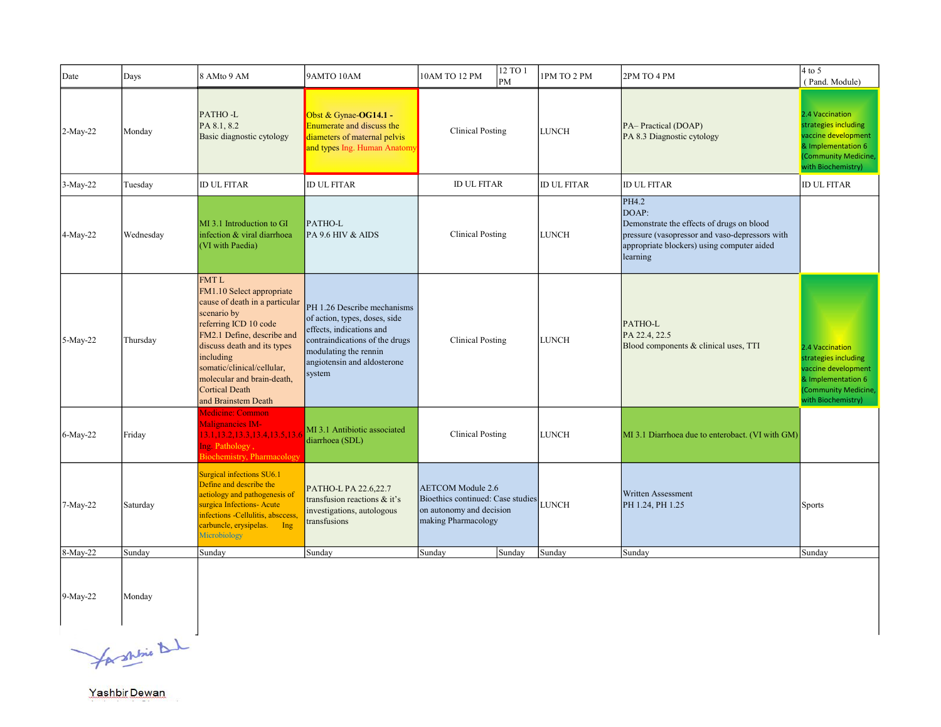| Date       | Days      | 8 AMto 9 AM                                                                                                                                                                                                                                                                                              | 9AMTO 10AM                                                                                                                                                                                   | 10AM TO 12 PM                                                                                                    | 12 TO 1<br>PM                           | 1PM TO 2 PM        | 2PM TO 4 PM                                                                                                                                                             | $4$ to 5<br>(Pand. Module)                                                                                                         |
|------------|-----------|----------------------------------------------------------------------------------------------------------------------------------------------------------------------------------------------------------------------------------------------------------------------------------------------------------|----------------------------------------------------------------------------------------------------------------------------------------------------------------------------------------------|------------------------------------------------------------------------------------------------------------------|-----------------------------------------|--------------------|-------------------------------------------------------------------------------------------------------------------------------------------------------------------------|------------------------------------------------------------------------------------------------------------------------------------|
| $2-May-22$ | Monday    | PATHO-L<br>PA 8.1, 8.2<br>Basic diagnostic cytology                                                                                                                                                                                                                                                      | Obst & Gynae-OG14.1 -<br>Enumerate and discuss the<br>diameters of maternal pelvis<br>and types Ing. Human Anatomy                                                                           |                                                                                                                  | <b>Clinical Posting</b><br><b>LUNCH</b> |                    | PA-Practical (DOAP)<br>PA 8.3 Diagnostic cytology                                                                                                                       | 2.4 Vaccination<br>strategies including<br>vaccine development<br>& Implementation 6<br>(Community Medicine,<br>with Biochemistry) |
| $3-May-22$ | Tuesday   | <b>ID UL FITAR</b>                                                                                                                                                                                                                                                                                       | <b>ID UL FITAR</b>                                                                                                                                                                           | <b>ID UL FITAR</b>                                                                                               |                                         | <b>ID UL FITAR</b> | <b>ID UL FITAR</b>                                                                                                                                                      | <b>ID UL FITAR</b>                                                                                                                 |
| 4-May-22   | Wednesday | MI 3.1 Introduction to GI<br>infection & viral diarrhoea<br>(VI with Paedia)                                                                                                                                                                                                                             | PATHO-L<br>PA 9.6 HIV & AIDS                                                                                                                                                                 | <b>Clinical Posting</b>                                                                                          |                                         | <b>LUNCH</b>       | PH4.2<br>DOAP:<br>Demonstrate the effects of drugs on blood<br>pressure (vasopressor and vaso-depressors with<br>appropriate blockers) using computer aided<br>learning |                                                                                                                                    |
| 5-May-22   | Thursday  | <b>FMTL</b><br>FM1.10 Select appropriate<br>cause of death in a particular<br>scenario by<br>referring ICD 10 code<br>FM2.1 Define, describe and<br>discuss death and its types<br>including<br>somatic/clinical/cellular,<br>molecular and brain-death,<br><b>Cortical Death</b><br>and Brainstem Death | PH 1.26 Describe mechanisms<br>of action, types, doses, side<br>effects, indications and<br>contraindications of the drugs<br>modulating the rennin<br>angiotensin and aldosterone<br>system | <b>Clinical Posting</b>                                                                                          |                                         | <b>LUNCH</b>       | PATHO-L<br>PA 22.4, 22.5<br>Blood components & clinical uses, TTI                                                                                                       | 2.4 Vaccination<br>strategies including<br>vaccine development<br>& Implementation 6<br>(Community Medicine,<br>with Biochemistry) |
| 6-May-22   | Friday    | Medicine: Common<br><b>Malignancies IM-</b><br>13.1, 13.2, 13.3, 13.4, 13.5, 13.6<br>Ing. Pathology,<br>Biochemistry, Pharmacology                                                                                                                                                                       | MI 3.1 Antibiotic associated<br>diarrhoea (SDL)                                                                                                                                              | <b>Clinical Posting</b>                                                                                          |                                         | <b>LUNCH</b>       | MI 3.1 Diarrhoea due to enterobact. (VI with GM)                                                                                                                        |                                                                                                                                    |
| 7-May-22   | Saturday  | Surgical infections SU6.1<br>Define and describe the<br>etiology and pathogenesis of<br>surgica Infections- Acute<br>infections -Cellulitis, absccess,<br>carbuncle, erysipelas. Ing<br>Microbiology                                                                                                     | PATHO-L PA 22.6,22.7<br>transfusion reactions & it's<br>investigations, autologous<br>transfusions                                                                                           | <b>AETCOM</b> Module 2.6<br>Bioethics continued: Case studies<br>on autonomy and decision<br>making Pharmacology |                                         | <b>LUNCH</b>       | Written Assessment<br>PH 1.24, PH 1.25                                                                                                                                  | <b>Sports</b>                                                                                                                      |
| 8-May-22   | Sunday    | Sunday                                                                                                                                                                                                                                                                                                   | Sunday                                                                                                                                                                                       | Sunday                                                                                                           | Sunday                                  | Sunday             | Sunday                                                                                                                                                                  | Sunday                                                                                                                             |
| 9-May-22   | Monday    |                                                                                                                                                                                                                                                                                                          |                                                                                                                                                                                              |                                                                                                                  |                                         |                    |                                                                                                                                                                         |                                                                                                                                    |

 $\frac{1}{\sqrt{1 + \frac{1}{2}}\sqrt{1 + \frac{1}{2}}\sqrt{1 + \frac{1}{2}}}}$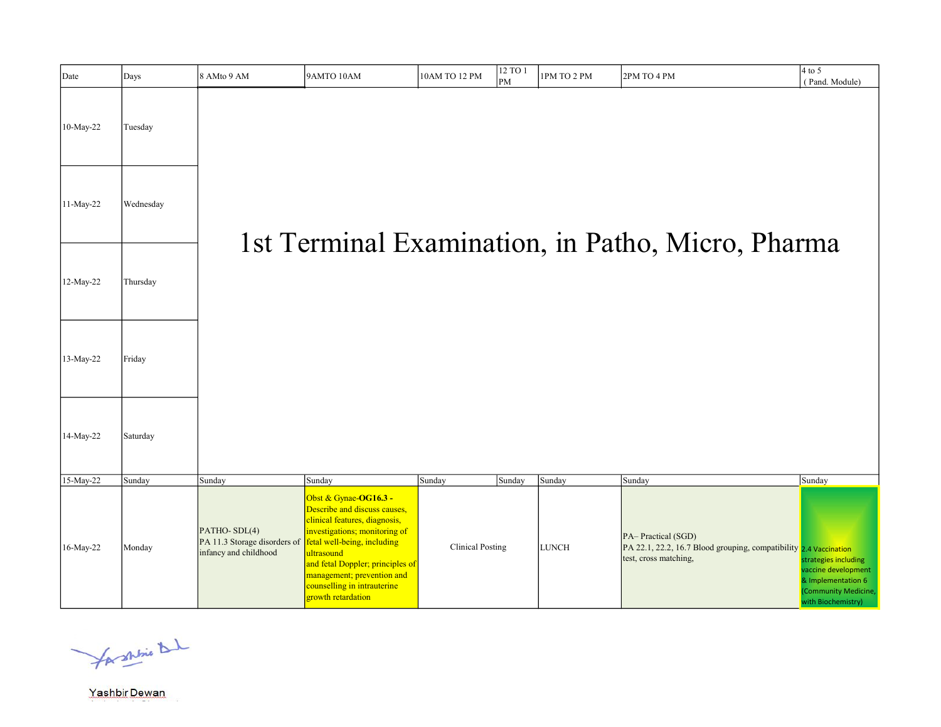| Date      | Days      | 8 AMto 9 AM                                                           | 9AMTO 10AM                                                                                                                                                                                                                                                                                  | 10AM TO 12 PM           | 12 TO 1<br>$\mathbf{P}$ M | 1PM TO 2 PM  | 2PM TO 4 PM                                                                                                      | $4$ to 5<br>(Pand. Module)                                                                                      |
|-----------|-----------|-----------------------------------------------------------------------|---------------------------------------------------------------------------------------------------------------------------------------------------------------------------------------------------------------------------------------------------------------------------------------------|-------------------------|---------------------------|--------------|------------------------------------------------------------------------------------------------------------------|-----------------------------------------------------------------------------------------------------------------|
| 10-May-22 | Tuesday   |                                                                       |                                                                                                                                                                                                                                                                                             |                         |                           |              |                                                                                                                  |                                                                                                                 |
| 11-May-22 | Wednesday |                                                                       |                                                                                                                                                                                                                                                                                             |                         |                           |              | 1st Terminal Examination, in Patho, Micro, Pharma                                                                |                                                                                                                 |
| 12-May-22 | Thursday  |                                                                       |                                                                                                                                                                                                                                                                                             |                         |                           |              |                                                                                                                  |                                                                                                                 |
| 13-May-22 | Friday    |                                                                       |                                                                                                                                                                                                                                                                                             |                         |                           |              |                                                                                                                  |                                                                                                                 |
| 14-May-22 | Saturday  |                                                                       |                                                                                                                                                                                                                                                                                             |                         |                           |              |                                                                                                                  |                                                                                                                 |
| 15-May-22 | Sunday    | Sunday                                                                | Sunday                                                                                                                                                                                                                                                                                      | Sunday                  | Sunday                    | Sunday       | Sunday                                                                                                           | Sunday                                                                                                          |
| 16-May-22 | Monday    | PATHO-SDL(4)<br>PA 11.3 Storage disorders of<br>infancy and childhood | Obst & Gynae-OG16.3 -<br>Describe and discuss causes,<br>clinical features, diagnosis,<br>investigations; monitoring of<br>fetal well-being, including<br>ultrasound<br>and fetal Doppler; principles of<br>management; prevention and<br>counselling in intrauterine<br>growth retardation | <b>Clinical Posting</b> |                           | <b>LUNCH</b> | PA-Practical (SGD)<br>PA 22.1, 22.2, 16.7 Blood grouping, compatibility 2.4 Vaccination<br>test, cross matching, | strategies including<br>vaccine development<br>& Implementation 6<br>(Community Medicine,<br>uith Riochamistry) |

for shrine that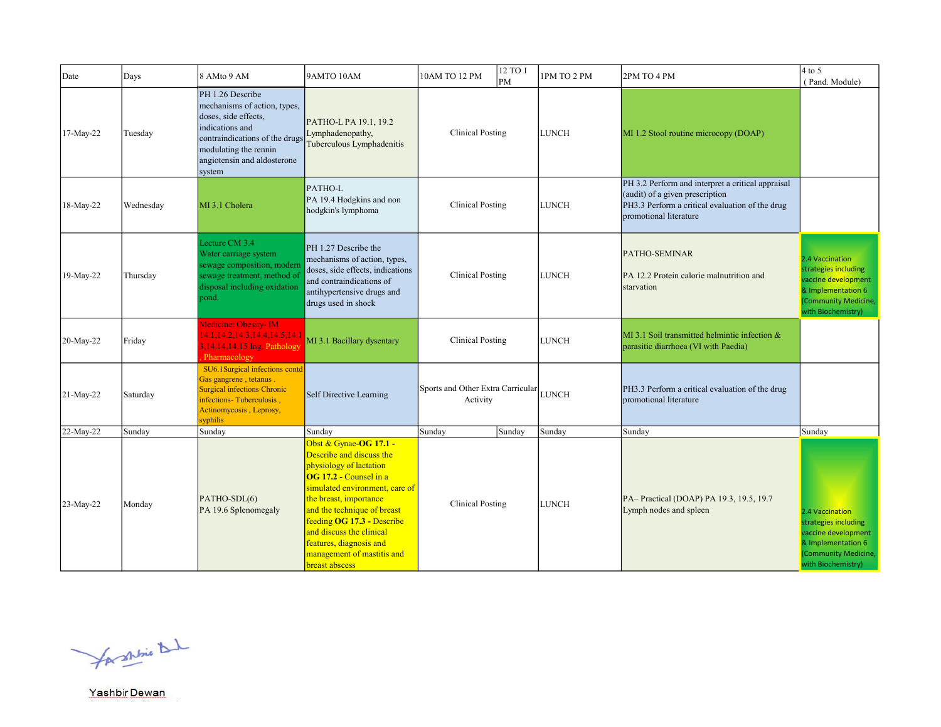| Date      | Days      | 8 AMto 9 AM                                                                                                                                                                                     | 9AMTO 10AM                                                                                                                                                                                                                                                                                                                              | 10AM TO 12 PM                                       | 12 TO 1<br>lрм | 1PM TO 2 PM  | 2PM TO 4 PM                                                                                                                                                       | $4$ to 5<br>(Pand. Module)                                                                                                         |
|-----------|-----------|-------------------------------------------------------------------------------------------------------------------------------------------------------------------------------------------------|-----------------------------------------------------------------------------------------------------------------------------------------------------------------------------------------------------------------------------------------------------------------------------------------------------------------------------------------|-----------------------------------------------------|----------------|--------------|-------------------------------------------------------------------------------------------------------------------------------------------------------------------|------------------------------------------------------------------------------------------------------------------------------------|
| 17-May-22 | Tuesday   | PH 1.26 Describe<br>mechanisms of action, types,<br>doses, side effects,<br>indications and<br>contraindications of the drugs<br>modulating the rennin<br>angiotensin and aldosterone<br>system | PATHO-L PA 19.1, 19.2<br>Lymphadenopathy,<br>Tuberculous Lymphadenitis                                                                                                                                                                                                                                                                  | <b>Clinical Posting</b>                             |                | <b>LUNCH</b> | MI 1.2 Stool routine microcopy (DOAP)                                                                                                                             |                                                                                                                                    |
| 18-May-22 | Wednesday | MI 3.1 Cholera                                                                                                                                                                                  | PATHO-L<br>PA 19.4 Hodgkins and non<br>hodgkin's lymphoma                                                                                                                                                                                                                                                                               | <b>Clinical Posting</b>                             |                | <b>LUNCH</b> | PH 3.2 Perform and interpret a critical appraisal<br>(audit) of a given prescription<br>PH3.3 Perform a critical evaluation of the drug<br>promotional literature |                                                                                                                                    |
| 19-May-22 | Thursday  | Lecture CM 3.4<br>Water carriage system<br>sewage composition, modern<br>sewage treatment, method of<br>disposal including oxidation<br>pond.                                                   | PH 1.27 Describe the<br>mechanisms of action, types,<br>doses, side effects, indications<br>and contraindications of<br>antihypertensive drugs and<br>drugs used in shock                                                                                                                                                               | <b>Clinical Posting</b>                             |                | <b>LUNCH</b> | <b>PATHO-SEMINAR</b><br>PA 12.2 Protein calorie malnutrition and<br>starvation                                                                                    | 2.4 Vaccination<br>strategies including<br>vaccine development<br>& Implementation 6<br>(Community Medicine,<br>with Biochemistry) |
| 20-May-22 | Friday    | Medicine: Obesity- IM<br>14.1, 14.2, 14.3, 14.4, 14.5, 14.1<br>3,14.14,14.15 Ing. Pathology<br>Pharmacology                                                                                     | MI 3.1 Bacillary dysentary                                                                                                                                                                                                                                                                                                              | <b>Clinical Posting</b>                             |                | <b>LUNCH</b> | $\text{MI } 3.1$ Soil transmitted helmintic infection &<br>parasitic diarrhoea (VI with Paedia)                                                                   |                                                                                                                                    |
| 21-May-22 | Saturday  | SU6.1Surgical infections contd<br>Gas gangrene, tetanus.<br><b>Surgical infections Chronic</b><br>infections-Tuberculosis,<br>Actinomycosis, Leprosy,<br>syphilis                               | Self Directive Learning                                                                                                                                                                                                                                                                                                                 | Sports and Other Extra Carricular LUNCH<br>Activity |                |              | PH3.3 Perform a critical evaluation of the drug<br>promotional literature                                                                                         |                                                                                                                                    |
| 22-May-22 | Sunday    | Sunday                                                                                                                                                                                          | Sunday                                                                                                                                                                                                                                                                                                                                  | Sunday                                              | Sunday         | Sunday       | Sunday                                                                                                                                                            | Sunday                                                                                                                             |
| 23-May-22 | Monday    | PATHO-SDL(6)<br>PA 19.6 Splenomegaly                                                                                                                                                            | Obst & Gynae-OG 17.1 -<br>Describe and discuss the<br>physiology of lactation<br>OG 17.2 - Counsel in a<br>simulated environment, care of<br>the breast, importance<br>and the technique of breast<br>feeding OG 17.3 - Describe<br>and discuss the clinical<br>features, diagnosis and<br>management of mastitis and<br>breast abscess | <b>Clinical Posting</b>                             |                | <b>LUNCH</b> | PA-Practical (DOAP) PA 19.3, 19.5, 19.7<br>Lymph nodes and spleen                                                                                                 | 2.4 Vaccination<br>strategies including<br>vaccine development<br>& Implementation 6<br>Community Medicine,<br>with Biochemistry)  |

for shrine that

Yashbir Dewan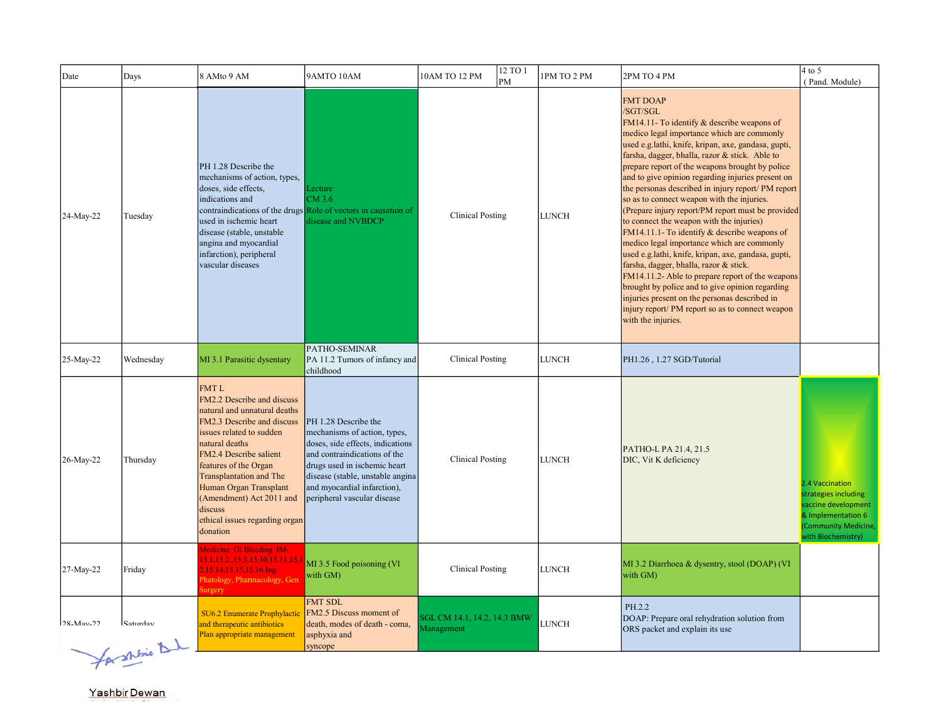| Days                       | 8 AMto 9 AM                                                                                                                                                                                                                                                                                                      | 9AMTO 10AM                                                                                                                                                                                                             | 12 TO 1<br>10AM TO 12 PM<br>PM                                                                                                      | 1PM TO 2 PM                                                       | 2PM TO 4 PM                                                                                                                                                                                                                                                                                                                                                                                                                                                                                                                                                                                                                                                                                                                                                                                                                                                             | $4$ to 5<br>(Pand. Module)                                                                                                         |
|----------------------------|------------------------------------------------------------------------------------------------------------------------------------------------------------------------------------------------------------------------------------------------------------------------------------------------------------------|------------------------------------------------------------------------------------------------------------------------------------------------------------------------------------------------------------------------|-------------------------------------------------------------------------------------------------------------------------------------|-------------------------------------------------------------------|-------------------------------------------------------------------------------------------------------------------------------------------------------------------------------------------------------------------------------------------------------------------------------------------------------------------------------------------------------------------------------------------------------------------------------------------------------------------------------------------------------------------------------------------------------------------------------------------------------------------------------------------------------------------------------------------------------------------------------------------------------------------------------------------------------------------------------------------------------------------------|------------------------------------------------------------------------------------------------------------------------------------|
| Tuesday                    | PH 1.28 Describe the<br>mechanisms of action, types,<br>doses, side effects,<br>indications and<br>used in ischemic heart<br>disease (stable, unstable<br>angina and myocardial<br>infarction), peripheral<br>vascular diseases                                                                                  | Lecture<br>CM 3.6<br>disease and NVBDCP                                                                                                                                                                                | <b>Clinical Posting</b>                                                                                                             | <b>LUNCH</b>                                                      | <b>FMT DOAP</b><br>/SGT/SGL<br>FM14.11- To identify & describe weapons of<br>medico legal importance which are commonly<br>used e.g.lathi, knife, kripan, axe, gandasa, gupti,<br>farsha, dagger, bhalla, razor & stick. Able to<br>prepare report of the weapons brought by police<br>and to give opinion regarding injuries present on<br>the personas described in injury report/ PM report<br>so as to connect weapon with the injuries.<br>to connect the weapon with the injuries)<br>FM14.11.1- To identify $&$ describe weapons of<br>medico legal importance which are commonly<br>used e.g.lathi, knife, kripan, axe, gandasa, gupti,<br>farsha, dagger, bhalla, razor & stick.<br>brought by police and to give opinion regarding<br>injuries present on the personas described in<br>injury report/ PM report so as to connect weapon<br>with the injuries. |                                                                                                                                    |
| Wednesday                  | MI 3.1 Parasitic dysentary                                                                                                                                                                                                                                                                                       | PATHO-SEMINAR<br>childhood                                                                                                                                                                                             | <b>Clinical Posting</b>                                                                                                             | <b>LUNCH</b>                                                      | PH1.26, 1.27 SGD/Tutorial                                                                                                                                                                                                                                                                                                                                                                                                                                                                                                                                                                                                                                                                                                                                                                                                                                               |                                                                                                                                    |
| Thursday                   | <b>FMTL</b><br>FM2.2 Describe and discuss<br>natural and unnatural deaths<br>FM2.3 Describe and discuss<br>issues related to sudden<br>natural deaths<br>FM2.4 Describe salient<br>features of the Organ<br>Transplantation and The<br>Human Organ Transplant<br>(Amendment) Act 2011 and<br>discuss<br>donation | PH 1.28 Describe the<br>mechanisms of action, types,<br>doses, side effects, indications<br>and contraindications of the<br>drugs used in ischemic heart<br>and myocardial infarction),<br>peripheral vascular disease | <b>Clinical Posting</b>                                                                                                             | <b>LUNCH</b>                                                      | PATHO-L PA 21.4, 21.5<br>DIC, Vit K deficiency                                                                                                                                                                                                                                                                                                                                                                                                                                                                                                                                                                                                                                                                                                                                                                                                                          | 2.4 Vaccination<br>strategies including<br>vaccine development<br>& Implementation 6<br>(Community Medicine,<br>with Biochemistry) |
| Friday                     | Medicine: GI Bleeding IM-<br>,15.14,15.15,15.16 Ing.<br>Phatology, Pharmacology, Gen<br>urgery                                                                                                                                                                                                                   | MI 3.5 Food poisoning (VI<br>with GM)                                                                                                                                                                                  | <b>Clinical Posting</b>                                                                                                             | <b>LUNCH</b>                                                      | MI 3.2 Diarrhoea & dysentry, stool (DOAP) (VI<br>with GM)                                                                                                                                                                                                                                                                                                                                                                                                                                                                                                                                                                                                                                                                                                                                                                                                               |                                                                                                                                    |
| Saturdav<br>for shine that | SU6.2 Enumerate Prophylactic<br>and therapeutic antibiotics<br>Plan appropriate management                                                                                                                                                                                                                       | <b>FMT SDL</b><br>FM2.5 Discuss moment of<br>death, modes of death - coma,<br>asphyxia and                                                                                                                             | SGL CM 14.1, 14.2, 14.3 BMW<br>Management                                                                                           | LUNCH                                                             | PH.2.2<br>DOAP: Prepare oral rehydration solution from<br>ORS packet and explain its use                                                                                                                                                                                                                                                                                                                                                                                                                                                                                                                                                                                                                                                                                                                                                                                |                                                                                                                                    |
|                            |                                                                                                                                                                                                                                                                                                                  |                                                                                                                                                                                                                        | contraindications of the drugs Role of vectors in causation of<br>ethical issues regarding organ<br>5.1,15.2,,15.3,15.10,15.11,15.1 | PA 11.2 Tumors of infancy and<br>disease (stable, unstable angina |                                                                                                                                                                                                                                                                                                                                                                                                                                                                                                                                                                                                                                                                                                                                                                                                                                                                         | (Prepare injury report/PM report must be provided<br>FM14.11.2- Able to prepare report of the weapons                              |

Yashbir Dewan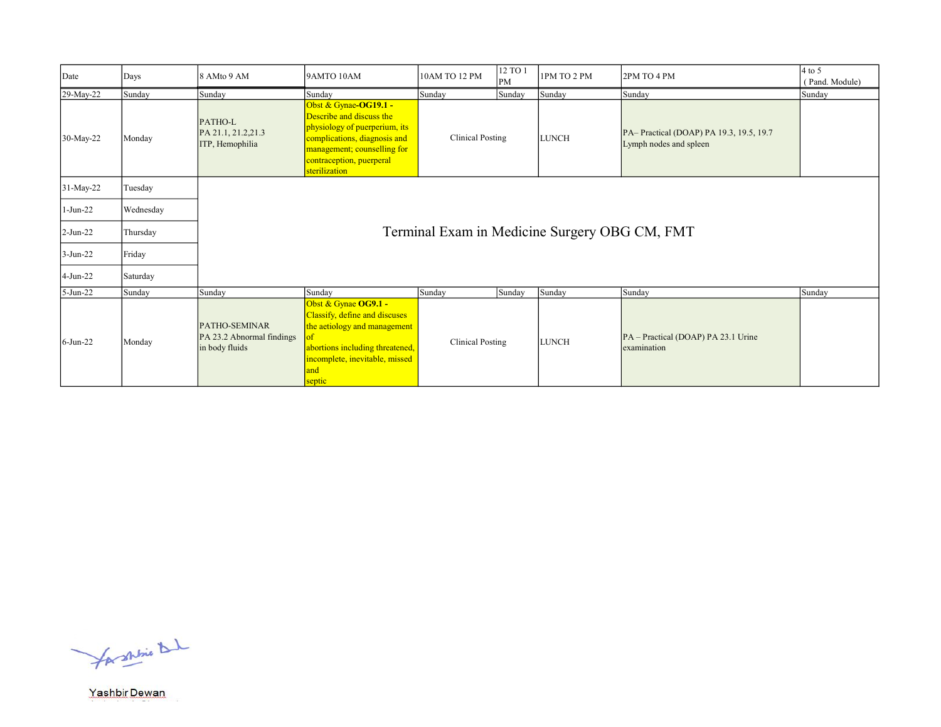| Date        | Days      | 8 AMto 9 AM                                                         | 9AMTO 10AM                                                                                                                                                                                     | 10AM TO 12 PM           | 12 TO 1<br>PM | 1PM TO 2 PM  | 2PM TO 4 PM                                                       | $4$ to 5<br>(Pand. Module) |
|-------------|-----------|---------------------------------------------------------------------|------------------------------------------------------------------------------------------------------------------------------------------------------------------------------------------------|-------------------------|---------------|--------------|-------------------------------------------------------------------|----------------------------|
| 29-May-22   | Sunday    | Sunday                                                              | Sunday                                                                                                                                                                                         | Sunday                  | Sunday        | Sunday       | Sunday                                                            | Sunday                     |
| 30-May-22   | Monday    | PATHO-L<br>PA 21.1, 21.2, 21.3<br>ITP, Hemophilia                   | Obst & Gynae-OG19.1 -<br>Describe and discuss the<br>physiology of puerperium, its<br>complications, diagnosis and<br>management; counselling for<br>contraception, puerperal<br>sterilization | <b>Clinical Posting</b> |               | <b>LUNCH</b> | PA-Practical (DOAP) PA 19.3, 19.5, 19.7<br>Lymph nodes and spleen |                            |
| 31-May-22   | Tuesday   |                                                                     |                                                                                                                                                                                                |                         |               |              |                                                                   |                            |
| 1-Jun-22    | Wednesday |                                                                     |                                                                                                                                                                                                |                         |               |              |                                                                   |                            |
| 2-Jun-22    | Thursday  |                                                                     | Terminal Exam in Medicine Surgery OBG CM, FMT                                                                                                                                                  |                         |               |              |                                                                   |                            |
| $3-Jun-22$  | Friday    |                                                                     |                                                                                                                                                                                                |                         |               |              |                                                                   |                            |
| 4-Jun-22    | Saturday  |                                                                     |                                                                                                                                                                                                |                         |               |              |                                                                   |                            |
| $5-Jun-22$  | Sunday    | Sunday                                                              | Sunday                                                                                                                                                                                         | Sunday                  | Sunday        | Sunday       | Sunday                                                            | Sunday                     |
| $6$ -Jun-22 | Monday    | <b>PATHO-SEMINAR</b><br>PA 23.2 Abnormal findings<br>in body fluids | Obst & Gynae OG9.1 -<br>Classify, define and discuses<br>the actiology and management<br>abortions including threatened,<br>incomplete, inevitable, missed<br>and<br>septic                    | <b>Clinical Posting</b> |               | <b>LUNCH</b> | PA – Practical (DOAP) PA 23.1 Urine<br>examination                |                            |

for shrine that

Yashbir Dewan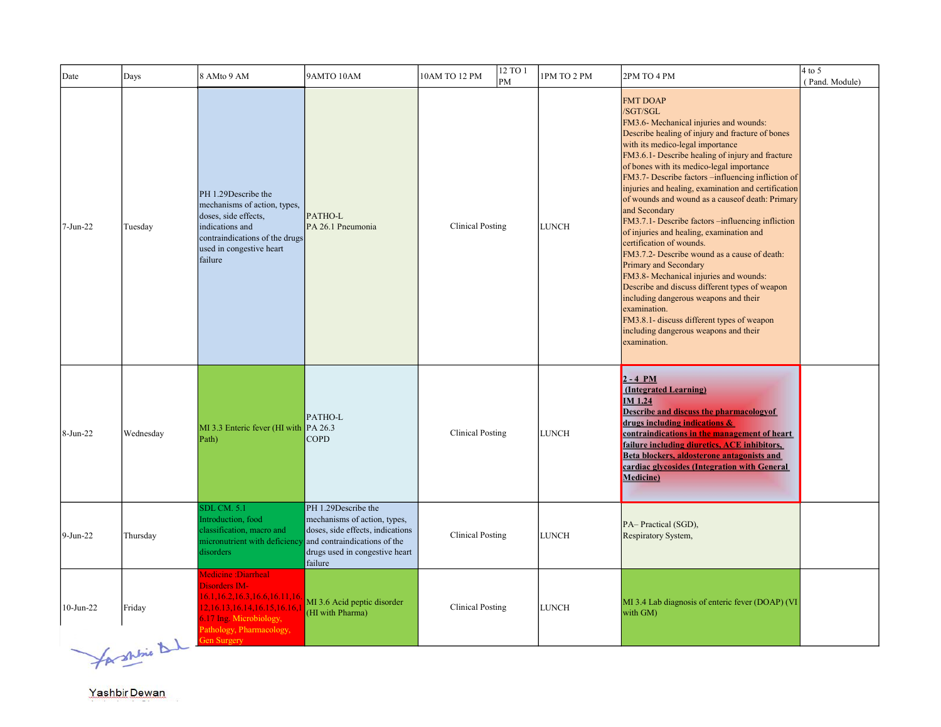| Date      | Days                    | 8 AMto 9 AM                                                                                                                                                                                             | 9AMTO 10AM                                                                                                                                                           | 12 TO 1<br>10AM TO 12 PM<br>PM | 1PM TO 2 PM  | 2PM TO 4 PM                                                                                                                                                                                                                                                                                                                                                                                                                                                                                                                                                                                                                                                                                                                                                                                                                                                                                                       | $4$ to $5$<br>(Pand. Module) |
|-----------|-------------------------|---------------------------------------------------------------------------------------------------------------------------------------------------------------------------------------------------------|----------------------------------------------------------------------------------------------------------------------------------------------------------------------|--------------------------------|--------------|-------------------------------------------------------------------------------------------------------------------------------------------------------------------------------------------------------------------------------------------------------------------------------------------------------------------------------------------------------------------------------------------------------------------------------------------------------------------------------------------------------------------------------------------------------------------------------------------------------------------------------------------------------------------------------------------------------------------------------------------------------------------------------------------------------------------------------------------------------------------------------------------------------------------|------------------------------|
| 7-Jun-22  | Tuesday                 | PH 1.29Describe the<br>mechanisms of action, types,<br>doses, side effects,<br>indications and<br>contraindications of the drugs<br>used in congestive heart<br>failure                                 | PATHO-L<br>PA 26.1 Pneumonia                                                                                                                                         | <b>Clinical Posting</b>        | <b>LUNCH</b> | <b>FMT DOAP</b><br>/SGT/SGL<br>FM3.6- Mechanical injuries and wounds:<br>Describe healing of injury and fracture of bones<br>with its medico-legal importance<br>FM3.6.1- Describe healing of injury and fracture<br>of bones with its medico-legal importance<br>FM3.7- Describe factors -influencing infliction of<br>injuries and healing, examination and certification<br>of wounds and wound as a causeof death: Primary<br>and Secondary<br>FM3.7.1- Describe factors -influencing infliction<br>of injuries and healing, examination and<br>certification of wounds.<br>FM3.7.2- Describe wound as a cause of death:<br>Primary and Secondary<br>FM3.8- Mechanical injuries and wounds:<br>Describe and discuss different types of weapon<br>including dangerous weapons and their<br>examination.<br>FM3.8.1- discuss different types of weapon<br>including dangerous weapons and their<br>examination. |                              |
| 8-Jun-22  | Wednesday               | $MI$ 3.3 Enteric fever (HI with $PA$ 26.3<br>Path)                                                                                                                                                      | PATHO-L<br><b>COPD</b>                                                                                                                                               | <b>Clinical Posting</b>        | <b>LUNCH</b> | $2 - 4 PM$<br>(Integrated Learning)<br><b>IM 1.24</b><br><b>Describe and discuss the pharmacology of</b><br>drugs including indications &<br>contraindications in the management of heart<br>failure including diuretics, ACE inhibitors,<br>Beta blockers, aldosterone antagonists and<br>cardiac glycosides (Integration with General<br><b>Medicine</b> )                                                                                                                                                                                                                                                                                                                                                                                                                                                                                                                                                      |                              |
| 9-Jun-22  | Thursday                | <b>SDL CM. 5.1</b><br>Introduction, food<br>classification, macro and<br>micronutrient with deficiency<br>disorders                                                                                     | PH 1.29Describe the<br>mechanisms of action, types,<br>doses, side effects, indications<br>and contraindications of the<br>drugs used in congestive heart<br>failure | <b>Clinical Posting</b>        | <b>LUNCH</b> | PA-Practical (SGD),<br>Respiratory System,                                                                                                                                                                                                                                                                                                                                                                                                                                                                                                                                                                                                                                                                                                                                                                                                                                                                        |                              |
| 10-Jun-22 | Friday<br>$\mathcal{A}$ | Medicine :Diarrheal<br><b>Disorders IM-</b><br>16.1, 16.2, 16.3, 16.6, 16.11, 16.<br>12, 16. 13, 16. 14, 16. 15, 16. 16, 1<br>6.17 Ing. Microbiology,<br>Pathology, Pharmacology,<br><b>Gen Surgery</b> | MI 3.6 Acid peptic disorder<br>(HI with Pharma)                                                                                                                      | <b>Clinical Posting</b>        | <b>LUNCH</b> | MI 3.4 Lab diagnosis of enteric fever (DOAP) (VI<br>with GM)                                                                                                                                                                                                                                                                                                                                                                                                                                                                                                                                                                                                                                                                                                                                                                                                                                                      |                              |

for shine D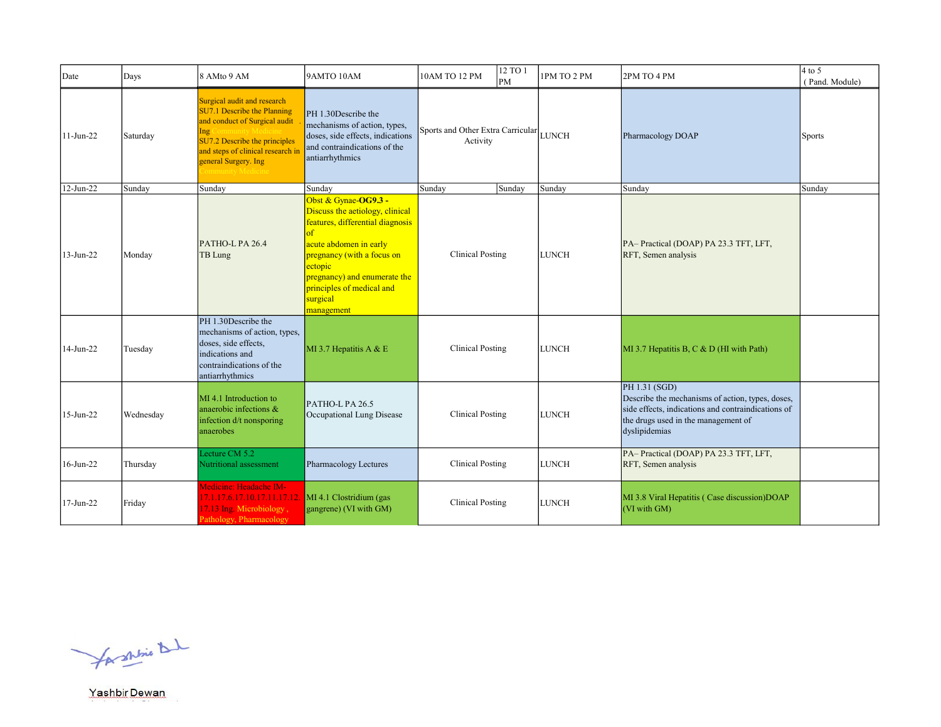| Date      | Days      | 8 AMto 9 AM                                                                                                                                                                                      | 9AMTO 10AM                                                                                                                                                                                                                                            | 10AM TO 12 PM                                       | 12 TO 1<br>PM | 1PM TO 2 PM  | 2PM TO 4 PM                                                                                                                                                                     | $4$ to 5<br>(Pand. Module) |
|-----------|-----------|--------------------------------------------------------------------------------------------------------------------------------------------------------------------------------------------------|-------------------------------------------------------------------------------------------------------------------------------------------------------------------------------------------------------------------------------------------------------|-----------------------------------------------------|---------------|--------------|---------------------------------------------------------------------------------------------------------------------------------------------------------------------------------|----------------------------|
| 11-Jun-22 | Saturday  | Surgical audit and research<br>SU7.1 Describe the Planning<br>and conduct of Surgical audit<br>Ing<br>SU7.2 Describe the principles<br>and steps of clinical research in<br>general Surgery. Ing | PH 1.30Describe the<br>mechanisms of action, types,<br>doses, side effects, indications<br>and contraindications of the<br>antiarrhythmics                                                                                                            | Sports and Other Extra Carricular LUNCH<br>Activity |               |              | Pharmacology DOAP                                                                                                                                                               | <b>Sports</b>              |
| 12-Jun-22 | Sunday    | Sunday                                                                                                                                                                                           | Sunday                                                                                                                                                                                                                                                | Sunday                                              | Sunday        | Sunday       | Sunday                                                                                                                                                                          | Sunday                     |
| 13-Jun-22 | Monday    | PATHO-L PA 26.4<br>TB Lung                                                                                                                                                                       | Obst & Gynae-OG9.3 -<br>Discuss the aetiology, clinical<br>features, differential diagnosis<br>acute abdomen in early<br>pregnancy (with a focus on<br>ectopic<br>pregnancy) and enumerate the<br>principles of medical and<br>surgical<br>management | Clinical Posting                                    |               | <b>LUNCH</b> | PA-Practical (DOAP) PA 23.3 TFT, LFT,<br>RFT, Semen analysis                                                                                                                    |                            |
| 14-Jun-22 | Tuesday   | PH 1.30Describe the<br>mechanisms of action, types,<br>doses, side effects,<br>indications and<br>contraindications of the<br>antiarrhythmics                                                    | MI 3.7 Hepatitis A & E                                                                                                                                                                                                                                | <b>Clinical Posting</b>                             |               | <b>LUNCH</b> | MI 3.7 Hepatitis B, C & D (HI with Path)                                                                                                                                        |                            |
| 15-Jun-22 | Wednesday | MI 4.1 Introduction to<br>anaerobic infections &<br>infection d/t nonsporing<br>anaerobes                                                                                                        | PATHO-L PA 26.5<br>Occupational Lung Disease                                                                                                                                                                                                          | <b>Clinical Posting</b>                             |               | <b>LUNCH</b> | PH 1.31 (SGD)<br>Describe the mechanisms of action, types, doses,<br>side effects, indications and contraindications of<br>the drugs used in the management of<br>dyslipidemias |                            |
| 16-Jun-22 | Thursday  | Lecture CM 5.2<br>Nutritional assessment                                                                                                                                                         | Pharmacology Lectures                                                                                                                                                                                                                                 | <b>Clinical Posting</b>                             |               | <b>LUNCH</b> | PA-Practical (DOAP) PA 23.3 TFT, LFT,<br>RFT, Semen analysis                                                                                                                    |                            |
| 17-Jun-22 | Friday    | Medicine: Headache IM-<br>17.1.17.6.17.10.17.11.17.12.<br>17.13 Ing. Microbiology,<br>Pathology, Pharmacology                                                                                    | MI 4.1 Clostridium (gas<br>gangrene) (VI with GM)                                                                                                                                                                                                     | <b>Clinical Posting</b>                             |               | <b>LUNCH</b> | MI 3.8 Viral Hepatitis (Case discussion) DOAP<br>(VI with GM)                                                                                                                   |                            |

for shrine that

Yashbir Dewan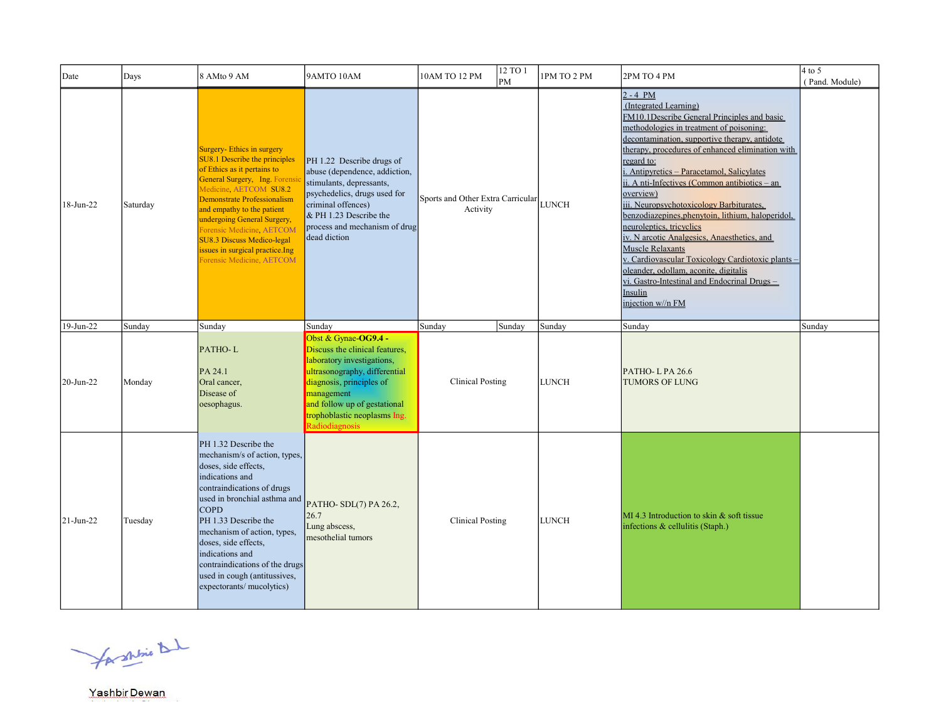| Date      | Days     | 8 AMto 9 AM                                                                                                                                                                                                                                                                                                                                                                    | 9AMTO 10AM                                                                                                                                                                                                                                        | 10AM TO 12 PM                                 | 12 TO 1<br>PM | 1PM TO 2 PM  | 2PM TO 4 PM                                                                                                                                                                                                                                                                                                                                                                                                                                                                                                                                                                                                                                                                                                                                       | $4$ to 5<br>(Pand. Module) |
|-----------|----------|--------------------------------------------------------------------------------------------------------------------------------------------------------------------------------------------------------------------------------------------------------------------------------------------------------------------------------------------------------------------------------|---------------------------------------------------------------------------------------------------------------------------------------------------------------------------------------------------------------------------------------------------|-----------------------------------------------|---------------|--------------|---------------------------------------------------------------------------------------------------------------------------------------------------------------------------------------------------------------------------------------------------------------------------------------------------------------------------------------------------------------------------------------------------------------------------------------------------------------------------------------------------------------------------------------------------------------------------------------------------------------------------------------------------------------------------------------------------------------------------------------------------|----------------------------|
| 18-Jun-22 | Saturday | Surgery-Ethics in surgery<br>SU8.1 Describe the principles<br>of Ethics as it pertains to<br>General Surgery, Ing. Forensi<br>Medicine, AETCOM SU8.2<br>Demonstrate Professionalism<br>and empathy to the patient<br>undergoing General Surgery,<br>Forensic Medicine, AETCOM<br>SU8.3 Discuss Medico-legal<br>ssues in surgical practice. Ing<br>orensic Medicine, AETCOM     | PH 1.22 Describe drugs of<br>abuse (dependence, addiction,<br>stimulants, depressants,<br>psychedelics, drugs used for<br>criminal offences)<br>& PH 1.23 Describe the<br>process and mechanism of drug<br>dead diction                           | Sports and Other Extra Carricular<br>Activity |               | <b>LUNCH</b> | $2 - 4 PM$<br>(Integrated Learning)<br>FM10.1Describe General Principles and basic<br>methodologies in treatment of poisoning:<br>decontamination, supportive therapy, antidote<br>therapy, procedures of enhanced elimination with<br>regard to:<br>i. Antipyretics - Paracetamol, Salicylates<br>ii. A nti-Infectives (Common antibiotics – an<br>overview)<br>iii. Neuropsychotoxicology Barbiturates,<br>benzodiazepines, phenytoin, lithium, haloperidol,<br>neuroleptics, tricyclics<br>iv. N arcotic Analgesics, Anaesthetics, and<br><b>Muscle Relaxants</b><br>v. Cardiovascular Toxicology Cardiotoxic plants -<br>oleander, odollam, aconite, digitalis<br>vi. Gastro-Intestinal and Endocrinal Drugs-<br>Insulin<br>injection w//n FM |                            |
| 19-Jun-22 | Sunday   | Sunday                                                                                                                                                                                                                                                                                                                                                                         | Sunday                                                                                                                                                                                                                                            | Sunday                                        | Sunday        | Sunday       | Sunday                                                                                                                                                                                                                                                                                                                                                                                                                                                                                                                                                                                                                                                                                                                                            | Sunday                     |
| 20-Jun-22 | Monday   | PATHO-L<br>PA 24.1<br>Oral cancer,<br>Disease of<br>oesophagus.                                                                                                                                                                                                                                                                                                                | Obst & Gynae-OG9.4 -<br>Discuss the clinical features,<br>laboratory investigations,<br>ultrasonography, differential<br>diagnosis, principles of<br>management<br>and follow up of gestational<br>trophoblastic neoplasms Ing.<br>Radiodiagnosis | <b>Clinical Posting</b>                       |               | <b>LUNCH</b> | PATHO-LPA 26.6<br><b>TUMORS OF LUNG</b>                                                                                                                                                                                                                                                                                                                                                                                                                                                                                                                                                                                                                                                                                                           |                            |
| 21-Jun-22 | Tuesday  | PH 1.32 Describe the<br>mechanism/s of action, types,<br>doses, side effects,<br>indications and<br>contraindications of drugs<br>used in bronchial asthma and<br><b>COPD</b><br>PH 1.33 Describe the<br>mechanism of action, types,<br>doses, side effects,<br>indications and<br>contraindications of the drugs<br>used in cough (antitussives,<br>expectorants/ mucolytics) | PATHO-SDL(7) PA 26.2,<br>26.7<br>Lung abscess,<br>mesothelial tumors                                                                                                                                                                              | <b>Clinical Posting</b>                       |               | <b>LUNCH</b> | MI 4.3 Introduction to skin & soft tissue<br>infections & cellulitis (Staph.)                                                                                                                                                                                                                                                                                                                                                                                                                                                                                                                                                                                                                                                                     |                            |

for shine that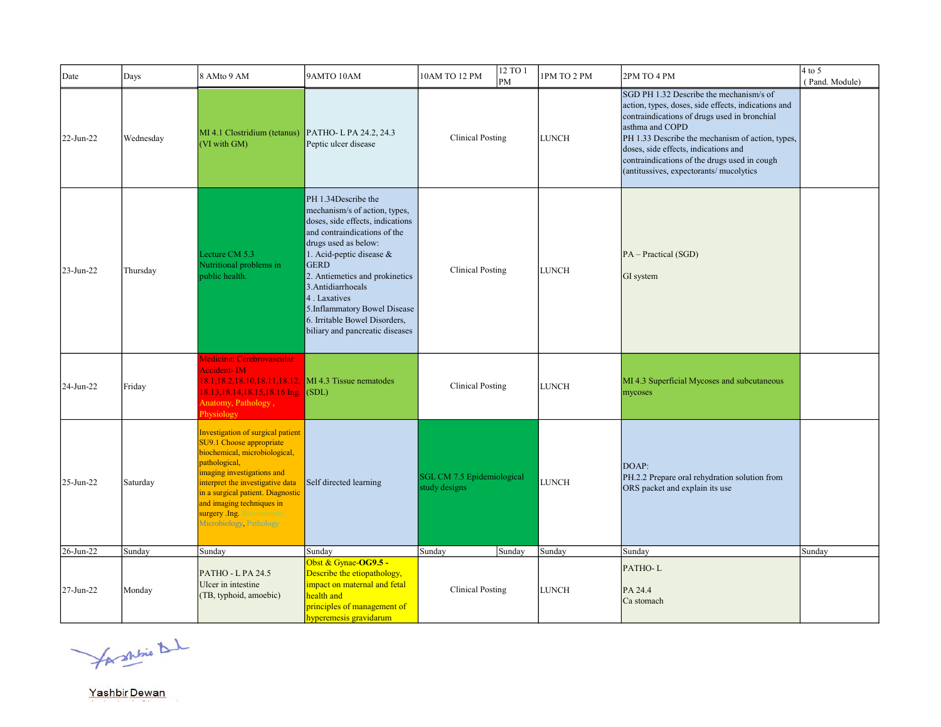| Date      | Days      | 8 AMto 9 AM                                                                                                                                                                                                                                                                                                  | 9AMTO 10AM                                                                                                                                                                                                                                                                                                                                                              | 12 TO 1<br>10AM TO 12 PM<br>PM              | 1PM TO 2 PM  | 2PM TO 4 PM                                                                                                                                                                                                                                                                                                                                              | $4$ to 5<br>(Pand. Module) |
|-----------|-----------|--------------------------------------------------------------------------------------------------------------------------------------------------------------------------------------------------------------------------------------------------------------------------------------------------------------|-------------------------------------------------------------------------------------------------------------------------------------------------------------------------------------------------------------------------------------------------------------------------------------------------------------------------------------------------------------------------|---------------------------------------------|--------------|----------------------------------------------------------------------------------------------------------------------------------------------------------------------------------------------------------------------------------------------------------------------------------------------------------------------------------------------------------|----------------------------|
| 22-Jun-22 | Wednesday | MI 4.1 Clostridium (tetanus)<br>(VI with GM)                                                                                                                                                                                                                                                                 | PATHO-LPA 24.2, 24.3<br>Peptic ulcer disease                                                                                                                                                                                                                                                                                                                            | <b>Clinical Posting</b>                     | <b>LUNCH</b> | SGD PH 1.32 Describe the mechanism/s of<br>action, types, doses, side effects, indications and<br>contraindications of drugs used in bronchial<br>asthma and COPD<br>PH 1.33 Describe the mechanism of action, types,<br>doses, side effects, indications and<br>contraindications of the drugs used in cough<br>(antitussives, expectorants/ mucolytics |                            |
| 23-Jun-22 | Thursday  | Lecture CM 5.3<br>Nutritional problems in<br>public health.                                                                                                                                                                                                                                                  | PH 1.34Describe the<br>mechanism/s of action, types,<br>doses, side effects, indications<br>and contraindications of the<br>drugs used as below:<br>1. Acid-peptic disease &<br><b>GERD</b><br>2. Antiemetics and prokinetics<br>3. Antidiarrhoeals<br>4. Laxatives<br>5.Inflammatory Bowel Disease<br>6. Irritable Bowel Disorders,<br>biliary and pancreatic diseases | <b>Clinical Posting</b>                     | <b>LUNCH</b> | $PA - Practical (SGD)$<br>GI system                                                                                                                                                                                                                                                                                                                      |                            |
| 24-Jun-22 | Friday    | Medicine: Cerebrovascular<br>Accident-IM<br>18.1, 18.2, 18.10, 18.11, 18.12, MI 4.3 Tissue nematodes<br>18.13,18.14,18.15,18.16 Ing. (SDL)<br>Anatomy, Pathology,<br>Physiology                                                                                                                              |                                                                                                                                                                                                                                                                                                                                                                         | <b>Clinical Posting</b>                     | <b>LUNCH</b> | MI 4.3 Superficial Mycoses and subcutaneous<br>mycoses                                                                                                                                                                                                                                                                                                   |                            |
| 25-Jun-22 | Saturday  | Investigation of surgical patient<br>SU9.1 Choose appropriate<br>biochemical, microbiological,<br>pathological,<br>imaging investigations and<br>interpret the investigative data<br>in a surgical patient. Diagnostic<br>and imaging techniques in<br>surgery Ing. Biochemistry,<br>Microbiology, Pathology | Self directed learning                                                                                                                                                                                                                                                                                                                                                  | SGL CM 7.5 Epidemiological<br>study designs | <b>LUNCH</b> | DOAP:<br>PH.2.2 Prepare oral rehydration solution from<br>ORS packet and explain its use                                                                                                                                                                                                                                                                 |                            |
| 26-Jun-22 | Sunday    | Sunday                                                                                                                                                                                                                                                                                                       | Sunday                                                                                                                                                                                                                                                                                                                                                                  | Sunday<br>Sunday                            | Sunday       | Sunday                                                                                                                                                                                                                                                                                                                                                   | Sunday                     |
| 27-Jun-22 | Monday    | $PATHO - LPA 24.5$<br>Ulcer in intestine<br>(TB, typhoid, amoebic)                                                                                                                                                                                                                                           | Obst & Gynae-OG9.5 -<br>Describe the etiopathology,<br>impact on maternal and fetal<br>health and<br>principles of management of<br>hyperemesis gravidarum                                                                                                                                                                                                              | <b>Clinical Posting</b>                     | <b>LUNCH</b> | PATHO-L<br>PA 24.4<br>Ca stomach                                                                                                                                                                                                                                                                                                                         |                            |

for shrine that

Yashbir Dewan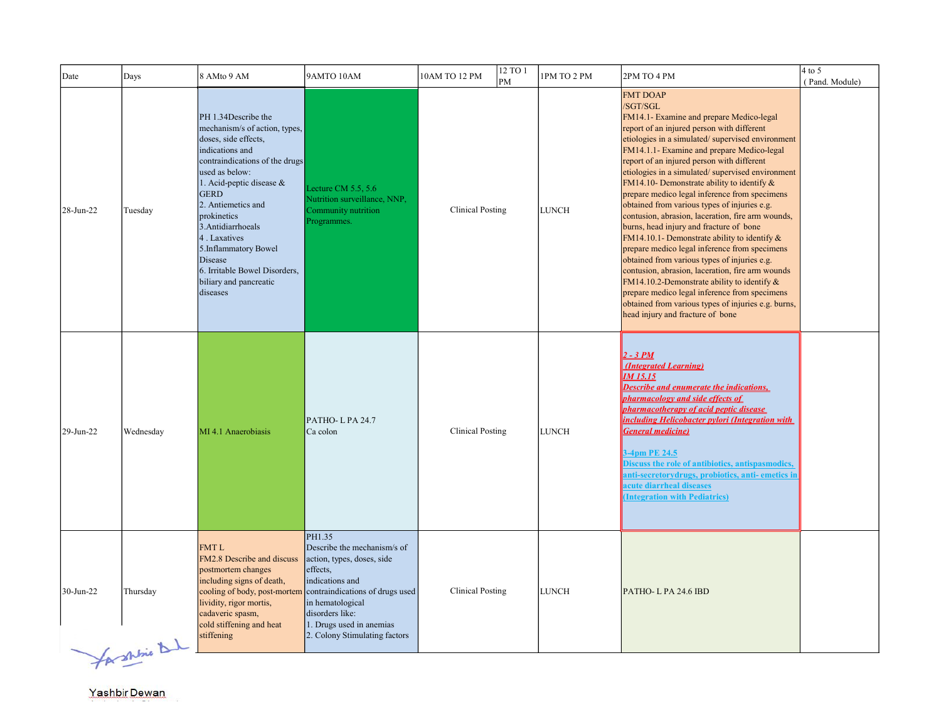| Date      | Days                      | 8 AMto 9 AM                                                                                                                                                                                                                                                                                                                                                                          | 9AMTO 10AM                                                                                                                                                                                                                                | 10AM TO 12 PM           | 12 TO 1<br>PM | 1PM TO 2 PM  | 2PM TO 4 PM                                                                                                                                                                                                                                                                                                                                                                                                                                                                                                                                                                                                                                                                                                                                                                                                                                                                                                                                                                  | $4$ to 5<br>(Pand. Module) |
|-----------|---------------------------|--------------------------------------------------------------------------------------------------------------------------------------------------------------------------------------------------------------------------------------------------------------------------------------------------------------------------------------------------------------------------------------|-------------------------------------------------------------------------------------------------------------------------------------------------------------------------------------------------------------------------------------------|-------------------------|---------------|--------------|------------------------------------------------------------------------------------------------------------------------------------------------------------------------------------------------------------------------------------------------------------------------------------------------------------------------------------------------------------------------------------------------------------------------------------------------------------------------------------------------------------------------------------------------------------------------------------------------------------------------------------------------------------------------------------------------------------------------------------------------------------------------------------------------------------------------------------------------------------------------------------------------------------------------------------------------------------------------------|----------------------------|
| 28-Jun-22 | Tuesday                   | PH 1.34 Describe the<br>mechanism/s of action, types,<br>doses, side effects,<br>indications and<br>contraindications of the drugs<br>used as below:<br>1. Acid-peptic disease &<br><b>GERD</b><br>2. Antiemetics and<br>prokinetics<br>3. Antidiarrhoeals<br>4. Laxatives<br>5.Inflammatory Bowel<br>Disease<br>6. Irritable Bowel Disorders,<br>biliary and pancreatic<br>diseases | Lecture CM $5.5, 5.6$<br>Nutrition surveillance, NNP,<br>Community nutrition<br>Programmes.                                                                                                                                               | <b>Clinical Posting</b> |               | <b>LUNCH</b> | <b>FMT DOAP</b><br>/SGT/SGL<br>FM14.1- Examine and prepare Medico-legal<br>report of an injured person with different<br>etiologies in a simulated/supervised environment<br>FM14.1.1- Examine and prepare Medico-legal<br>report of an injured person with different<br>etiologies in a simulated/supervised environment<br>FM14.10- Demonstrate ability to identify &<br>prepare medico legal inference from specimens<br>obtained from various types of injuries e.g.<br>contusion, abrasion, laceration, fire arm wounds,<br>burns, head injury and fracture of bone<br>FM14.10.1- Demonstrate ability to identify $&$<br>prepare medico legal inference from specimens<br>obtained from various types of injuries e.g.<br>contusion, abrasion, laceration, fire arm wounds<br>FM14.10.2-Demonstrate ability to identify $&$<br>prepare medico legal inference from specimens<br>obtained from various types of injuries e.g. burns,<br>head injury and fracture of bone |                            |
| 29-Jun-22 | Wednesday                 | MI 4.1 Anaerobiasis                                                                                                                                                                                                                                                                                                                                                                  | PATHO-LPA 24.7<br>Ca colon                                                                                                                                                                                                                | <b>Clinical Posting</b> |               | <b>LUNCH</b> | $2 - 3 PM$<br>(Integrated Learning)<br>IM 15.15<br><b>Describe and enumerate the indications,</b><br>pharmacology and side effects of<br>pharmacotherapy of acid peptic disease<br>including Helicobacter pylori (Integration with<br><b>General medicine)</b><br>3-4pm PE 24.5<br>Discuss the role of antibiotics, antispasmodics,<br>anti-secretorydrugs, probiotics, anti- emetics in<br>acute diarrheal diseases<br><b>(Integration with Pediatrics)</b>                                                                                                                                                                                                                                                                                                                                                                                                                                                                                                                 |                            |
| 30-Jun-22 | Thursday<br>for shine del | FMT <sub>L</sub><br>FM2.8 Describe and discuss<br>postmortem changes<br>including signs of death,<br>cooling of body, post-mortem<br>lividity, rigor mortis,<br>cadaveric spasm,<br>cold stiffening and heat<br>stiffening                                                                                                                                                           | PH1.35<br>Describe the mechanism/s of<br>action, types, doses, side<br>effects,<br>indications and<br>contraindications of drugs used<br>in hematological<br>disorders like:<br>1. Drugs used in anemias<br>2. Colony Stimulating factors | <b>Clinical Posting</b> |               | <b>LUNCH</b> | PATHO-LPA 24.6 IBD                                                                                                                                                                                                                                                                                                                                                                                                                                                                                                                                                                                                                                                                                                                                                                                                                                                                                                                                                           |                            |

b.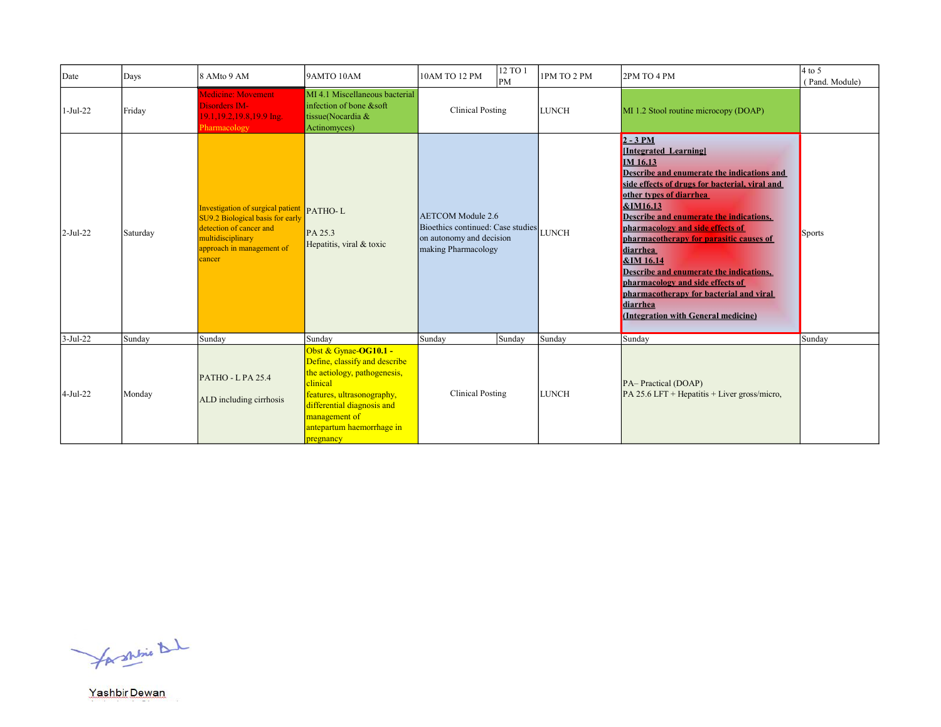| Date       | Days     | 8 AMto 9 AM                                                                                                                                                          | 9AMTO 10AM                                                                                                                                                                                                                | 10AM TO 12 PM                                                                                                    | 12 TO 1<br> PM | 1PM TO 2 PM  | 2PM TO 4 PM                                                                                                                                                                                                                                                                                                                                                                                                                                                                                                                                  | $4$ to 5<br>(Pand. Module) |
|------------|----------|----------------------------------------------------------------------------------------------------------------------------------------------------------------------|---------------------------------------------------------------------------------------------------------------------------------------------------------------------------------------------------------------------------|------------------------------------------------------------------------------------------------------------------|----------------|--------------|----------------------------------------------------------------------------------------------------------------------------------------------------------------------------------------------------------------------------------------------------------------------------------------------------------------------------------------------------------------------------------------------------------------------------------------------------------------------------------------------------------------------------------------------|----------------------------|
| $1-Jul-22$ | Friday   | <b>Medicine: Movement</b><br>Disorders IM-<br>19.1, 19.2, 19.8, 19.9 Ing.<br>Pharmacology                                                                            | MI 4.1 Miscellaneous bacterial<br>infection of bone &soft<br>tissue(Nocardia &<br>Actinomyces)                                                                                                                            | <b>Clinical Posting</b>                                                                                          |                | <b>LUNCH</b> | MI 1.2 Stool routine microcopy (DOAP)                                                                                                                                                                                                                                                                                                                                                                                                                                                                                                        |                            |
| 2-Jul-22   | Saturday | Investigation of surgical patient PATHO-L<br>SU9.2 Biological basis for early<br>detection of cancer and<br>multidisciplinary<br>approach in management of<br>cancer | PA 25.3<br>Hepatitis, viral & toxic                                                                                                                                                                                       | <b>AETCOM</b> Module 2.6<br>Bioethics continued: Case studies<br>on autonomy and decision<br>making Pharmacology |                | <b>LUNCH</b> | $2 - 3 PM$<br>[Integrated Learning]<br>IM 16.13<br>Describe and enumerate the indications and<br>side effects of drugs for bacterial, viral and<br>other types of diarrhea<br><b>&amp;IM16.13</b><br>Describe and enumerate the indications,<br>pharmacology and side effects of<br>pharmacotherapy for parasitic causes of<br>diarrhea<br><b>&amp;IM 16.14</b><br>Describe and enumerate the indications,<br>pharmacology and side effects of<br>pharmacotherapy for bacterial and viral<br>diarrhea<br>(Integration with General medicine) | Sports                     |
| $3-Jul-22$ | Sunday   | Sunday                                                                                                                                                               | Sunday                                                                                                                                                                                                                    | Sunday                                                                                                           | Sunday         | Sunday       | Sunday                                                                                                                                                                                                                                                                                                                                                                                                                                                                                                                                       | Sunday                     |
| 4-Jul-22   | Monday   | PATHO - L PA 25.4<br>ALD including cirrhosis                                                                                                                         | Obst & Gynae-OG10.1 -<br>Define, classify and describe<br>the aetiology, pathogenesis,<br>clinical<br>features, ultrasonography,<br>differential diagnosis and<br>management of<br>antepartum haemorrhage in<br>pregnancy | <b>Clinical Posting</b>                                                                                          |                | <b>LUNCH</b> | PA-Practical (DOAP)<br>$PA$ 25.6 LFT + Hepatitis + Liver gross/micro,                                                                                                                                                                                                                                                                                                                                                                                                                                                                        |                            |

for shrine that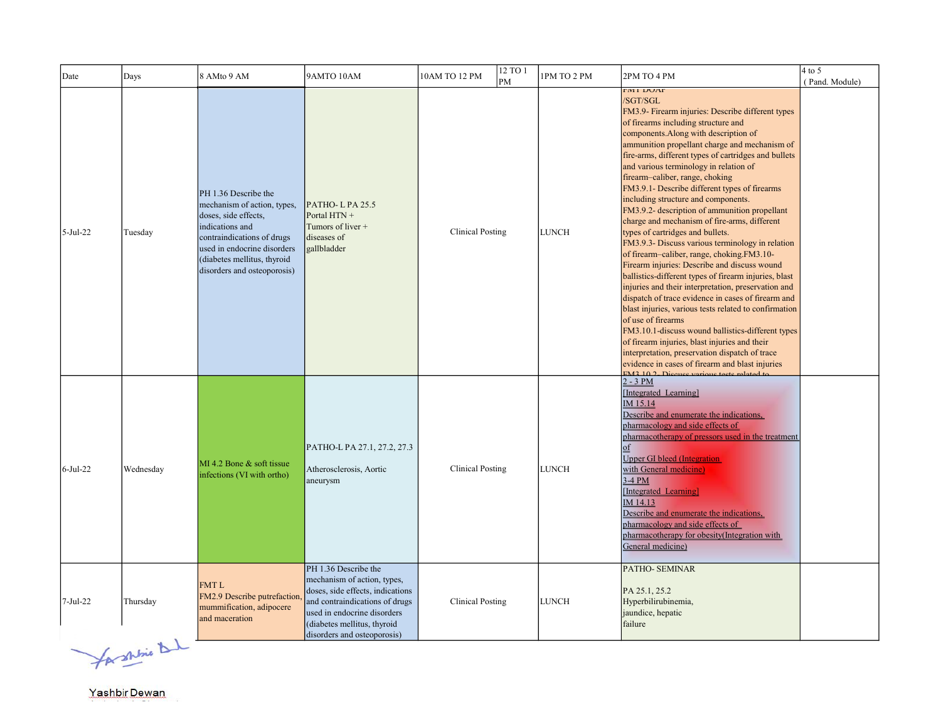| Date        | Days      | 8 AMto 9 AM                                                                                                                                                                                                               | 9AMTO 10AM                                                                                                                                                                                                             | 12 TO 1<br>10AM TO 12 PM<br>PM | 1PM TO 2 PM  | 2PM TO 4 PM                                                                                                                                                                                                                                                                                                                                                                                                                                                                                                                                                                                                                                                                                                                                                                                                                                                                                                                                                                                                                                                                                                                                                                                                                     | $4$ to 5<br>(Pand. Module) |
|-------------|-----------|---------------------------------------------------------------------------------------------------------------------------------------------------------------------------------------------------------------------------|------------------------------------------------------------------------------------------------------------------------------------------------------------------------------------------------------------------------|--------------------------------|--------------|---------------------------------------------------------------------------------------------------------------------------------------------------------------------------------------------------------------------------------------------------------------------------------------------------------------------------------------------------------------------------------------------------------------------------------------------------------------------------------------------------------------------------------------------------------------------------------------------------------------------------------------------------------------------------------------------------------------------------------------------------------------------------------------------------------------------------------------------------------------------------------------------------------------------------------------------------------------------------------------------------------------------------------------------------------------------------------------------------------------------------------------------------------------------------------------------------------------------------------|----------------------------|
| $5-Jul-22$  | Tuesday   | PH 1.36 Describe the<br>mechanism of action, types,<br>doses, side effects,<br>indications and<br>contraindications of drugs<br>used in endocrine disorders<br>(diabetes mellitus, thyroid<br>disorders and osteoporosis) | PATHO-LPA 25.5<br>Portal HTN +<br>Tumors of liver +<br>diseases of<br>gallbladder                                                                                                                                      | <b>Clinical Posting</b>        | <b>LUNCH</b> | <b>FIVIT DUAP</b><br>/SGT/SGL<br>FM3.9- Firearm injuries: Describe different types<br>of firearms including structure and<br>components. Along with description of<br>ammunition propellant charge and mechanism of<br>fire-arms, different types of cartridges and bullets<br>and various terminology in relation of<br>firearm-caliber, range, choking<br>FM3.9.1- Describe different types of firearms<br>including structure and components.<br>FM3.9.2- description of ammunition propellant<br>charge and mechanism of fire-arms, different<br>types of cartridges and bullets.<br>FM3.9.3- Discuss various terminology in relation<br>of firearm-caliber, range, choking.FM3.10-<br>Firearm injuries: Describe and discuss wound<br>ballistics-different types of firearm injuries, blast<br>injuries and their interpretation, preservation and<br>dispatch of trace evidence in cases of firearm and<br>blast injuries, various tests related to confirmation<br>of use of firearms<br>FM3.10.1-discuss wound ballistics-different types<br>of firearm injuries, blast injuries and their<br>interpretation, preservation dispatch of trace<br>evidence in cases of firearm and blast injuries<br>$EM2 10.2  \n\Sigma$ |                            |
| $6$ -Jul-22 | Wednesday | MI 4.2 Bone & soft tissue<br>infections (VI with ortho)                                                                                                                                                                   | PATHO-L PA 27.1, 27.2, 27.3<br>Atherosclerosis, Aortic<br>aneurysm                                                                                                                                                     | <b>Clinical Posting</b>        | <b>LUNCH</b> | $2 - 3 PM$<br>[Integrated Learning]<br>IM 15.14<br>Describe and enumerate the indications,<br>pharmacology and side effects of<br>pharmacotherapy of pressors used in the treatment<br><b>Upper GI bleed (Integration</b><br>with General medicine)<br>$3-4$ PM<br>[Integrated Learning]<br>IM 14.13<br>Describe and enumerate the indications,<br>pharmacology and side effects of<br>pharmacotherapy for obesity(Integration with<br>General medicine)                                                                                                                                                                                                                                                                                                                                                                                                                                                                                                                                                                                                                                                                                                                                                                        |                            |
| $7-Jul-22$  | Thursday  | FMT <sub>L</sub><br>FM2.9 Describe putrefaction<br>mummification, adipocere<br>and maceration                                                                                                                             | PH 1.36 Describe the<br>mechanism of action, types,<br>doses, side effects, indications<br>and contraindications of drugs<br>used in endocrine disorders<br>(diabetes mellitus, thyroid<br>disorders and osteoporosis) | <b>Clinical Posting</b>        | LUNCH        | <b>PATHO- SEMINAR</b><br>PA 25.1, 25.2<br>Hyperbilirubinemia,<br>jaundice, hepatic<br>failure                                                                                                                                                                                                                                                                                                                                                                                                                                                                                                                                                                                                                                                                                                                                                                                                                                                                                                                                                                                                                                                                                                                                   |                            |

for shrine that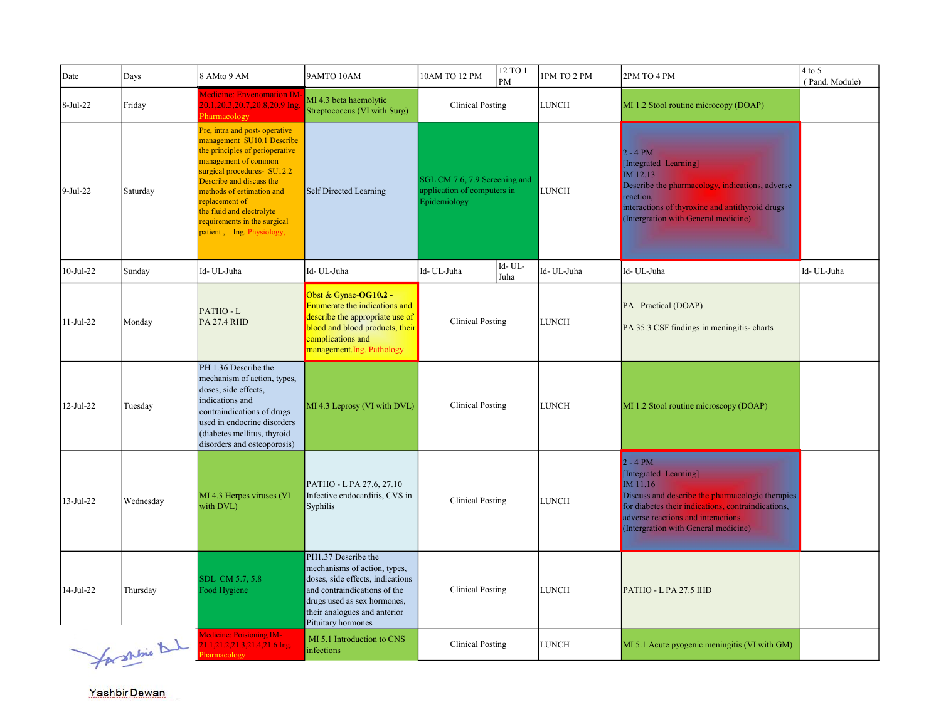| Date            | Days           | 8 AMto 9 AM                                                                                                                                                                                                                                                                                                                | 9AMTO 10AM                                                                                                                                                                                                   | 10AM TO 12 PM                                                                | 12 TO 1<br>PM                                       | 1PM TO 2 PM  | 2PM TO 4 PM                                                                                                                                                                                                                             | $4$ to 5<br>(Pand. Module) |
|-----------------|----------------|----------------------------------------------------------------------------------------------------------------------------------------------------------------------------------------------------------------------------------------------------------------------------------------------------------------------------|--------------------------------------------------------------------------------------------------------------------------------------------------------------------------------------------------------------|------------------------------------------------------------------------------|-----------------------------------------------------|--------------|-----------------------------------------------------------------------------------------------------------------------------------------------------------------------------------------------------------------------------------------|----------------------------|
| 8-Jul-22        | Friday         | Medicine: Envenomation IM<br>20.1,20.3,20.7,20.8,20.9 Ing.<br>Pharmacology                                                                                                                                                                                                                                                 | MI 4.3 beta haemolytic<br>Streptococcus (VI with Surg)                                                                                                                                                       | <b>Clinical Posting</b>                                                      |                                                     | LUNCH        | MI 1.2 Stool routine microcopy (DOAP)                                                                                                                                                                                                   |                            |
| $9-Jul-22$      | Saturday       | Pre, intra and post-operative<br>management SU10.1 Describe<br>the principles of perioperative<br>management of common<br>surgical procedures- SU12.2<br>Describe and discuss the<br>methods of estimation and<br>replacement of<br>the fluid and electrolyte<br>requirements in the surgical<br>patient, Ing. Physiology, | Self Directed Learning                                                                                                                                                                                       | SGL CM 7.6, 7.9 Screening and<br>application of computers in<br>Epidemiology |                                                     | <b>LUNCH</b> | $2 - 4 PM$<br>[Integrated Learning]<br>IM 12.13<br>Describe the pharmacology, indications, adverse<br>reaction,<br>interactions of thyroxine and antithyroid drugs<br>(Intergration with General medicine)                              |                            |
| $10-Jul-22$     | Sunday         | Id-UL-Juha                                                                                                                                                                                                                                                                                                                 | Id-UL-Juha                                                                                                                                                                                                   | Id- UL-Juha                                                                  | $\operatorname{Id}$ - $\operatorname{UL}$ -<br>Juha | Id-UL-Juha   | Id-UL-Juha                                                                                                                                                                                                                              | Id- UL-Juha                |
| $11-Jul-22$     | Monday         | PATHO-L<br><b>PA 27.4 RHD</b>                                                                                                                                                                                                                                                                                              | Obst & Gynae-OG10.2 -<br>Enumerate the indications and<br>describe the appropriate use of<br>blood and blood products, their<br>complications and<br>management Ing. Pathology                               | <b>Clinical Posting</b>                                                      |                                                     | <b>LUNCH</b> | PA-Practical (DOAP)<br>PA 35.3 CSF findings in meningitis-charts                                                                                                                                                                        |                            |
| 12-Jul-22       | Tuesday        | PH 1.36 Describe the<br>mechanism of action, types,<br>doses, side effects,<br>indications and<br>contraindications of drugs<br>used in endocrine disorders<br>(diabetes mellitus, thyroid<br>disorders and osteoporosis)                                                                                                  | MI 4.3 Leprosy (VI with DVL)                                                                                                                                                                                 | <b>Clinical Posting</b>                                                      |                                                     | <b>LUNCH</b> | MI 1.2 Stool routine microscopy (DOAP)                                                                                                                                                                                                  |                            |
| $13 - Jul - 22$ | Wednesday      | MI 4.3 Herpes viruses (VI<br>with DVL)                                                                                                                                                                                                                                                                                     | PATHO - L PA 27.6, 27.10<br>Infective endocarditis, CVS in<br>Syphilis                                                                                                                                       | <b>Clinical Posting</b>                                                      |                                                     | <b>LUNCH</b> | $2 - 4 PM$<br>[Integrated Learning]<br>IM 11.16<br>Discuss and describe the pharmacologic therapies<br>for diabetes their indications, contraindications,<br>adverse reactions and interactions<br>(Intergration with General medicine) |                            |
| 14-Jul-22       | Thursday       | SDL CM 5.7, 5.8<br>Food Hygiene                                                                                                                                                                                                                                                                                            | PH1.37 Describe the<br>mechanisms of action, types,<br>doses, side effects, indications<br>and contraindications of the<br>drugs used as sex hormones,<br>their analogues and anterior<br>Pituitary hormones | <b>Clinical Posting</b>                                                      |                                                     | <b>LUNCH</b> | PATHO - L PA 27.5 IHD                                                                                                                                                                                                                   |                            |
|                 | for shine that | <b>Medicine: Poisioning IM-</b><br>1.1,21.2,21.3,21.4,21.6 Ing.<br>armacolog                                                                                                                                                                                                                                               | MI 5.1 Introduction to CNS<br>infections                                                                                                                                                                     | <b>Clinical Posting</b>                                                      |                                                     | LUNCH        | MI 5.1 Acute pyogenic meningitis (VI with GM)                                                                                                                                                                                           |                            |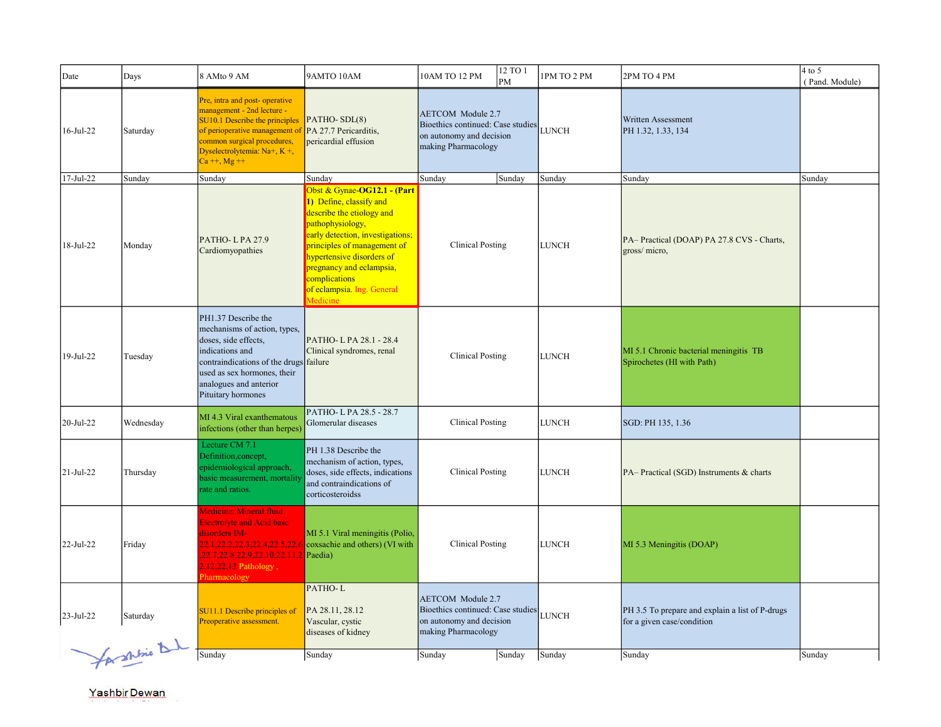| Date         | Days                    | 8 AMto 9 AM                                                                                                                                                                                                              | 9AMTO 10AM                                                                                                                                                                                                                                                                                     | 10AM TO 12 PM                                                                                                    | 12 TO 1<br>PM                           | 1PM TO 2 PM  | 2PM TO 4 PM                                                                   | $4$ to 5<br>(Pand. Module) |
|--------------|-------------------------|--------------------------------------------------------------------------------------------------------------------------------------------------------------------------------------------------------------------------|------------------------------------------------------------------------------------------------------------------------------------------------------------------------------------------------------------------------------------------------------------------------------------------------|------------------------------------------------------------------------------------------------------------------|-----------------------------------------|--------------|-------------------------------------------------------------------------------|----------------------------|
| 16-Jul-22    | Saturday                | Pre, intra and post-operative<br>management - 2nd lecture -<br>SU10.1 Describe the principles<br>of perioperative management of<br>common surgical procedures,<br>Dyselectrolytemia: $Na+$ , $K+$ ,<br>$Ca + f$ , Mg + + | PATHO-SDL(8)<br>PA 27.7 Pericarditis,<br>pericardial effusion                                                                                                                                                                                                                                  | <b>AETCOM</b> Module 2.7<br>Bioethics continued: Case studies<br>on autonomy and decision<br>making Pharmacology |                                         | <b>LUNCH</b> | Written Assessment<br>PH 1.32, 1.33, 134                                      |                            |
| 17-Jul-22    | Sunday                  | Sunday                                                                                                                                                                                                                   | Sunday                                                                                                                                                                                                                                                                                         | Sunday                                                                                                           | Sunday                                  | Sunday       | Sunday                                                                        | Sunday                     |
| 18-Jul-22    | Monday                  | PATHO-LPA27.9<br>Cardiomyopathies                                                                                                                                                                                        | Obst & Gynae-OG12.1 - (Part<br>1) Define, classify and<br>describe the etiology and<br>pathophysiology,<br>early detection, investigations;<br>principles of management of<br>hypertensive disorders of<br>pregnancy and eclampsia,<br>complications<br>of eclampsia. Ing. General<br>Medicine | <b>Clinical Posting</b>                                                                                          |                                         | <b>LUNCH</b> | PA-Practical (DOAP) PA 27.8 CVS - Charts,<br>gross/ micro,                    |                            |
| 19-Jul-22    | Tuesday                 | PH1.37 Describe the<br>mechanisms of action, types,<br>doses, side effects,<br>indications and<br>contraindications of the drugs failure<br>used as sex hormones, their<br>analogues and anterior<br>Pituitary hormones  | PATHO-LPA 28.1 - 28.4<br>Clinical syndromes, renal                                                                                                                                                                                                                                             | <b>Clinical Posting</b>                                                                                          |                                         | <b>LUNCH</b> | MI 5.1 Chronic bacterial meningitis TB<br>Spirochetes (HI with Path)          |                            |
| 20-Jul-22    | Wednesday               | MI 4.3 Viral exanthematous<br>infections (other than herpes)                                                                                                                                                             | PATHO-LPA 28.5 - 28.7<br>Glomerular diseases                                                                                                                                                                                                                                                   | <b>Clinical Posting</b>                                                                                          |                                         | <b>LUNCH</b> | SGD: PH 135, 1.36                                                             |                            |
| $21-Jul-22$  | Thursday                | Lecture CM 7.1<br>Definition, concept,<br>epidemiological approach,<br>basic measurement, mortality<br>rate and ratios.                                                                                                  | PH 1.38 Describe the<br>mechanism of action, types,<br>doses, side effects, indications<br>and contraindications of<br>corticosteroidss                                                                                                                                                        |                                                                                                                  | <b>Clinical Posting</b><br><b>LUNCH</b> |              | PA-Practical (SGD) Instruments & charts                                       |                            |
| 22-Jul-22    | Friday                  | Medicine: Mineral fluid<br><b>Electrolyte and Acid base</b><br>disorders IM-<br>22.1,22.2,22.3,22.4,22.5,22.6<br>22.7, 22.8, 22.9, 22.10, 22.11, 2 Paedia)<br>$2.12,22.13$ Pathology,<br>Pharmacology                    | MI 5.1 Viral meningitis (Polio,<br>coxsachie and others) (VI with                                                                                                                                                                                                                              | <b>Clinical Posting</b>                                                                                          |                                         | LUNCH        | MI 5.3 Meningitis (DOAP)                                                      |                            |
| $23$ -Jul-22 | Saturday<br>Cashbie Dad | SU11.1 Describe principles of<br>Preoperative assessment.                                                                                                                                                                | PATHO-L<br>PA 28.11, 28.12<br>Vascular, cystic<br>diseases of kidney                                                                                                                                                                                                                           | <b>AETCOM</b> Module 2.7<br>Bioethics continued: Case studies<br>on autonomy and decision<br>making Pharmacology |                                         | <b>LUNCH</b> | PH 3.5 To prepare and explain a list of P-drugs<br>for a given case/condition |                            |
|              |                         | Sunday                                                                                                                                                                                                                   | Sunday                                                                                                                                                                                                                                                                                         | Sunday                                                                                                           | Sunday                                  | Sunday       | Sunday                                                                        | Sunday                     |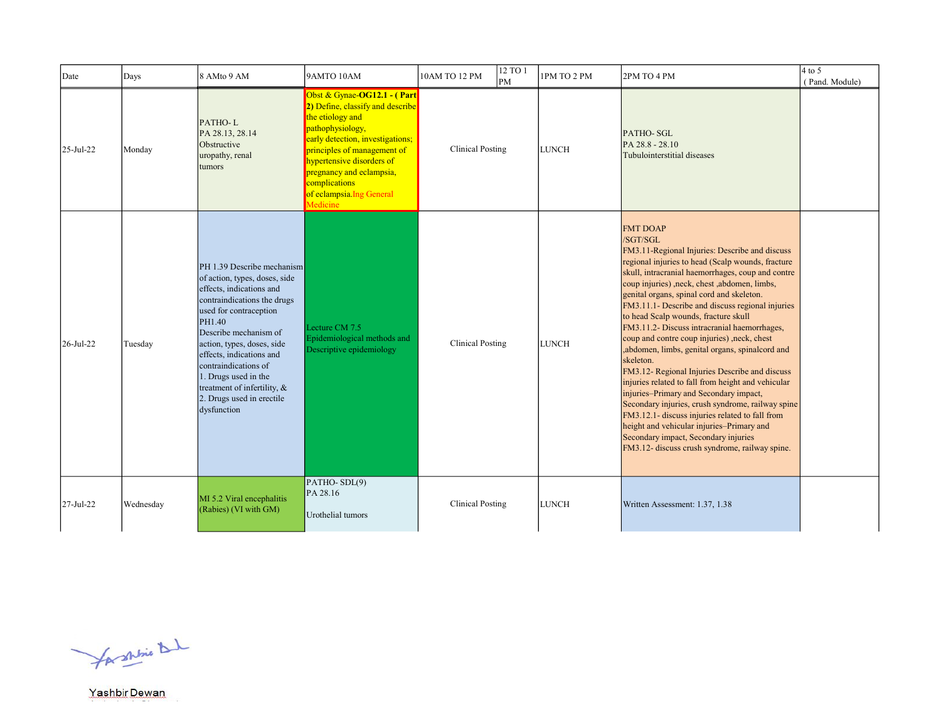| Date            | Days      | 8 AMto 9 AM                                                                                                                                                                                                                                                                                                                                                              | 9AMTO 10AM                                                                                                                                                                                                                                                                                    | 10AM TO 12 PM           | 12 TO 1<br>lрм | 1PM TO 2 PM  | 2PM TO 4 PM                                                                                                                                                                                                                                                                                                                                                                                                                                                                                                                                                                                                                                                                                                                                                                                                                                                                                                                                      | $4$ to 5<br>(Pand. Module) |
|-----------------|-----------|--------------------------------------------------------------------------------------------------------------------------------------------------------------------------------------------------------------------------------------------------------------------------------------------------------------------------------------------------------------------------|-----------------------------------------------------------------------------------------------------------------------------------------------------------------------------------------------------------------------------------------------------------------------------------------------|-------------------------|----------------|--------------|--------------------------------------------------------------------------------------------------------------------------------------------------------------------------------------------------------------------------------------------------------------------------------------------------------------------------------------------------------------------------------------------------------------------------------------------------------------------------------------------------------------------------------------------------------------------------------------------------------------------------------------------------------------------------------------------------------------------------------------------------------------------------------------------------------------------------------------------------------------------------------------------------------------------------------------------------|----------------------------|
| $25 - Jul - 22$ | Monday    | PATHO-L<br>PA 28.13, 28.14<br>Obstructive<br>uropathy, renal<br>tumors                                                                                                                                                                                                                                                                                                   | Obst & Gynae-OG12.1 - (Part<br>2) Define, classify and describe<br>the etiology and<br>pathophysiology,<br>early detection, investigations;<br>principles of management of<br>hypertensive disorders of<br>pregnancy and eclampsia,<br>complications<br>of eclampsia. Ing General<br>Medicine | <b>Clinical Posting</b> |                | <b>LUNCH</b> | PATHO-SGL<br>PA 28.8 - 28.10<br>Tubulointerstitial diseases                                                                                                                                                                                                                                                                                                                                                                                                                                                                                                                                                                                                                                                                                                                                                                                                                                                                                      |                            |
| 26-Jul-22       | Tuesday   | PH 1.39 Describe mechanism<br>of action, types, doses, side<br>effects, indications and<br>contraindications the drugs<br>used for contraception<br>PH1.40<br>Describe mechanism of<br>action, types, doses, side<br>effects, indications and<br>contraindications of<br>1. Drugs used in the<br>treatment of infertility, &<br>2. Drugs used in erectile<br>dysfunction | Lecture CM 7.5<br>Epidemiological methods and<br>Descriptive epidemiology                                                                                                                                                                                                                     | <b>Clinical Posting</b> |                | <b>LUNCH</b> | <b>FMT DOAP</b><br>/SGT/SGL<br>FM3.11-Regional Injuries: Describe and discuss<br>regional injuries to head (Scalp wounds, fracture<br>skull, intracranial haemorrhages, coup and contre<br>coup injuries), neck, chest, abdomen, limbs,<br>genital organs, spinal cord and skeleton.<br>FM3.11.1- Describe and discuss regional injuries<br>to head Scalp wounds, fracture skull<br>FM3.11.2- Discuss intracranial haemorrhages,<br>coup and contre coup injuries), neck, chest<br>,abdomen, limbs, genital organs, spinalcord and<br>skeleton.<br>FM3.12- Regional Injuries Describe and discuss<br>injuries related to fall from height and vehicular<br>injuries-Primary and Secondary impact,<br>Secondary injuries, crush syndrome, railway spine<br>FM3.12.1- discuss injuries related to fall from<br>height and vehicular injuries-Primary and<br>Secondary impact, Secondary injuries<br>FM3.12- discuss crush syndrome, railway spine. |                            |
| 27-Jul-22       | Wednesday | MI 5.2 Viral encephalitis<br>(Rabies) (VI with GM)                                                                                                                                                                                                                                                                                                                       | $PATHO-SDL(9)$<br>PA 28.16<br>Urothelial tumors                                                                                                                                                                                                                                               | <b>Clinical Posting</b> |                | <b>LUNCH</b> | Written Assessment: 1.37, 1.38                                                                                                                                                                                                                                                                                                                                                                                                                                                                                                                                                                                                                                                                                                                                                                                                                                                                                                                   |                            |

for shine that

Yashbir Dewan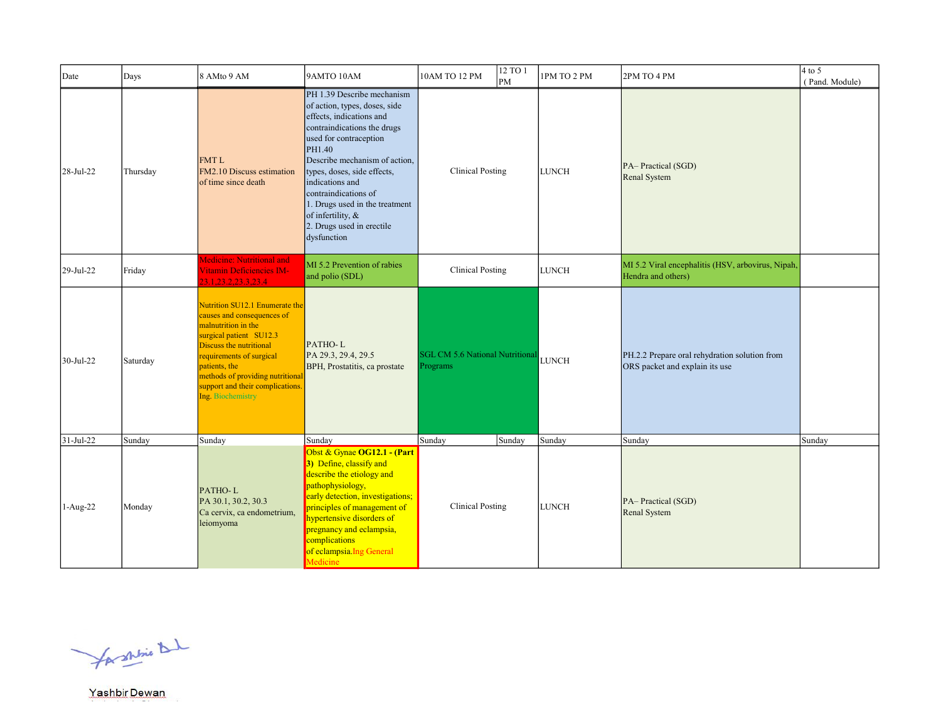| Date       | Days     | 8 AMto 9 AM                                                                                                                                                                                                                                                                         | 9AMTO 10AM                                                                                                                                                                                                                                                                                                                                                               | $12 \overline{TO1}$<br>10AM TO 12 PM<br>PM         | 1PM TO 2 PM  | 2PM TO 4 PM                                                                     | $4$ to 5<br>(Pand. Module) |
|------------|----------|-------------------------------------------------------------------------------------------------------------------------------------------------------------------------------------------------------------------------------------------------------------------------------------|--------------------------------------------------------------------------------------------------------------------------------------------------------------------------------------------------------------------------------------------------------------------------------------------------------------------------------------------------------------------------|----------------------------------------------------|--------------|---------------------------------------------------------------------------------|----------------------------|
| 28-Jul-22  | Thursday | <b>FMTL</b><br>FM2.10 Discuss estimation<br>of time since death                                                                                                                                                                                                                     | PH 1.39 Describe mechanism<br>of action, types, doses, side<br>effects, indications and<br>contraindications the drugs<br>used for contraception<br>PH1.40<br>Describe mechanism of action.<br>types, doses, side effects,<br>indications and<br>contraindications of<br>1. Drugs used in the treatment<br>of infertility, &<br>2. Drugs used in erectile<br>dysfunction | <b>Clinical Posting</b>                            | <b>LUNCH</b> | PA-Practical (SGD)<br>Renal System                                              |                            |
| 29-Jul-22  | Friday   | Medicine: Nutritional and<br>Vitamin Deficiencies IM-<br>23.1, 23.2, 23.3, 23.4                                                                                                                                                                                                     | MI 5.2 Prevention of rabies<br>and polio (SDL)                                                                                                                                                                                                                                                                                                                           | <b>Clinical Posting</b>                            | <b>LUNCH</b> | MI 5.2 Viral encephalitis (HSV, arbovirus, Nipah,<br>Hendra and others)         |                            |
| 30-Jul-22  | Saturday | Nutrition SU12.1 Enumerate the<br>causes and consequences of<br>malnutrition in the<br>surgical patient SU12.3<br>Discuss the nutritional<br>requirements of surgical<br>patients, the<br>methods of providing nutritional<br>support and their complications.<br>Ing. Biochemistry | PATHO-L<br>PA 29.3, 29.4, 29.5<br>BPH, Prostatitis, ca prostate                                                                                                                                                                                                                                                                                                          | <b>SGL CM 5.6 National Nutritional</b><br>Programs | LUNCH        | PH.2.2 Prepare oral rehydration solution from<br>ORS packet and explain its use |                            |
| 31-Jul-22  | Sunday   | Sunday                                                                                                                                                                                                                                                                              | Sunday                                                                                                                                                                                                                                                                                                                                                                   | Sunday<br>Sunday                                   | Sunday       | Sunday                                                                          | Sunday                     |
| $1-Aug-22$ | Monday   | PATHO-L<br>PA 30.1, 30.2, 30.3<br>Ca cervix, ca endometrium,<br>leiomyoma                                                                                                                                                                                                           | Obst & Gynae OG12.1 - (Part<br>3) Define, classify and<br>describe the etiology and<br>pathophysiology,<br>early detection, investigations;<br>principles of management of<br>hypertensive disorders of<br>pregnancy and eclampsia,<br>complications<br>of eclampsia. Ing General<br>Medicine                                                                            | <b>Clinical Posting</b>                            | <b>LUNCH</b> | PA-Practical (SGD)<br>Renal System                                              |                            |

for shrine that

Yashbir Dewan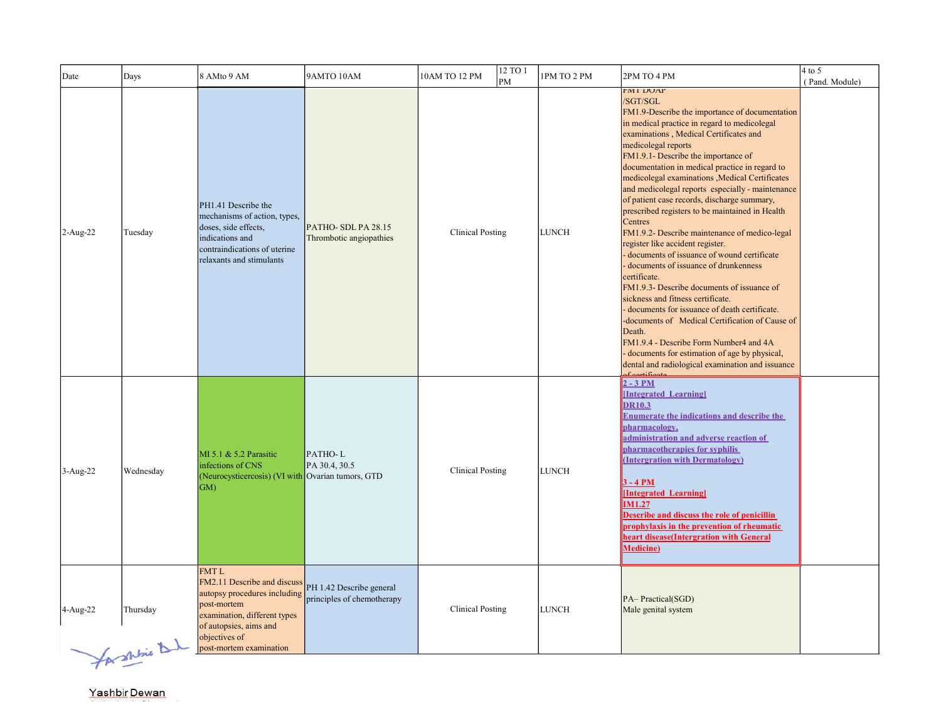| Date       | Days                     | 8 AMto 9 AM                                                                                                                                                                                     | 9AMTO 10AM                                             | 10AM TO 12 PM<br>PM     | 12 TO 1 | 1PM TO 2 PM  | 2PM TO 4 PM                                                                                                                                                                                                                                                                                                                                                                                                                                                                                                                                                                                                                                                                                                                                                                                                                                                                                                                                                                                                                                                         | $4$ to 5<br>(Pand. Module) |
|------------|--------------------------|-------------------------------------------------------------------------------------------------------------------------------------------------------------------------------------------------|--------------------------------------------------------|-------------------------|---------|--------------|---------------------------------------------------------------------------------------------------------------------------------------------------------------------------------------------------------------------------------------------------------------------------------------------------------------------------------------------------------------------------------------------------------------------------------------------------------------------------------------------------------------------------------------------------------------------------------------------------------------------------------------------------------------------------------------------------------------------------------------------------------------------------------------------------------------------------------------------------------------------------------------------------------------------------------------------------------------------------------------------------------------------------------------------------------------------|----------------------------|
| $2-Aug-22$ | Tuesday                  | PH1.41 Describe the<br>mechanisms of action, types,<br>doses, side effects,<br>indications and<br>contraindications of uterine<br>relaxants and stimulants                                      | PATHO-SDL PA 28.15<br>Thrombotic angiopathies          | <b>Clinical Posting</b> |         | <b>LUNCH</b> | <b>FMI DUAP</b><br>/SGT/SGL<br>FM1.9-Describe the importance of documentation<br>in medical practice in regard to medicolegal<br>examinations, Medical Certificates and<br>medicolegal reports<br>FM1.9.1- Describe the importance of<br>documentation in medical practice in regard to<br>medicolegal examinations , Medical Certificates<br>and medicolegal reports especially - maintenance<br>of patient case records, discharge summary,<br>prescribed registers to be maintained in Health<br>Centres<br>FM1.9.2- Describe maintenance of medico-legal<br>register like accident register.<br>documents of issuance of wound certificate<br>documents of issuance of drunkenness<br>certificate.<br>FM1.9.3- Describe documents of issuance of<br>sickness and fitness certificate.<br>documents for issuance of death certificate.<br>-documents of Medical Certification of Cause of<br>Death.<br>FM1.9.4 - Describe Form Number4 and 4A<br>documents for estimation of age by physical,<br>dental and radiological examination and issuance<br>faartificat |                            |
| $3-Aug-22$ | Wednesday                | MI 5.1 & 5.2 Parasitic<br>infections of CNS<br>(Neurocysticercosis) (VI with Ovarian tumors, GTD<br>GM)                                                                                         | PATHO-L<br>PA 30.4, 30.5                               | <b>Clinical Posting</b> |         | <b>LUNCH</b> | $2 - 3 PM$<br><b>Integrated Learning</b><br><b>DR10.3</b><br><b>Enumerate the indications and describe the</b><br>pharmacology,<br>administration and adverse reaction of<br>pharmacotherapies for syphilis<br>(Intergration with Dermatology)<br>$3 - 4 PM$<br>[Integrated Learning]<br><b>IM1.27</b><br>Describe and discuss the role of penicillin<br>prophylaxis in the prevention of rheumatic<br>heart disease(Intergration with General<br><b>Medicine</b> )                                                                                                                                                                                                                                                                                                                                                                                                                                                                                                                                                                                                 |                            |
| 4-Aug-22   | Thursday<br>for shine be | <b>FMTL</b><br>FM2.11 Describe and discuss<br>autopsy procedures including<br>post-mortem<br>examination, different types<br>of autopsies, aims and<br>objectives of<br>post-mortem examination | PH 1.42 Describe general<br>principles of chemotherapy | <b>Clinical Posting</b> |         | <b>LUNCH</b> | PA-Practical(SGD)<br>Male genital system                                                                                                                                                                                                                                                                                                                                                                                                                                                                                                                                                                                                                                                                                                                                                                                                                                                                                                                                                                                                                            |                            |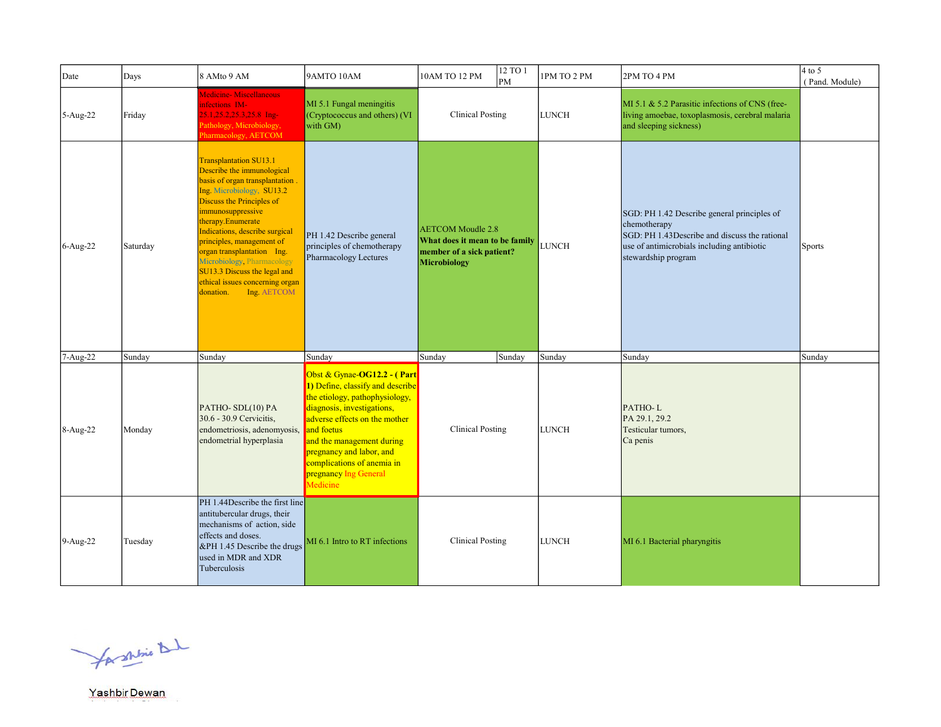| Date       | Days     | 8 AMto 9 AM                                                                                                                                                                                                                                                                                                                                                                                                                 | 9AMTO 10AM                                                                                                                                                                                                                                                                                                 | 12 TO 1<br>10AM TO 12 PM<br>PM                                                                          | 1PM TO 2 PM  | 2PM TO 4 PM                                                                                                                                                                       | $4$ to 5<br>(Pand. Module) |
|------------|----------|-----------------------------------------------------------------------------------------------------------------------------------------------------------------------------------------------------------------------------------------------------------------------------------------------------------------------------------------------------------------------------------------------------------------------------|------------------------------------------------------------------------------------------------------------------------------------------------------------------------------------------------------------------------------------------------------------------------------------------------------------|---------------------------------------------------------------------------------------------------------|--------------|-----------------------------------------------------------------------------------------------------------------------------------------------------------------------------------|----------------------------|
| $5-Aug-22$ | Friday   | Medicine- Miscellaneous<br>infections IM-<br>$25.1, 25.2, 25.3, 25.8$ Ing-<br>Pathology, Microbiology,<br>Pharmacology, AETCOM                                                                                                                                                                                                                                                                                              | MI 5.1 Fungal meningitis<br>(Cryptococcus and others) (VI<br>with GM)                                                                                                                                                                                                                                      | <b>Clinical Posting</b>                                                                                 | <b>LUNCH</b> | MI 5.1 & 5.2 Parasitic infections of CNS (free-<br>living amoebae, toxoplasmosis, cerebral malaria<br>and sleeping sickness)                                                      |                            |
| 6-Aug-22   | Saturday | <b>Transplantation SU13.1</b><br>Describe the immunological<br>basis of organ transplantation.<br>Ing. Microbiology, SU13.2<br>Discuss the Principles of<br>immunosuppressive<br>therapy.Enumerate<br>Indications, describe surgical<br>principles, management of<br>organ transplantation Ing.<br>Microbiology, Pharmacology<br>SU13.3 Discuss the legal and<br>ethical issues concerning organ<br>Ing AETCOM<br>donation. | PH 1.42 Describe general<br>principles of chemotherapy<br>Pharmacology Lectures                                                                                                                                                                                                                            | <b>AETCOM</b> Moudle 2.8<br>What does it mean to be family<br>member of a sick patient?<br>Microbiology | LUNCH        | SGD: PH 1.42 Describe general principles of<br>chemotherapy<br>SGD: PH 1.43Describe and discuss the rational<br>use of antimicrobials including antibiotic<br>stewardship program | <b>Sports</b>              |
| 7-Aug-22   | Sunday   | Sunday                                                                                                                                                                                                                                                                                                                                                                                                                      | Sunday                                                                                                                                                                                                                                                                                                     | Sunday<br>Sunday                                                                                        | Sunday       | Sunday                                                                                                                                                                            | Sunday                     |
| $8-Aug-22$ | Monday   | PATHO-SDL(10) PA<br>30.6 - 30.9 Cervicitis,<br>endometriosis, adenomyosis,<br>endometrial hyperplasia                                                                                                                                                                                                                                                                                                                       | Obst & Gynae-OG12.2 - (Part<br>1) Define, classify and describe<br>the etiology, pathophysiology,<br>diagnosis, investigations,<br>adverse effects on the mother<br>and foetus<br>and the management during<br>pregnancy and labor, and<br>complications of anemia in<br>pregnancy Ing General<br>Medicine | <b>Clinical Posting</b>                                                                                 | <b>LUNCH</b> | PATHO-L<br>PA 29.1, 29.2<br>Testicular tumors,<br>Ca penis                                                                                                                        |                            |
| $9-Aug-22$ | Tuesday  | PH 1.44Describe the first line<br>antitubercular drugs, their<br>mechanisms of action, side<br>effects and doses.<br>&PH 1.45 Describe the drugs<br>used in MDR and XDR<br>Tuberculosis                                                                                                                                                                                                                                     | MI 6.1 Intro to RT infections                                                                                                                                                                                                                                                                              | <b>Clinical Posting</b>                                                                                 | <b>LUNCH</b> | MI 6.1 Bacterial pharyngitis                                                                                                                                                      |                            |

for shrine that

Yashbir Dewan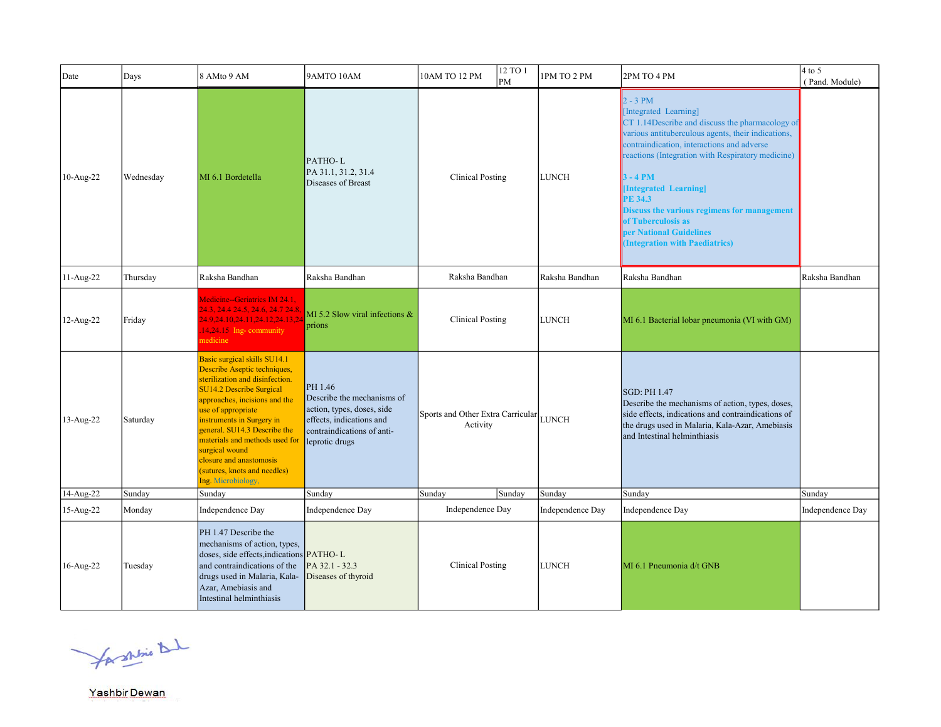| Date      | Days      | 8 AMto 9 AM                                                                                                                                                                                                                                                                                                                                                                                 | 9AMTO 10AM                                                                                                                                      | 12 TO 1<br>10AM TO 12 PM<br>PM                | 1PM TO 2 PM      | 2PM TO 4 PM                                                                                                                                                                                                                                                                                                                                                                                                                                   | $4$ to 5<br>(Pand. Module) |
|-----------|-----------|---------------------------------------------------------------------------------------------------------------------------------------------------------------------------------------------------------------------------------------------------------------------------------------------------------------------------------------------------------------------------------------------|-------------------------------------------------------------------------------------------------------------------------------------------------|-----------------------------------------------|------------------|-----------------------------------------------------------------------------------------------------------------------------------------------------------------------------------------------------------------------------------------------------------------------------------------------------------------------------------------------------------------------------------------------------------------------------------------------|----------------------------|
| 10-Aug-22 | Wednesday | MI 6.1 Bordetella                                                                                                                                                                                                                                                                                                                                                                           | PATHO-L<br>PA 31.1, 31.2, 31.4<br>Diseases of Breast                                                                                            | <b>Clinical Posting</b>                       | <b>LUNCH</b>     | $2 - 3 PM$<br>[Integrated Learning]<br>$CT$ 1.14 Describe and discuss the pharmacology of<br>various antituberculous agents, their indications,<br>contraindication, interactions and adverse<br>reactions (Integration with Respiratory medicine)<br>$3 - 4 PM$<br>[Integrated Learning]<br><b>PE 34.3</b><br>Discuss the various regimens for management<br>of Tuberculosis as<br>per National Guidelines<br>(Integration with Paediatrics) |                            |
| 11-Aug-22 | Thursday  | Raksha Bandhan                                                                                                                                                                                                                                                                                                                                                                              | Raksha Bandhan                                                                                                                                  | Raksha Bandhan                                | Raksha Bandhan   | Raksha Bandhan                                                                                                                                                                                                                                                                                                                                                                                                                                | Raksha Bandhan             |
| 12-Aug-22 | Friday    | Medicine--Geriatrics IM 24.1,<br>24.3, 24.4 24.5, 24.6, 24.7 24.8.<br>24.9.24.10.24.11.24.12.24.13.24<br>14,24.15 Ing-community<br>nedicine                                                                                                                                                                                                                                                 | MI 5.2 Slow viral infections &<br>prions                                                                                                        | <b>Clinical Posting</b>                       | <b>LUNCH</b>     | MI 6.1 Bacterial lobar pneumonia (VI with GM)                                                                                                                                                                                                                                                                                                                                                                                                 |                            |
| 13-Aug-22 | Saturday  | Basic surgical skills SU14.1<br>Describe Aseptic techniques,<br>sterilization and disinfection.<br><b>SU14.2 Describe Surgical</b><br>approaches, incisions and the<br>use of appropriate<br>instruments in Surgery in<br>general. SU14.3 Describe the<br>materials and methods used for<br>surgical wound<br>closure and anastomosis<br>(sutures, knots and needles)<br>Ing. Microbiology, | PH 1.46<br>Describe the mechanisms of<br>action, types, doses, side<br>effects, indications and<br>contraindications of anti-<br>leprotic drugs | Sports and Other Extra Carricular<br>Activity | <b>LUNCH</b>     | <b>SGD: PH 1.47</b><br>Describe the mechanisms of action, types, doses,<br>side effects, indications and contraindications of<br>the drugs used in Malaria, Kala-Azar, Amebiasis<br>and Intestinal helminthiasis                                                                                                                                                                                                                              |                            |
| 14-Aug-22 | Sunday    | Sunday                                                                                                                                                                                                                                                                                                                                                                                      | Sunday                                                                                                                                          | Sunday<br>Sunday                              | Sunday           | Sunday                                                                                                                                                                                                                                                                                                                                                                                                                                        | Sunday                     |
| 15-Aug-22 | Monday    | Independence Day                                                                                                                                                                                                                                                                                                                                                                            | Independence Day                                                                                                                                | Independence Day                              | Independence Day | Independence Day                                                                                                                                                                                                                                                                                                                                                                                                                              | Independence Day           |
| 16-Aug-22 | Tuesday   | PH 1.47 Describe the<br>mechanisms of action, types,<br>doses, side effects, indications <b>PATHO-L</b><br>and contraindications of the<br>drugs used in Malaria, Kala-<br>Azar, Amebiasis and<br>Intestinal helminthiasis                                                                                                                                                                  | PA 32.1 - 32.3<br>Diseases of thyroid                                                                                                           | <b>Clinical Posting</b>                       | <b>LUNCH</b>     | MI 6.1 Pneumonia d/t GNB                                                                                                                                                                                                                                                                                                                                                                                                                      |                            |

for shrine that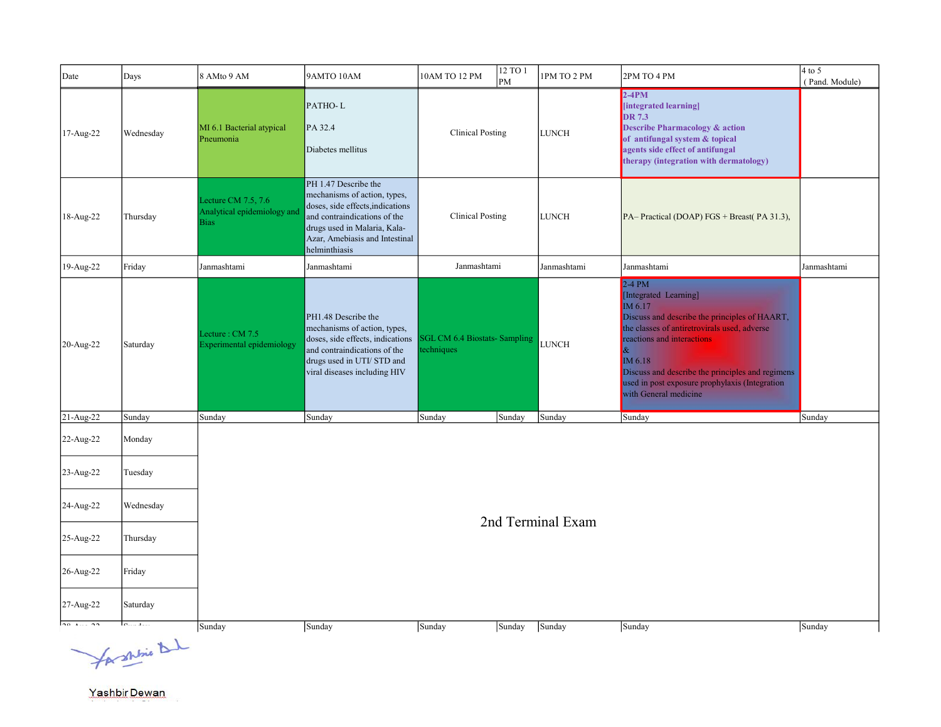| Date            | Days           | 8 AMto 9 AM                                                         | 9AMTO 10AM                                                                                                                                                                                                  | 10AM TO 12 PM           | 12 TO 1<br>PM                                        | 1PM TO 2 PM       | 2PM TO 4 PM                                                                                                                                                                                                                                                                                                                   | $4$ to $5$<br>(Pand. Module) |  |  |
|-----------------|----------------|---------------------------------------------------------------------|-------------------------------------------------------------------------------------------------------------------------------------------------------------------------------------------------------------|-------------------------|------------------------------------------------------|-------------------|-------------------------------------------------------------------------------------------------------------------------------------------------------------------------------------------------------------------------------------------------------------------------------------------------------------------------------|------------------------------|--|--|
| 17-Aug-22       | Wednesday      | MI 6.1 Bacterial atypical<br>Pneumonia                              | PATHO-L<br>PA 32.4<br>Diabetes mellitus                                                                                                                                                                     |                         | <b>Clinical Posting</b><br><b>LUNCH</b>              |                   | $2-4PM$<br>[integrated learning]<br><b>DR</b> 7.3<br><b>Describe Pharmacology &amp; action</b><br>of antifungal system & topical<br>agents side effect of antifungal<br>therapy (integration with dermatology)                                                                                                                |                              |  |  |
| 18-Aug-22       | Thursday       | Lecture CM $7.5, 7.6$<br>Analytical epidemiology and<br><b>Bias</b> | PH 1.47 Describe the<br>mechanisms of action, types,<br>doses, side effects, indications<br>and contraindications of the<br>drugs used in Malaria, Kala-<br>Azar, Amebiasis and Intestinal<br>helminthiasis | <b>Clinical Posting</b> |                                                      | <b>LUNCH</b>      | PA-Practical (DOAP) FGS + Breast (PA 31.3),                                                                                                                                                                                                                                                                                   |                              |  |  |
| 19-Aug-22       | Friday         | Janmashtami                                                         | Janmashtami                                                                                                                                                                                                 | Janmashtami             |                                                      | Janmashtami       | Janmashtami                                                                                                                                                                                                                                                                                                                   | Janmashtami                  |  |  |
| 20-Aug-22       | Saturday       | Lecture: CM 7.5<br>Experimental epidemiology                        | PH1.48 Describe the<br>mechanisms of action, types,<br>doses, side effects, indications<br>and contraindications of the<br>drugs used in UTI/ STD and<br>viral diseases including HIV                       | techniques              | <b>SGL CM 6.4 Biostats- Sampling</b><br><b>LUNCH</b> |                   | $2-4$ PM<br>[Integrated Learning]<br>IM 6.17<br>Discuss and describe the principles of HAART,<br>the classes of antiretrovirals used, adverse<br>reactions and interactions<br>$\&$<br>IM 6.18<br>Discuss and describe the principles and regimens<br>used in post exposure prophylaxis (Integration<br>with General medicine |                              |  |  |
| 21-Aug-22       | Sunday         | Sunday                                                              | Sunday                                                                                                                                                                                                      | Sunday                  | Sunday                                               | Sunday            | Sunday                                                                                                                                                                                                                                                                                                                        | Sunday                       |  |  |
| 22-Aug-22       | Monday         |                                                                     |                                                                                                                                                                                                             |                         |                                                      |                   |                                                                                                                                                                                                                                                                                                                               |                              |  |  |
| 23-Aug-22       | Tuesday        |                                                                     |                                                                                                                                                                                                             |                         |                                                      |                   |                                                                                                                                                                                                                                                                                                                               |                              |  |  |
| 24-Aug-22       | Wednesday      |                                                                     |                                                                                                                                                                                                             |                         |                                                      | 2nd Terminal Exam |                                                                                                                                                                                                                                                                                                                               |                              |  |  |
| 25-Aug-22       | Thursday       |                                                                     |                                                                                                                                                                                                             |                         |                                                      |                   |                                                                                                                                                                                                                                                                                                                               |                              |  |  |
| 26-Aug-22       | Friday         |                                                                     |                                                                                                                                                                                                             |                         |                                                      |                   |                                                                                                                                                                                                                                                                                                                               |                              |  |  |
| 27-Aug-22       | Saturday       |                                                                     |                                                                                                                                                                                                             |                         |                                                      |                   |                                                                                                                                                                                                                                                                                                                               |                              |  |  |
| $\overline{20}$ |                | Sunday                                                              | Sunday                                                                                                                                                                                                      | Sunday                  | Sunday                                               | Sunday            | Sunday                                                                                                                                                                                                                                                                                                                        | Sunday                       |  |  |
|                 | for shine that |                                                                     |                                                                                                                                                                                                             |                         |                                                      |                   |                                                                                                                                                                                                                                                                                                                               |                              |  |  |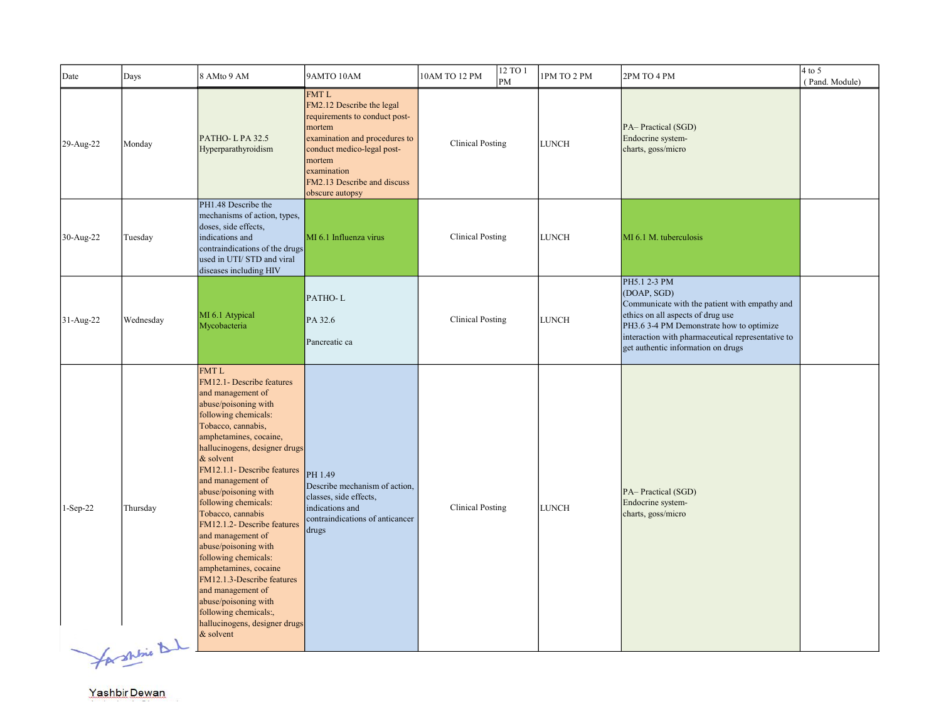| Date       | Days                | 8 AMto 9 AM                                                                                                                                                                                                                                                                                                                                                                                                                                                                                                                                                                                                           | 9AMTO 10AM                                                                                                                                                                                                                    | 10AM TO 12 PM           | 12 TO 1<br>PM | 1PM TO 2 PM  | 2PM TO 4 PM                                                                                                                                                                                                                                              | $4$ to 5<br>(Pand. Module) |
|------------|---------------------|-----------------------------------------------------------------------------------------------------------------------------------------------------------------------------------------------------------------------------------------------------------------------------------------------------------------------------------------------------------------------------------------------------------------------------------------------------------------------------------------------------------------------------------------------------------------------------------------------------------------------|-------------------------------------------------------------------------------------------------------------------------------------------------------------------------------------------------------------------------------|-------------------------|---------------|--------------|----------------------------------------------------------------------------------------------------------------------------------------------------------------------------------------------------------------------------------------------------------|----------------------------|
| 29-Aug-22  | Monday              | PATHO-LPA 32.5<br>Hyperparathyroidism                                                                                                                                                                                                                                                                                                                                                                                                                                                                                                                                                                                 | <b>FMTL</b><br>FM2.12 Describe the legal<br>requirements to conduct post-<br>mortem<br>examination and procedures to<br>conduct medico-legal post-<br>mortem<br>examination<br>FM2.13 Describe and discuss<br>obscure autopsy | <b>Clinical Posting</b> |               | <b>LUNCH</b> | PA-Practical (SGD)<br>Endocrine system-<br>charts, goss/micro                                                                                                                                                                                            |                            |
| 30-Aug-22  | Tuesday             | PH1.48 Describe the<br>mechanisms of action, types,<br>doses, side effects,<br>indications and<br>contraindications of the drugs<br>used in UTI/ STD and viral<br>diseases including HIV                                                                                                                                                                                                                                                                                                                                                                                                                              | MI 6.1 Influenza virus                                                                                                                                                                                                        | <b>Clinical Posting</b> |               | <b>LUNCH</b> | MI 6.1 M. tuberculosis                                                                                                                                                                                                                                   |                            |
| 31-Aug-22  | Wednesday           | MI 6.1 Atypical<br>Mycobacteria                                                                                                                                                                                                                                                                                                                                                                                                                                                                                                                                                                                       | PATHO-L<br>PA 32.6<br>Pancreatic ca                                                                                                                                                                                           | <b>Clinical Posting</b> |               | <b>LUNCH</b> | PH5.1 2-3 PM<br>(DOAP, SGD)<br>Communicate with the patient with empathy and<br>ethics on all aspects of drug use<br>PH3.6 3-4 PM Demonstrate how to optimize<br>interaction with pharmaceutical representative to<br>get authentic information on drugs |                            |
| $1-Sep-22$ | Thursday<br>$-1.44$ | <b>FMTL</b><br>FM12.1- Describe features<br>and management of<br>abuse/poisoning with<br>following chemicals:<br>Tobacco, cannabis,<br>amphetamines, cocaine,<br>hallucinogens, designer drugs<br>& solvent<br>FM12.1.1- Describe features<br>and management of<br>abuse/poisoning with<br>following chemicals:<br>Tobacco, cannabis<br>FM12.1.2- Describe features<br>and management of<br>abuse/poisoning with<br>following chemicals:<br>amphetamines, cocaine<br>FM12.1.3-Describe features<br>and management of<br>abuse/poisoning with<br>following chemicals:,<br>hallucinogens, designer drugs<br>$&$ solvent | PH 1.49<br>Describe mechanism of action,<br>classes, side effects,<br>indications and<br>contraindications of anticancer<br>drugs                                                                                             | <b>Clinical Posting</b> |               | <b>LUNCH</b> | PA-Practical (SGD)<br>Endocrine system-<br>charts, goss/micro                                                                                                                                                                                            |                            |

forshine

b.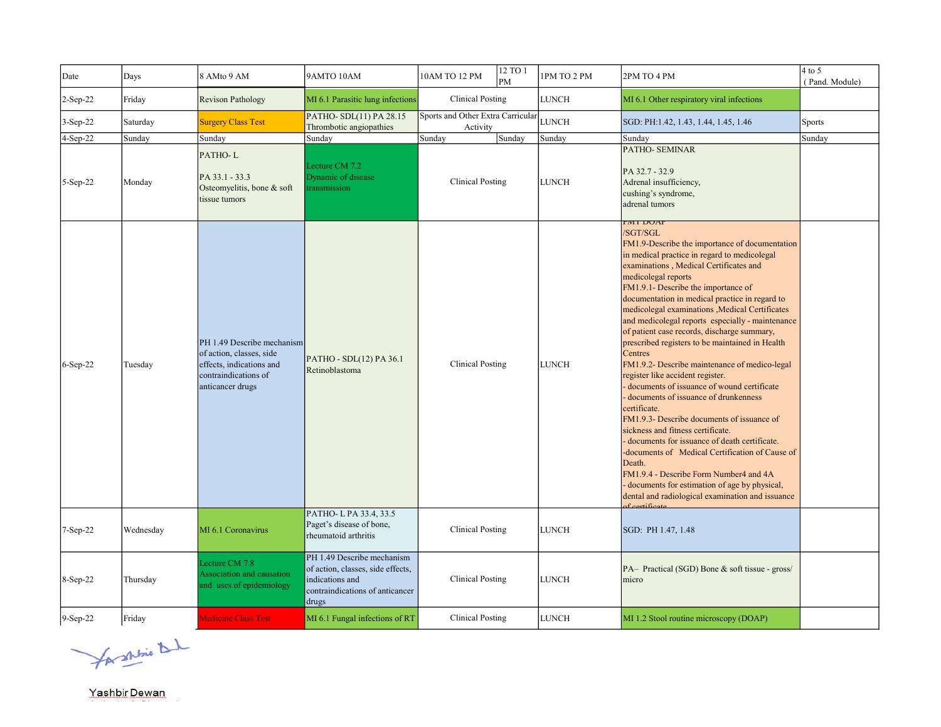| Date       | Days      | 8 AMto 9 AM                                                                                                                    | 9AMTO 10AM                                                                                                                     | 10AM TO 12 PM                                 | 12 TO 1<br>PM | 1PM TO 2 PM  | 2PM TO 4 PM                                                                                                                                                                                                                                                                                                                                                                                                                                                                                                                                                                                                                                                                                                                                                                                                                                                                                                                                                                                                                                                               | $4$ to 5<br>(Pand. Module) |
|------------|-----------|--------------------------------------------------------------------------------------------------------------------------------|--------------------------------------------------------------------------------------------------------------------------------|-----------------------------------------------|---------------|--------------|---------------------------------------------------------------------------------------------------------------------------------------------------------------------------------------------------------------------------------------------------------------------------------------------------------------------------------------------------------------------------------------------------------------------------------------------------------------------------------------------------------------------------------------------------------------------------------------------------------------------------------------------------------------------------------------------------------------------------------------------------------------------------------------------------------------------------------------------------------------------------------------------------------------------------------------------------------------------------------------------------------------------------------------------------------------------------|----------------------------|
| 2-Sep-22   | Friday    | <b>Revison Pathology</b>                                                                                                       | MI 6.1 Parasitic lung infections                                                                                               | <b>Clinical Posting</b>                       |               | <b>LUNCH</b> | MI 6.1 Other respiratory viral infections                                                                                                                                                                                                                                                                                                                                                                                                                                                                                                                                                                                                                                                                                                                                                                                                                                                                                                                                                                                                                                 |                            |
| $3-Sep-22$ | Saturday  | <b>Surgery Class Test</b>                                                                                                      | PATHO-SDL(11) PA 28.15<br>Thrombotic angiopathies                                                                              | Sports and Other Extra Carricular<br>Activity |               | <b>LUNCH</b> | SGD: PH:1.42, 1.43, 1.44, 1.45, 1.46                                                                                                                                                                                                                                                                                                                                                                                                                                                                                                                                                                                                                                                                                                                                                                                                                                                                                                                                                                                                                                      | Sports                     |
| 4-Sep-22   | Sunday    | Sunday                                                                                                                         | Sunday                                                                                                                         | Sunday                                        | Sunday        | Sunday       | Sunday                                                                                                                                                                                                                                                                                                                                                                                                                                                                                                                                                                                                                                                                                                                                                                                                                                                                                                                                                                                                                                                                    | Sunday                     |
| 5-Sep-22   | Monday    | PATHO-L<br>PA 33.1 - 33.3<br>Osteomyelitis, bone & soft<br>tissue tumors                                                       | Lecture CM 7.2<br>Dynamic of disease<br>transmission                                                                           | <b>Clinical Posting</b>                       |               | <b>LUNCH</b> | <b>PATHO- SEMINAR</b><br>PA 32.7 - 32.9<br>Adrenal insufficiency,<br>cushing's syndrome,<br>adrenal tumors                                                                                                                                                                                                                                                                                                                                                                                                                                                                                                                                                                                                                                                                                                                                                                                                                                                                                                                                                                |                            |
| 6-Sep-22   | Tuesday   | PH 1.49 Describe mechanism<br>of action, classes, side<br>effects, indications and<br>contraindications of<br>anticancer drugs | PATHO - SDL(12) PA 36.1<br>Retinoblastoma                                                                                      | <b>Clinical Posting</b>                       |               | <b>LUNCH</b> | FMI DUAP<br>/SGT/SGL<br>FM1.9-Describe the importance of documentation<br>in medical practice in regard to medicolegal<br>examinations, Medical Certificates and<br>medicolegal reports<br>FM1.9.1- Describe the importance of<br>documentation in medical practice in regard to<br>medicolegal examinations , Medical Certificates<br>and medicolegal reports especially - maintenance<br>of patient case records, discharge summary,<br>prescribed registers to be maintained in Health<br><b>Centres</b><br>FM1.9.2- Describe maintenance of medico-legal<br>register like accident register.<br>documents of issuance of wound certificate<br>documents of issuance of drunkenness<br>certificate.<br>FM1.9.3- Describe documents of issuance of<br>sickness and fitness certificate.<br>documents for issuance of death certificate.<br>-documents of Medical Certification of Cause of<br>Death.<br>FM1.9.4 - Describe Form Number4 and 4A<br>- documents for estimation of age by physical,<br>dental and radiological examination and issuance<br>$f$ agatificant |                            |
| $7-Sep-22$ | Wednesday | MI 6.1 Coronavirus                                                                                                             | PATHO-LPA 33.4, 33.5<br>Paget's disease of bone,<br>rheumatoid arthritis                                                       | <b>Clinical Posting</b>                       |               | <b>LUNCH</b> | SGD: PH 1.47, 1.48                                                                                                                                                                                                                                                                                                                                                                                                                                                                                                                                                                                                                                                                                                                                                                                                                                                                                                                                                                                                                                                        |                            |
| 8-Sep-22   | Thursday  | Lecture CM 7.8<br>Association and causation<br>and uses of epidemiology                                                        | PH 1.49 Describe mechanism<br>of action, classes, side effects,<br>indications and<br>contraindications of anticancer<br>drugs | <b>Clinical Posting</b>                       |               | <b>LUNCH</b> | PA- Practical (SGD) Bone & soft tissue - gross/<br>Imicro                                                                                                                                                                                                                                                                                                                                                                                                                                                                                                                                                                                                                                                                                                                                                                                                                                                                                                                                                                                                                 |                            |
| 9-Sep-22   | Friday    | <b>Medicine Class Test</b>                                                                                                     | MI 6.1 Fungal infections of RT                                                                                                 | <b>Clinical Posting</b>                       |               | LUNCH        | MI 1.2 Stool routine microscopy (DOAP)                                                                                                                                                                                                                                                                                                                                                                                                                                                                                                                                                                                                                                                                                                                                                                                                                                                                                                                                                                                                                                    |                            |

for shrine that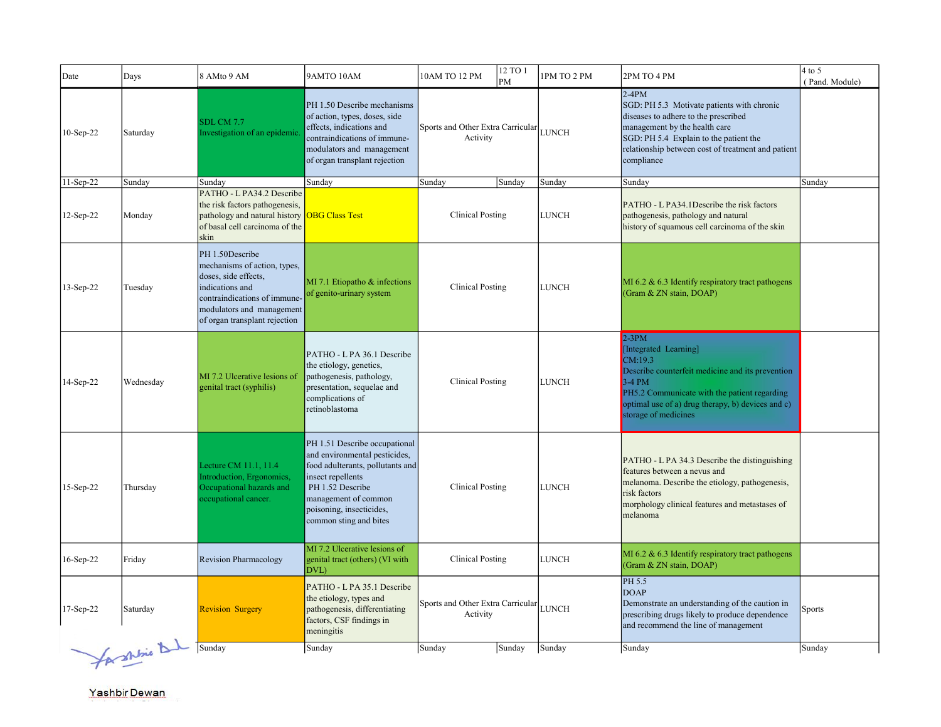| Date         | Days           | 8 AMto 9 AM                                                                                                                                                                              | 9AMTO 10AM                                                                                                                                                                                                                | 12 TO 1<br>10AM TO 12 PM<br>PM                      | 1PM TO 2 PM  | 2PM TO 4 PM                                                                                                                                                                                                                                  | $4$ to $5$<br>(Pand. Module) |
|--------------|----------------|------------------------------------------------------------------------------------------------------------------------------------------------------------------------------------------|---------------------------------------------------------------------------------------------------------------------------------------------------------------------------------------------------------------------------|-----------------------------------------------------|--------------|----------------------------------------------------------------------------------------------------------------------------------------------------------------------------------------------------------------------------------------------|------------------------------|
| 10-Sep-22    | Saturday       | <b>SDL CM 7.7</b><br>Investigation of an epidemic.                                                                                                                                       | PH 1.50 Describe mechanisms<br>of action, types, doses, side<br>effects, indications and<br>contraindications of immune-<br>modulators and management<br>of organ transplant rejection                                    | Sports and Other Extra Carricular LUNCH<br>Activity |              | $2-4PM$<br>SGD: PH 5.3 Motivate patients with chronic<br>diseases to adhere to the prescribed<br>management by the health care<br>SGD: PH 5.4 Explain to the patient the<br>relationship between cost of treatment and patient<br>compliance |                              |
| 11-Sep-22    | Sunday         | Sundav                                                                                                                                                                                   | Sunday                                                                                                                                                                                                                    | Sunday<br>Sunday                                    | Sunday       | Sunday                                                                                                                                                                                                                                       | Sunday                       |
| $12$ -Sep-22 | Monday         | PATHO - L PA34.2 Describe<br>the risk factors pathogenesis,<br>pathology and natural history<br>of basal cell carcinoma of the<br>skin                                                   | <b>OBG Class Test</b>                                                                                                                                                                                                     | <b>Clinical Posting</b>                             | <b>LUNCH</b> | PATHO - L PA34.1Describe the risk factors<br>pathogenesis, pathology and natural<br>history of squamous cell carcinoma of the skin                                                                                                           |                              |
| 13-Sep-22    | Tuesday        | PH 1.50Describe<br>mechanisms of action, types,<br>doses, side effects,<br>indications and<br>contraindications of immune-<br>modulators and management<br>of organ transplant rejection | MI 7.1 Etiopatho & infections<br>of genito-urinary system                                                                                                                                                                 | <b>Clinical Posting</b>                             | <b>LUNCH</b> | MI 6.2 & 6.3 Identify respiratory tract pathogens<br>(Gram & ZN stain, DOAP)                                                                                                                                                                 |                              |
| 14-Sep-22    | Wednesday      | MI 7.2 Ulcerative lesions of<br>genital tract (syphilis)                                                                                                                                 | PATHO - L PA 36.1 Describe<br>the etiology, genetics,<br>pathogenesis, pathology,<br>presentation, sequelae and<br>complications of<br>retinoblastoma                                                                     | <b>Clinical Posting</b>                             | <b>LUNCH</b> | $2-3PM$<br>[Integrated Learning]<br>CM:19.3<br>Describe counterfeit medicine and its prevention<br>$3-4$ PM<br>PH5.2 Communicate with the patient regarding<br>optimal use of a) drug therapy, b) devices and c)<br>storage of medicines     |                              |
| 15-Sep-22    | Thursday       | Lecture CM 11.1, 11.4<br>Introduction, Ergonomics,<br>Occupational hazards and<br>occupational cancer.                                                                                   | PH 1.51 Describe occupational<br>and environmental pesticides,<br>food adulterants, pollutants and<br>insect repellents<br>PH 1.52 Describe<br>management of common<br>poisoning, insecticides,<br>common sting and bites | <b>Clinical Posting</b>                             | <b>LUNCH</b> | PATHO - L PA 34.3 Describe the distinguishing<br>features between a nevus and<br>melanoma. Describe the etiology, pathogenesis,<br>risk factors<br>morphology clinical features and metastases of<br>melanoma                                |                              |
| 16-Sep-22    | Friday         | <b>Revision Pharmacology</b>                                                                                                                                                             | MI 7.2 Ulcerative lesions of<br>genital tract (others) (VI with<br>DVL)                                                                                                                                                   | <b>Clinical Posting</b>                             | <b>LUNCH</b> | MI 6.2 & 6.3 Identify respiratory tract pathogens<br>(Gram & ZN stain, DOAP)                                                                                                                                                                 |                              |
| 17-Sep-22    | Saturday       | <b>Revision Surgery</b>                                                                                                                                                                  | PATHO - L PA 35.1 Describe<br>the etiology, types and<br>pathogenesis, differentiating<br>factors, CSF findings in<br>meningitis                                                                                          | Sports and Other Extra Carricular LUNCH<br>Activity |              | PH 5.5<br>DOAP<br>Demonstrate an understanding of the caution in<br>prescribing drugs likely to produce dependence<br>and recommend the line of management                                                                                   | Sports                       |
|              | for shine that | Sunday                                                                                                                                                                                   | Sunday                                                                                                                                                                                                                    | Sunday<br>Sunday                                    | Sunday       | Sunday                                                                                                                                                                                                                                       | Sunday                       |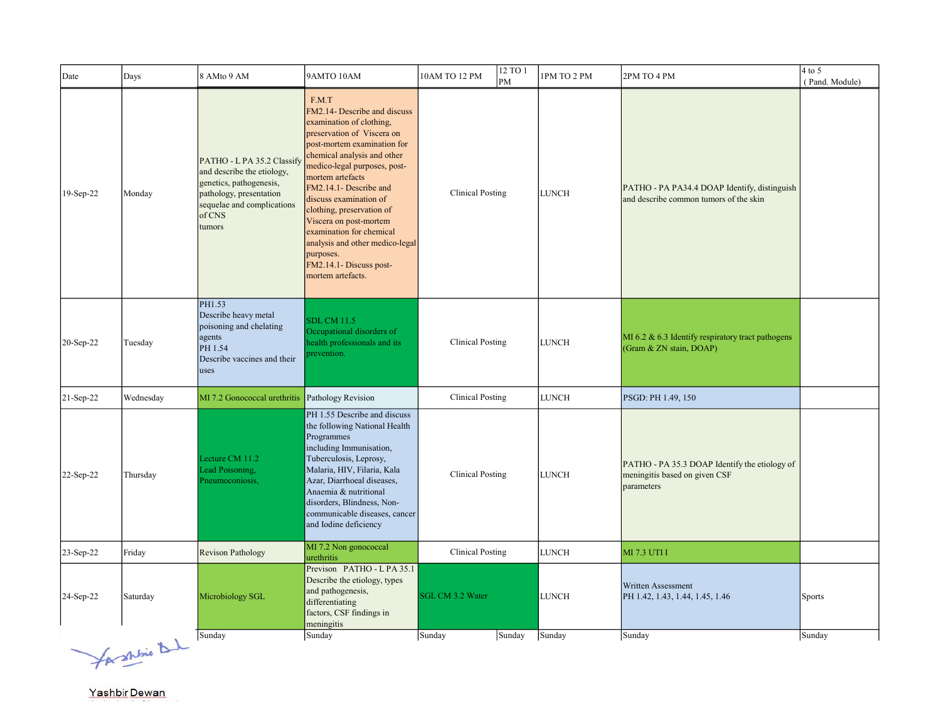| Date      | Days      | 8 AMto 9 AM                                                                                                                                                      | 9AMTO 10AM                                                                                                                                                                                                                                                                                                                                                                                                                                               | 12 TO 1<br>10AM TO 12 PM<br>PM | 1PM TO 2 PM  | 2PM TO 4 PM                                                                                  | $4$ to 5<br>(Pand. Module) |
|-----------|-----------|------------------------------------------------------------------------------------------------------------------------------------------------------------------|----------------------------------------------------------------------------------------------------------------------------------------------------------------------------------------------------------------------------------------------------------------------------------------------------------------------------------------------------------------------------------------------------------------------------------------------------------|--------------------------------|--------------|----------------------------------------------------------------------------------------------|----------------------------|
| 19-Sep-22 | Monday    | PATHO - L PA 35.2 Classify<br>and describe the etiology,<br>genetics, pathogenesis,<br>pathology, presentation<br>sequelae and complications<br>of CNS<br>tumors | F.M.T<br>FM2.14- Describe and discuss<br>examination of clothing,<br>preservation of Viscera on<br>post-mortem examination for<br>chemical analysis and other<br>medico-legal purposes, post-<br>mortem artefacts<br>FM2.14.1- Describe and<br>discuss examination of<br>clothing, preservation of<br>Viscera on post-mortem<br>examination for chemical<br>analysis and other medico-legal<br>purposes.<br>FM2.14.1- Discuss post-<br>mortem artefacts. | <b>Clinical Posting</b>        | <b>LUNCH</b> | PATHO - PA PA34.4 DOAP Identify, distinguish<br>and describe common tumors of the skin       |                            |
| 20-Sep-22 | Tuesday   | PH1.53<br>Describe heavy metal<br>poisoning and chelating<br>agents<br>PH 1.54<br>Describe vaccines and their<br>uses                                            | <b>SDL CM 11.5</b><br>Occupational disorders of<br>health professionals and its<br>prevention.                                                                                                                                                                                                                                                                                                                                                           | <b>Clinical Posting</b>        | LUNCH        | MI 6.2 & 6.3 Identify respiratory tract pathogens<br>(Gram & ZN stain, DOAP)                 |                            |
| 21-Sep-22 | Wednesday | MI 7.2 Gonococcal urethritis                                                                                                                                     | Pathology Revision                                                                                                                                                                                                                                                                                                                                                                                                                                       | <b>Clinical Posting</b>        | LUNCH        | PSGD: PH 1.49, 150                                                                           |                            |
| 22-Sep-22 | Thursday  | Lecture CM 11.2<br>Lead Poisoning,<br>Pneumoconiosis,                                                                                                            | PH 1.55 Describe and discuss<br>the following National Health<br>Programmes<br>including Immunisation,<br>Tuberculosis, Leprosy,<br>Malaria, HIV, Filaria, Kala<br>Azar, Diarrhoeal diseases,<br>Anaemia & nutritional<br>disorders, Blindness, Non-<br>communicable diseases, cancer<br>and Iodine deficiency                                                                                                                                           | <b>Clinical Posting</b>        | <b>LUNCH</b> | PATHO - PA 35.3 DOAP Identify the etiology of<br>meningitis based on given CSF<br>parameters |                            |
| 23-Sep-22 | Friday    | <b>Revison Pathology</b>                                                                                                                                         | MI 7.2 Non gonococcal<br>urethritis                                                                                                                                                                                                                                                                                                                                                                                                                      | <b>Clinical Posting</b>        | <b>LUNCH</b> | <b>MI 7.3 UTI I</b>                                                                          |                            |
| 24-Sep-22 | Saturday  | Microbiology SGL                                                                                                                                                 | Previson PATHO - L PA 35.1<br>Describe the etiology, types<br>and pathogenesis,<br>differentiating<br>factors, CSF findings in<br>meningitis                                                                                                                                                                                                                                                                                                             | <b>SGL CM 3.2 Water</b>        | <b>LUNCH</b> | Written Assessment<br>PH 1.42, 1.43, 1.44, 1.45, 1.46                                        | <b>Sports</b>              |
|           |           | Sunday                                                                                                                                                           | Sunday                                                                                                                                                                                                                                                                                                                                                                                                                                                   | Sunday<br>Sunday               | Sunday       | Sunday                                                                                       | Sunday                     |

Jacquine Du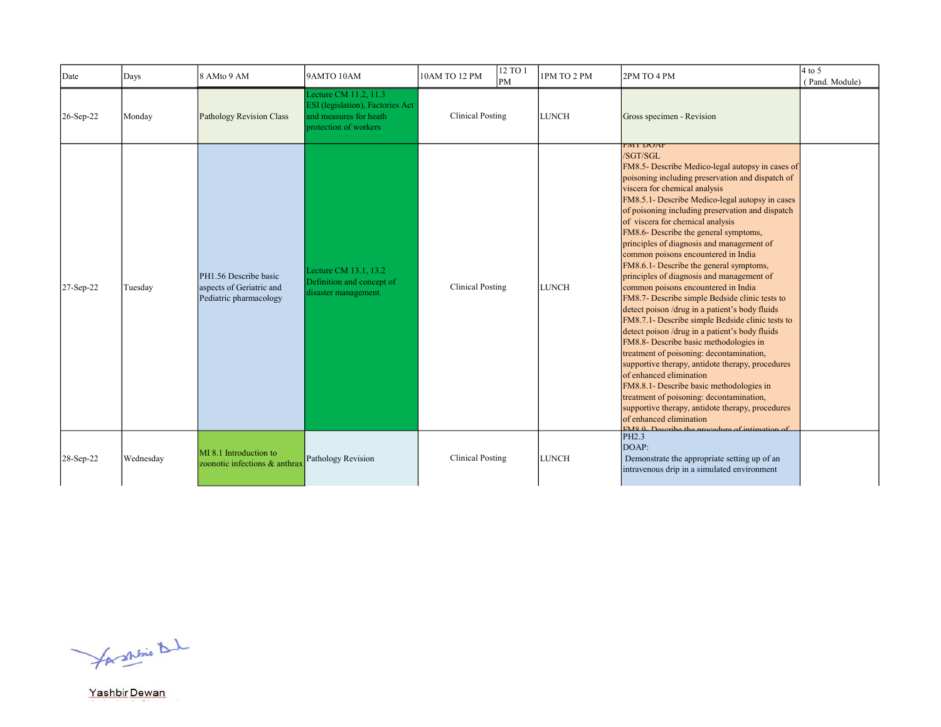| Date      | Days      | 8 AMto 9 AM                                                                 | 9AMTO 10AM                                                                                                          | 10AM TO 12 PM           | 12 TO 1<br>PM | 1PM TO 2 PM  | 2PM TO 4 PM                                                                                                                                                                                                                                                                                                                                                                                                                                                                                                                                                                                                                                                                                                                                                                                                                                                                                                                                                                                                                                                                                                                                                                                   | $4$ to 5<br>(Pand. Module) |
|-----------|-----------|-----------------------------------------------------------------------------|---------------------------------------------------------------------------------------------------------------------|-------------------------|---------------|--------------|-----------------------------------------------------------------------------------------------------------------------------------------------------------------------------------------------------------------------------------------------------------------------------------------------------------------------------------------------------------------------------------------------------------------------------------------------------------------------------------------------------------------------------------------------------------------------------------------------------------------------------------------------------------------------------------------------------------------------------------------------------------------------------------------------------------------------------------------------------------------------------------------------------------------------------------------------------------------------------------------------------------------------------------------------------------------------------------------------------------------------------------------------------------------------------------------------|----------------------------|
| 26-Sep-22 | Monday    | Pathology Revision Class                                                    | Lecture CM 11.2, 11.3<br><b>ESI</b> (legislation), Factories Act<br>and measures for heath<br>protection of workers | <b>Clinical Posting</b> |               | <b>LUNCH</b> | Gross specimen - Revision                                                                                                                                                                                                                                                                                                                                                                                                                                                                                                                                                                                                                                                                                                                                                                                                                                                                                                                                                                                                                                                                                                                                                                     |                            |
| 27-Sep-22 | Tuesday   | PH1.56 Describe basic<br>aspects of Geriatric and<br>Pediatric pharmacology | Lecture CM 13.1, 13.2<br>Definition and concept of<br>disaster management.                                          | <b>Clinical Posting</b> |               | <b>LUNCH</b> | <b>FMI DOAP</b><br>/SGT/SGL<br>FM8.5- Describe Medico-legal autopsy in cases of<br>poisoning including preservation and dispatch of<br>viscera for chemical analysis<br>FM8.5.1- Describe Medico-legal autopsy in cases<br>of poisoning including preservation and dispatch<br>of viscera for chemical analysis<br>FM8.6- Describe the general symptoms,<br>principles of diagnosis and management of<br>common poisons encountered in India<br>FM8.6.1- Describe the general symptoms,<br>principles of diagnosis and management of<br>common poisons encountered in India<br>FM8.7- Describe simple Bedside clinic tests to<br>detect poison /drug in a patient's body fluids<br>FM8.7.1- Describe simple Bedside clinic tests to<br>detect poison /drug in a patient's body fluids<br>FM8.8- Describe basic methodologies in<br>treatment of poisoning: decontamination,<br>supportive therapy, antidote therapy, procedures<br>of enhanced elimination<br>FM8.8.1- Describe basic methodologies in<br>treatment of poisoning: decontamination,<br>supportive therapy, antidote therapy, procedures<br>of enhanced elimination<br>$EMR$ , $\Omega$ Describe the procedure of intimation of |                            |
| 28-Sep-22 | Wednesday | MI 8.1 Introduction to<br>zoonotic infections & anthrax                     | Pathology Revision                                                                                                  | <b>Clinical Posting</b> |               | <b>LUNCH</b> | PH <sub>2.3</sub><br>DOAP:<br>Demonstrate the appropriate setting up of an<br>intravenous drip in a simulated environment                                                                                                                                                                                                                                                                                                                                                                                                                                                                                                                                                                                                                                                                                                                                                                                                                                                                                                                                                                                                                                                                     |                            |

for shrine that

Yashbir Dewan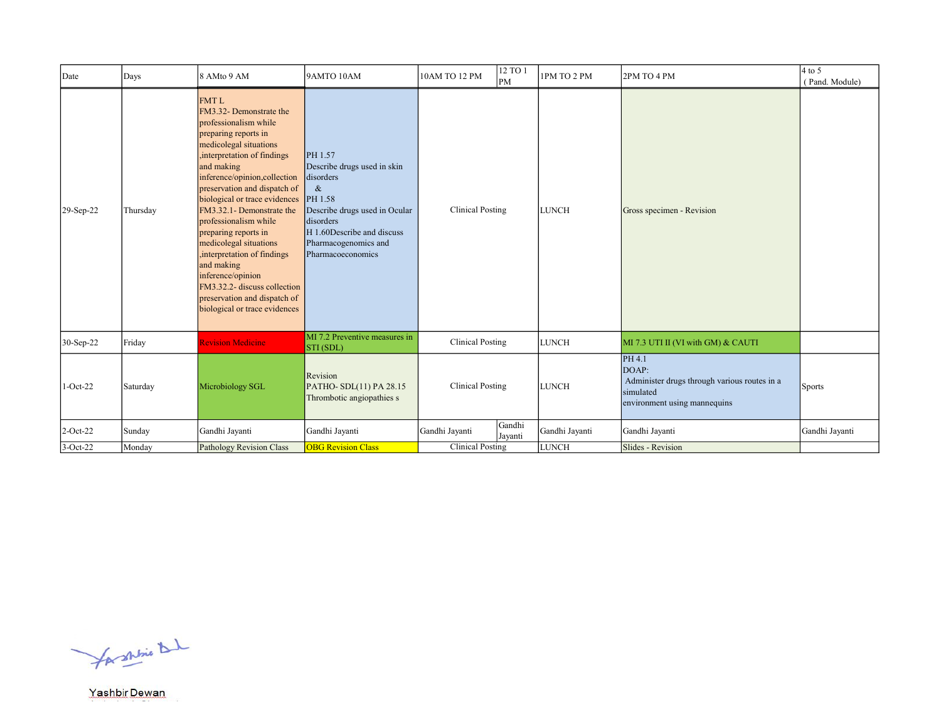| Date        | Days     | 8 AMto 9 AM                                                                                                                                                                                                                                                                                                                                                                                                                                                                                                                              | 9AMTO 10AM                                                                                                                                                                                      | 10AM TO 12 PM           | 12 TO 1<br>PM     | 1PM TO 2 PM    | 2PM TO 4 PM                                                                                                  | $4$ to 5<br>(Pand. Module) |
|-------------|----------|------------------------------------------------------------------------------------------------------------------------------------------------------------------------------------------------------------------------------------------------------------------------------------------------------------------------------------------------------------------------------------------------------------------------------------------------------------------------------------------------------------------------------------------|-------------------------------------------------------------------------------------------------------------------------------------------------------------------------------------------------|-------------------------|-------------------|----------------|--------------------------------------------------------------------------------------------------------------|----------------------------|
| 29-Sep-22   | Thursday | <b>FMTL</b><br>FM3.32- Demonstrate the<br>professionalism while<br>preparing reports in<br>medicolegal situations<br>interpretation of findings<br>and making<br>inference/opinion,collection<br>preservation and dispatch of<br>biological or trace evidences<br>FM3.32.1- Demonstrate the<br>professionalism while<br>preparing reports in<br>medicolegal situations<br>interpretation of findings<br>and making<br>inference/opinion<br>FM3.32.2- discuss collection<br>preservation and dispatch of<br>biological or trace evidences | PH 1.57<br>Describe drugs used in skin<br>disorders<br>$\&$<br>PH 1.58<br>Describe drugs used in Ocular<br>disorders<br>H 1.60Describe and discuss<br>Pharmacogenomics and<br>Pharmacoeconomics | <b>Clinical Posting</b> |                   | <b>LUNCH</b>   | Gross specimen - Revision                                                                                    |                            |
| 30-Sep-22   | Friday   | <b>Revision Medicine</b>                                                                                                                                                                                                                                                                                                                                                                                                                                                                                                                 | MI 7.2 Preventive measures in<br>STI (SDL)                                                                                                                                                      | <b>Clinical Posting</b> |                   | <b>LUNCH</b>   | MI 7.3 UTI II (VI with GM) & CAUTI                                                                           |                            |
| $1-Oct-22$  | Saturday | Microbiology SGL                                                                                                                                                                                                                                                                                                                                                                                                                                                                                                                         | Revision<br>PATHO-SDL(11) PA 28.15<br>Thrombotic angiopathies s                                                                                                                                 | <b>Clinical Posting</b> |                   | <b>LUNCH</b>   | PH 4.1<br>DOAP:<br>Administer drugs through various routes in a<br>simulated<br>environment using mannequins | <b>Sports</b>              |
| $2$ -Oct-22 | Sunday   | Gandhi Jayanti                                                                                                                                                                                                                                                                                                                                                                                                                                                                                                                           | Gandhi Jayanti                                                                                                                                                                                  | Gandhi Jayanti          | Gandhi<br>Jayanti | Gandhi Jayanti | Gandhi Jayanti                                                                                               | Gandhi Jayanti             |
| $3-Oct-22$  | Monday   | Pathology Revision Class                                                                                                                                                                                                                                                                                                                                                                                                                                                                                                                 | <b>OBG Revision Class</b>                                                                                                                                                                       | <b>Clinical Posting</b> |                   | <b>LUNCH</b>   | Slides - Revision                                                                                            |                            |

for shrine that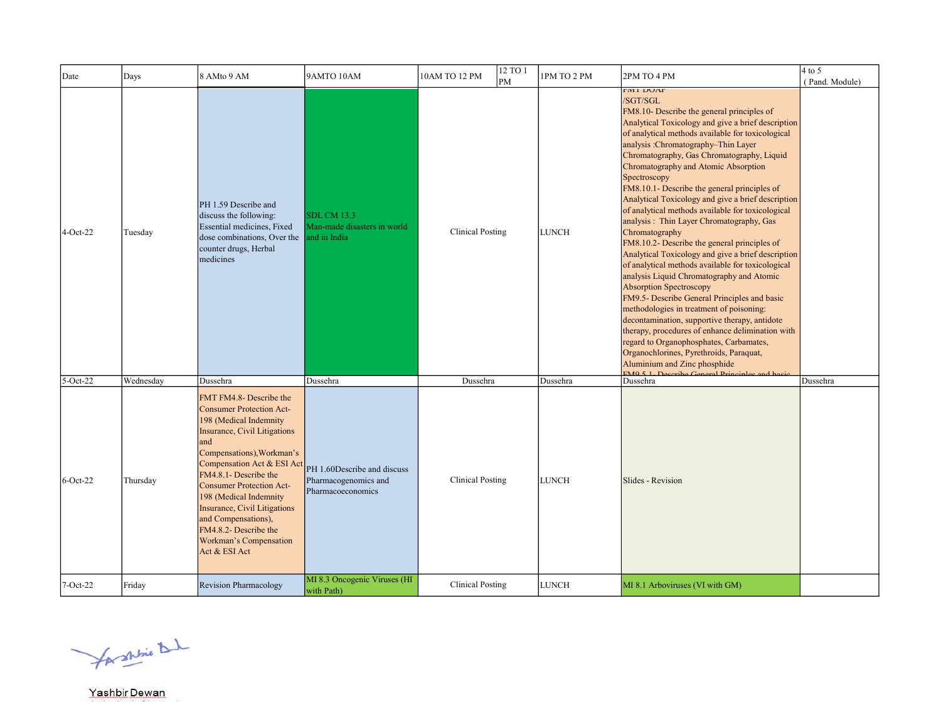| Date        | Days      | 8 AMto 9 AM                                                                                                                                                                                                                                                                                                                                                                                                    | 9AMTO 10AM                                                                                               | 10AM TO 12 PM           | 12 TO 1<br>PM | 1PM TO 2 PM  | 2PM TO 4 PM                                                                                                                                                                                                                                                                                                                                                                                                                                                                                                                                                                                                                                                                                                                                                                                                                                                                                                                                                                                                                                                                                                                                          | $4$ to 5<br>(Pand. Module) |
|-------------|-----------|----------------------------------------------------------------------------------------------------------------------------------------------------------------------------------------------------------------------------------------------------------------------------------------------------------------------------------------------------------------------------------------------------------------|----------------------------------------------------------------------------------------------------------|-------------------------|---------------|--------------|------------------------------------------------------------------------------------------------------------------------------------------------------------------------------------------------------------------------------------------------------------------------------------------------------------------------------------------------------------------------------------------------------------------------------------------------------------------------------------------------------------------------------------------------------------------------------------------------------------------------------------------------------------------------------------------------------------------------------------------------------------------------------------------------------------------------------------------------------------------------------------------------------------------------------------------------------------------------------------------------------------------------------------------------------------------------------------------------------------------------------------------------------|----------------------------|
| $4-Oct-22$  | Tuesday   | PH 1.59 Describe and<br>discuss the following:<br>Essential medicines, Fixed<br>dose combinations, Over the<br>counter drugs, Herbal<br>medicines                                                                                                                                                                                                                                                              | <b>SDL CM 13.3</b><br>Man-made disasters in world<br>and in India                                        | <b>Clinical Posting</b> |               | <b>LUNCH</b> | <b>FIVIT DUAY</b><br>/SGT/SGL<br>FM8.10- Describe the general principles of<br>Analytical Toxicology and give a brief description<br>of analytical methods available for toxicological<br>analysis :Chromatography-Thin Layer<br>Chromatography, Gas Chromatography, Liquid<br>Chromatography and Atomic Absorption<br>Spectroscopy<br>FM8.10.1- Describe the general principles of<br>Analytical Toxicology and give a brief description<br>of analytical methods available for toxicological<br>analysis: Thin Layer Chromatography, Gas<br>Chromatography<br>FM8.10.2- Describe the general principles of<br>Analytical Toxicology and give a brief description<br>of analytical methods available for toxicological<br>analysis Liquid Chromatography and Atomic<br>Absorption Spectroscopy<br>FM9.5- Describe General Principles and basic<br>methodologies in treatment of poisoning:<br>decontamination, supportive therapy, antidote<br>therapy, procedures of enhance delimination with<br>regard to Organophosphates, Carbamates,<br>Organochlorines, Pyrethroids, Paraquat,<br>Aluminium and Zinc phosphide<br>$EMO 5 1$ Dec<br>oriho Con |                            |
| $5$ -Oct-22 | Wednesday | Dussehra                                                                                                                                                                                                                                                                                                                                                                                                       | Dussehra                                                                                                 | Dussehra                |               | Dussehra     | Dussehra                                                                                                                                                                                                                                                                                                                                                                                                                                                                                                                                                                                                                                                                                                                                                                                                                                                                                                                                                                                                                                                                                                                                             | Dussehra                   |
| $6$ -Oct-22 | Thursday  | FMT FM4.8- Describe the<br><b>Consumer Protection Act-</b><br>198 (Medical Indemnity<br>Insurance, Civil Litigations<br>and<br>Compensations), Workman's<br>Compensation Act & ESI Act<br>FM4.8.1- Describe the<br><b>Consumer Protection Act-</b><br>198 (Medical Indemnity<br><b>Insurance, Civil Litigations</b><br>and Compensations),<br>FM4.8.2- Describe the<br>Workman's Compensation<br>Act & ESI Act | PH 1.60Describe and discuss<br>Pharmacogenomics and<br>Pharmacoeconomics<br>MI 8.3 Oncogenic Viruses (HI | <b>Clinical Posting</b> |               | <b>LUNCH</b> | Slides - Revision                                                                                                                                                                                                                                                                                                                                                                                                                                                                                                                                                                                                                                                                                                                                                                                                                                                                                                                                                                                                                                                                                                                                    |                            |
| $7-Oct-22$  | Friday    | <b>Revision Pharmacology</b>                                                                                                                                                                                                                                                                                                                                                                                   | with Path)                                                                                               | <b>Clinical Posting</b> |               | <b>LUNCH</b> | MI 8.1 Arboviruses (VI with GM)                                                                                                                                                                                                                                                                                                                                                                                                                                                                                                                                                                                                                                                                                                                                                                                                                                                                                                                                                                                                                                                                                                                      |                            |

for shine that

Yashbir Dewan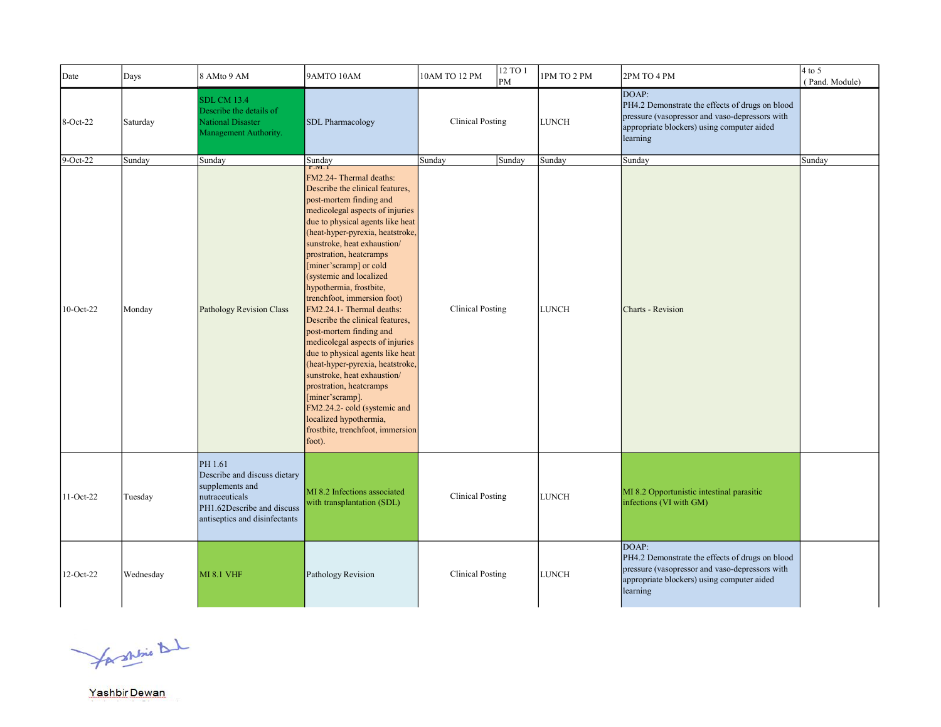| Date      | Days      | 8 AMto 9 AM                                                                                                                                 | 9AMTO 10AM                                                                                                                                                                                                                                                                                                                                                                                                                                                                                                                                                                                                                                                                                                                                                          | 10AM TO 12 PM           | 12 TO 1<br>PM | 1PM TO 2 PM  | 2PM TO 4 PM                                                                                                                                                          | $4$ to 5<br>(Pand. Module) |
|-----------|-----------|---------------------------------------------------------------------------------------------------------------------------------------------|---------------------------------------------------------------------------------------------------------------------------------------------------------------------------------------------------------------------------------------------------------------------------------------------------------------------------------------------------------------------------------------------------------------------------------------------------------------------------------------------------------------------------------------------------------------------------------------------------------------------------------------------------------------------------------------------------------------------------------------------------------------------|-------------------------|---------------|--------------|----------------------------------------------------------------------------------------------------------------------------------------------------------------------|----------------------------|
| 8-Oct-22  | Saturday  | <b>SDL CM 13.4</b><br>Describe the details of<br><b>National Disaster</b><br>Management Authority.                                          | <b>SDL Pharmacology</b>                                                                                                                                                                                                                                                                                                                                                                                                                                                                                                                                                                                                                                                                                                                                             | <b>Clinical Posting</b> |               | LUNCH        | DOAP:<br>PH4.2 Demonstrate the effects of drugs on blood<br>pressure (vasopressor and vaso-depressors with<br>appropriate blockers) using computer aided<br>learning |                            |
| 9-Oct-22  | Sunday    | Sunday                                                                                                                                      | Sunday<br>Г.WI. I                                                                                                                                                                                                                                                                                                                                                                                                                                                                                                                                                                                                                                                                                                                                                   | Sunday                  | Sunday        | Sunday       | Sunday                                                                                                                                                               | Sunday                     |
| 10-Oct-22 | Monday    | Pathology Revision Class                                                                                                                    | FM2.24- Thermal deaths:<br>Describe the clinical features,<br>post-mortem finding and<br>medicolegal aspects of injuries<br>due to physical agents like heat<br>(heat-hyper-pyrexia, heatstroke,<br>sunstroke, heat exhaustion/<br>prostration, heatcramps<br>[miner'scramp] or cold<br>(systemic and localized<br>hypothermia, frostbite,<br>trenchfoot, immersion foot)<br>FM2.24.1- Thermal deaths:<br>Describe the clinical features,<br>post-mortem finding and<br>medicolegal aspects of injuries<br>due to physical agents like heat<br>(heat-hyper-pyrexia, heatstroke,<br>sunstroke, heat exhaustion/<br>prostration, heatcramps<br>[miner'scramp].<br>FM2.24.2-cold (systemic and<br>localized hypothermia,<br>frostbite, trenchfoot, immersion<br>foot). | <b>Clinical Posting</b> |               | <b>LUNCH</b> | Charts - Revision                                                                                                                                                    |                            |
| 11-Oct-22 | Tuesday   | PH 1.61<br>Describe and discuss dietary<br>supplements and<br>nutraceuticals<br>PH1.62Describe and discuss<br>antiseptics and disinfectants | MI 8.2 Infections associated<br>with transplantation (SDL)                                                                                                                                                                                                                                                                                                                                                                                                                                                                                                                                                                                                                                                                                                          | <b>Clinical Posting</b> |               | <b>LUNCH</b> | MI 8.2 Opportunistic intestinal parasitic<br>infections (VI with GM)                                                                                                 |                            |
| 12-Oct-22 | Wednesday | <b>MI 8.1 VHF</b>                                                                                                                           | Pathology Revision                                                                                                                                                                                                                                                                                                                                                                                                                                                                                                                                                                                                                                                                                                                                                  | <b>Clinical Posting</b> |               | <b>LUNCH</b> | DOAP:<br>PH4.2 Demonstrate the effects of drugs on blood<br>pressure (vasopressor and vaso-depressors with<br>appropriate blockers) using computer aided<br>learning |                            |

for shine that

in 1999.<br>Tanzania

Yashbir Dewan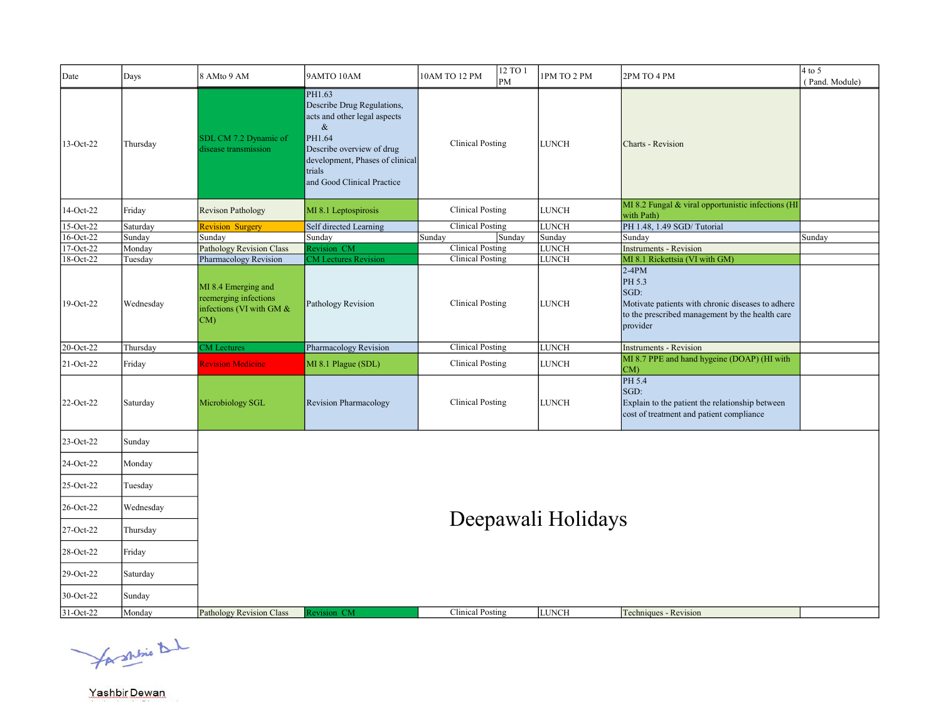| Date         | Days      | 8 AMto 9 AM                                                                    | 9AMTO 10AM                                                                                                                                                                                     | 10AM TO 12 PM           | 12 TO 1<br>PM | 1PM TO 2 PM        | 2PM TO 4 PM                                                                                                                                   | $4$ to 5<br>(Pand. Module) |
|--------------|-----------|--------------------------------------------------------------------------------|------------------------------------------------------------------------------------------------------------------------------------------------------------------------------------------------|-------------------------|---------------|--------------------|-----------------------------------------------------------------------------------------------------------------------------------------------|----------------------------|
| 13-Oct-22    | Thursday  | SDL CM 7.2 Dynamic of<br>disease transmission                                  | PH1.63<br>Describe Drug Regulations,<br>acts and other legal aspects<br>$\&$<br>PH1.64<br>Describe overview of drug<br>development, Phases of clinical<br>trials<br>and Good Clinical Practice | <b>Clinical Posting</b> |               | <b>LUNCH</b>       | <b>Charts - Revision</b>                                                                                                                      |                            |
| 14-Oct-22    | Friday    | Revison Pathology                                                              | MI 8.1 Leptospirosis                                                                                                                                                                           | <b>Clinical Posting</b> |               | <b>LUNCH</b>       | MI 8.2 Fungal & viral opportunistic infections (HI<br>with Path)                                                                              |                            |
| 15-Oct-22    | Saturday  | <b>Revision Surgery</b>                                                        | Self directed Learning                                                                                                                                                                         | <b>Clinical Posting</b> |               | <b>LUNCH</b>       | PH 1.48, 1.49 SGD/Tutorial                                                                                                                    |                            |
| 16-Oct-22    | Sunday    | Sunday                                                                         | Sunday                                                                                                                                                                                         | Sunday                  | Sunday        | Sunday             | Sunday                                                                                                                                        | Sunday                     |
| 17-Oct-22    | Monday    | <b>Pathology Revision Class</b>                                                | Revision CM                                                                                                                                                                                    | <b>Clinical Posting</b> |               | <b>LUNCH</b>       | <b>Instruments - Revision</b>                                                                                                                 |                            |
| 18-Oct-22    | Tuesday   | Pharmacology Revision                                                          | <b>M</b> Lectures Revision                                                                                                                                                                     | <b>Clinical Posting</b> |               | <b>LUNCH</b>       | MI 8.1 Rickettsia (VI with GM)                                                                                                                |                            |
| 19-Oct-22    | Wednesday | MI 8.4 Emerging and<br>reemerging infections<br>infections (VI with GM &<br>CM | Pathology Revision                                                                                                                                                                             | <b>Clinical Posting</b> |               | <b>LUNCH</b>       | $2-4PM$<br>PH 5.3<br>SGD:<br>Motivate patients with chronic diseases to adhere<br>to the prescribed management by the health care<br>provider |                            |
| $20$ -Oct-22 | Thursday  | <b>CM</b> Lectures                                                             | Pharmacology Revision                                                                                                                                                                          | <b>Clinical Posting</b> |               | <b>LUNCH</b>       | <b>Instruments - Revision</b>                                                                                                                 |                            |
| 21-Oct-22    | Friday    | <b>Revision Medicine</b>                                                       | MI 8.1 Plague (SDL)                                                                                                                                                                            | <b>Clinical Posting</b> |               | <b>LUNCH</b>       | MI 8.7 PPE and hand hygeine (DOAP) (HI with<br>CM)                                                                                            |                            |
| 22-Oct-22    | Saturday  | Microbiology SGL                                                               | <b>Revision Pharmacology</b>                                                                                                                                                                   | <b>Clinical Posting</b> |               | <b>LUNCH</b>       | PH 5.4<br>SGD:<br>Explain to the patient the relationship between<br>cost of treatment and patient compliance                                 |                            |
| 23-Oct-22    | Sunday    |                                                                                |                                                                                                                                                                                                |                         |               |                    |                                                                                                                                               |                            |
| 24-Oct-22    | Monday    |                                                                                |                                                                                                                                                                                                |                         |               |                    |                                                                                                                                               |                            |
| 25-Oct-22    | Tuesday   |                                                                                |                                                                                                                                                                                                |                         |               |                    |                                                                                                                                               |                            |
| 26-Oct-22    | Wednesday |                                                                                |                                                                                                                                                                                                |                         |               | Deepawali Holidays |                                                                                                                                               |                            |
| 27-Oct-22    | Thursday  |                                                                                |                                                                                                                                                                                                |                         |               |                    |                                                                                                                                               |                            |
| 28-Oct-22    | Friday    |                                                                                |                                                                                                                                                                                                |                         |               |                    |                                                                                                                                               |                            |
| 29-Oct-22    | Saturday  |                                                                                |                                                                                                                                                                                                |                         |               |                    |                                                                                                                                               |                            |
| 30-Oct-22    | Sunday    |                                                                                |                                                                                                                                                                                                |                         |               |                    |                                                                                                                                               |                            |
| 31-Oct-22    | Monday    | <b>Pathology Revision Class</b>                                                | Revision CM                                                                                                                                                                                    | <b>Clinical Posting</b> |               | <b>LUNCH</b>       | Techniques - Revision                                                                                                                         |                            |

for shrine that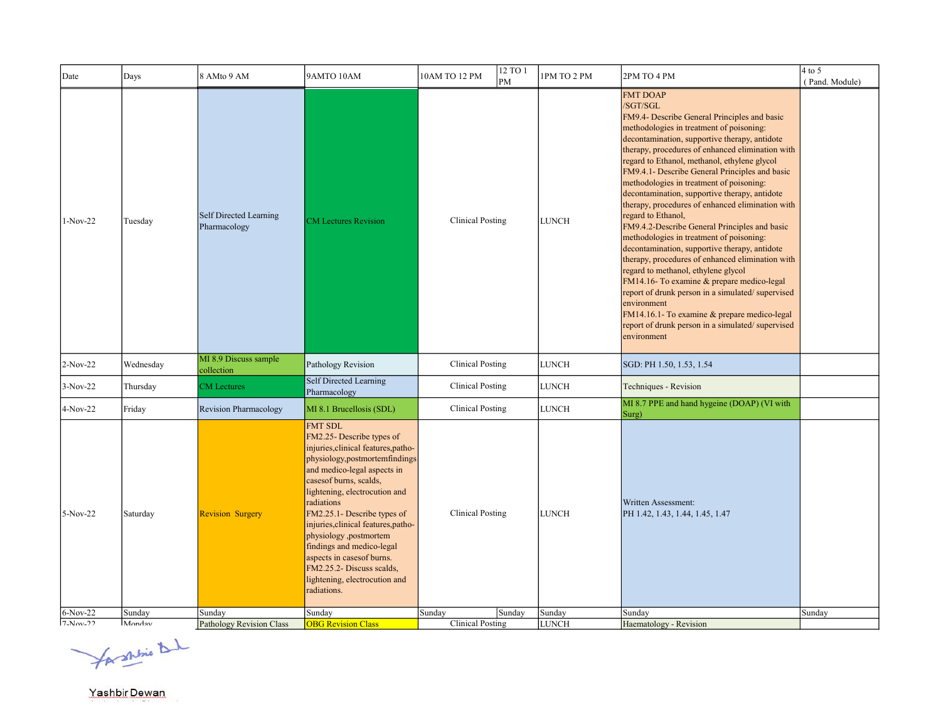| Date                     | Days             | 8 AMto 9 AM                            | 9AMTO 10AM                                                                                                                                                                                                                                                                                                                                                                                                                                                           | 12 TO 1<br>10AM TO 12 PM<br>PM              | 1PM TO 2 PM            | 2PM TO 4 PM                                                                                                                                                                                                                                                                                                                                                                                                                                                                                                                                                                                                                                                                                                                                                                                                                                                                                                                                                                        | $4$ to $5$<br>(Pand. Module) |
|--------------------------|------------------|----------------------------------------|----------------------------------------------------------------------------------------------------------------------------------------------------------------------------------------------------------------------------------------------------------------------------------------------------------------------------------------------------------------------------------------------------------------------------------------------------------------------|---------------------------------------------|------------------------|------------------------------------------------------------------------------------------------------------------------------------------------------------------------------------------------------------------------------------------------------------------------------------------------------------------------------------------------------------------------------------------------------------------------------------------------------------------------------------------------------------------------------------------------------------------------------------------------------------------------------------------------------------------------------------------------------------------------------------------------------------------------------------------------------------------------------------------------------------------------------------------------------------------------------------------------------------------------------------|------------------------------|
| $1-Nov-22$               | Tuesday          | Self Directed Learning<br>Pharmacology | <b>CM</b> Lectures Revision                                                                                                                                                                                                                                                                                                                                                                                                                                          | <b>Clinical Posting</b>                     | <b>LUNCH</b>           | <b>FMT DOAP</b><br>/SGT/SGL<br>FM9.4- Describe General Principles and basic<br>methodologies in treatment of poisoning:<br>decontamination, supportive therapy, antidote<br>therapy, procedures of enhanced elimination with<br>regard to Ethanol, methanol, ethylene glycol<br>FM9.4.1- Describe General Principles and basic<br>methodologies in treatment of poisoning:<br>decontamination, supportive therapy, antidote<br>therapy, procedures of enhanced elimination with<br>regard to Ethanol,<br>FM9.4.2-Describe General Principles and basic<br>methodologies in treatment of poisoning:<br>decontamination, supportive therapy, antidote<br>therapy, procedures of enhanced elimination with<br>regard to methanol, ethylene glycol<br>FM14.16- To examine & prepare medico-legal<br>report of drunk person in a simulated/supervised<br>environment<br>FM14.16.1- To examine & prepare medico-legal<br>report of drunk person in a simulated/supervised<br>environment |                              |
| $2-Nov-22$               | Wednesday        | MI 8.9 Discuss sample<br>collection    | Pathology Revision                                                                                                                                                                                                                                                                                                                                                                                                                                                   | <b>Clinical Posting</b>                     | <b>LUNCH</b>           | SGD: PH 1.50, 1.53, 1.54                                                                                                                                                                                                                                                                                                                                                                                                                                                                                                                                                                                                                                                                                                                                                                                                                                                                                                                                                           |                              |
| $3-Nov-22$               | Thursday         | <b>CM</b> Lectures                     | Self Directed Learning<br>Pharmacology                                                                                                                                                                                                                                                                                                                                                                                                                               | <b>Clinical Posting</b>                     | <b>LUNCH</b>           | Techniques - Revision                                                                                                                                                                                                                                                                                                                                                                                                                                                                                                                                                                                                                                                                                                                                                                                                                                                                                                                                                              |                              |
| 4-Nov-22                 | Friday           | <b>Revision Pharmacology</b>           | MI 8.1 Brucellosis (SDL)                                                                                                                                                                                                                                                                                                                                                                                                                                             | <b>Clinical Posting</b>                     | <b>LUNCH</b>           | MI 8.7 PPE and hand hygeine (DOAP) (VI with<br>Surg)                                                                                                                                                                                                                                                                                                                                                                                                                                                                                                                                                                                                                                                                                                                                                                                                                                                                                                                               |                              |
| $5-Nov-22$               | Saturday         | <b>Revision Surgery</b>                | <b>FMT SDL</b><br>FM2.25- Describe types of<br>injuries, clinical features, patho-<br>physiology, postmortemfindings<br>and medico-legal aspects in<br>casesof burns, scalds,<br>lightening, electrocution and<br>radiations<br>FM2.25.1- Describe types of<br>injuries, clinical features, patho-<br>physiology ,postmortem<br>findings and medico-legal<br>aspects in cases of burns.<br>FM2.25.2- Discuss scalds,<br>lightening, electrocution and<br>radiations. | <b>Clinical Posting</b>                     | <b>LUNCH</b>           | Written Assessment:<br>PH 1.42, 1.43, 1.44, 1.45, 1.47                                                                                                                                                                                                                                                                                                                                                                                                                                                                                                                                                                                                                                                                                                                                                                                                                                                                                                                             |                              |
| $6-Nov-22$<br>$7-Nov-22$ | Sunday<br>Monday | Sunday<br>Pathology Revision Class     | Sunday<br><b>OBG Revision Class</b>                                                                                                                                                                                                                                                                                                                                                                                                                                  | Sunday<br>Sunday<br><b>Clinical Posting</b> | Sunday<br><b>LUNCH</b> | Sunday<br>Haematology - Revision                                                                                                                                                                                                                                                                                                                                                                                                                                                                                                                                                                                                                                                                                                                                                                                                                                                                                                                                                   | Sunday                       |
|                          |                  |                                        |                                                                                                                                                                                                                                                                                                                                                                                                                                                                      |                                             |                        |                                                                                                                                                                                                                                                                                                                                                                                                                                                                                                                                                                                                                                                                                                                                                                                                                                                                                                                                                                                    |                              |

for shrine that